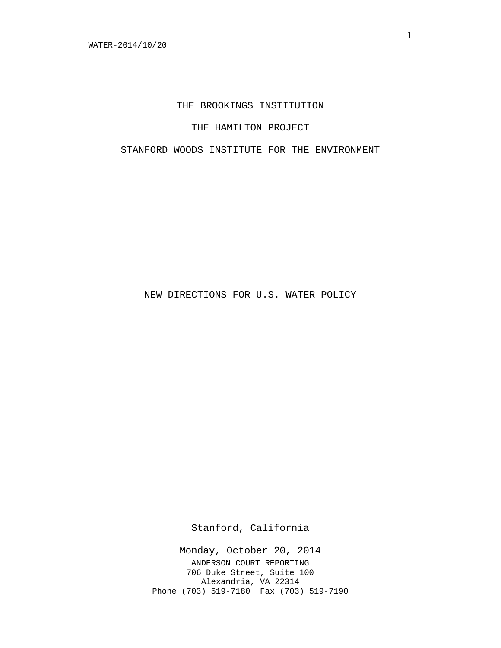# THE BROOKINGS INSTITUTION

# THE HAMILTON PROJECT

## STANFORD WOODS INSTITUTE FOR THE ENVIRONMENT

NEW DIRECTIONS FOR U.S. WATER POLICY

Stanford, California

Monday, October 20, 2014 ANDERSON COURT REPORTING 706 Duke Street, Suite 100 Alexandria, VA 22314 Phone (703) 519-7180 Fax (703) 519-7190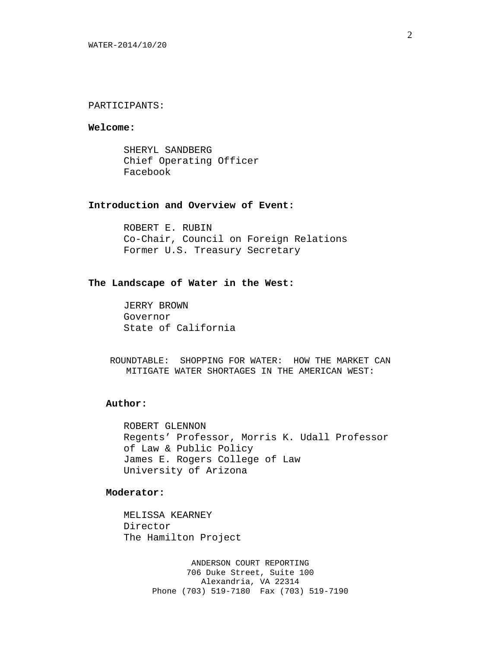### PARTICIPANTS:

### **Welcome:**

SHERYL SANDBERG Chief Operating Officer Facebook

### **Introduction and Overview of Event:**

ROBERT E. RUBIN Co-Chair, Council on Foreign Relations Former U.S. Treasury Secretary

## **The Landscape of Water in the West:**

JERRY BROWN Governor State of California

ROUNDTABLE: SHOPPING FOR WATER: HOW THE MARKET CAN MITIGATE WATER SHORTAGES IN THE AMERICAN WEST:

### **Author:**

ROBERT GLENNON Regents' Professor, Morris K. Udall Professor of Law & Public Policy James E. Rogers College of Law University of Arizona

### **Moderator:**

MELISSA KEARNEY Director The Hamilton Project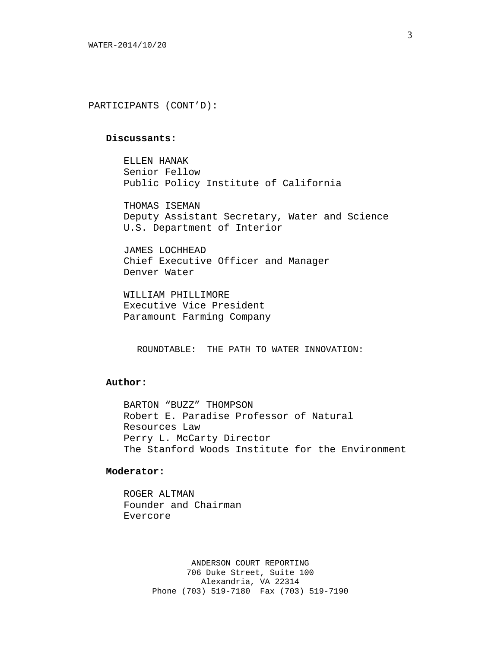PARTICIPANTS (CONT'D):

### **Discussants:**

ELLEN HANAK Senior Fellow Public Policy Institute of California

THOMAS ISEMAN Deputy Assistant Secretary, Water and Science U.S. Department of Interior

JAMES LOCHHEAD Chief Executive Officer and Manager Denver Water

WILLIAM PHILLIMORE Executive Vice President Paramount Farming Company

ROUNDTABLE: THE PATH TO WATER INNOVATION:

# **Author:**

BARTON "BUZZ" THOMPSON Robert E. Paradise Professor of Natural Resources Law Perry L. McCarty Director The Stanford Woods Institute for the Environment

## **Moderator:**

ROGER ALTMAN Founder and Chairman Evercore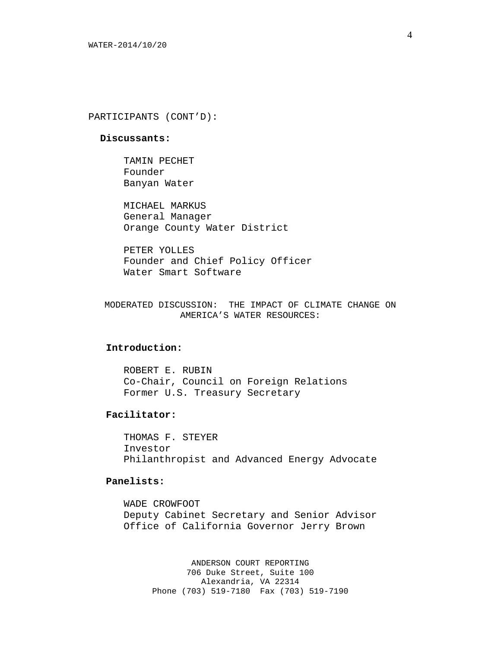#### PARTICIPANTS (CONT'D):

## **Discussants:**

TAMIN PECHET Founder Banyan Water

MICHAEL MARKUS General Manager Orange County Water District

PETER YOLLES Founder and Chief Policy Officer Water Smart Software

MODERATED DISCUSSION: THE IMPACT OF CLIMATE CHANGE ON AMERICA'S WATER RESOURCES:

## **Introduction:**

ROBERT E. RUBIN Co-Chair, Council on Foreign Relations Former U.S. Treasury Secretary

# **Facilitator:**

THOMAS F. STEYER Investor Philanthropist and Advanced Energy Advocate

# **Panelists:**

WADE CROWFOOT Deputy Cabinet Secretary and Senior Advisor Office of California Governor Jerry Brown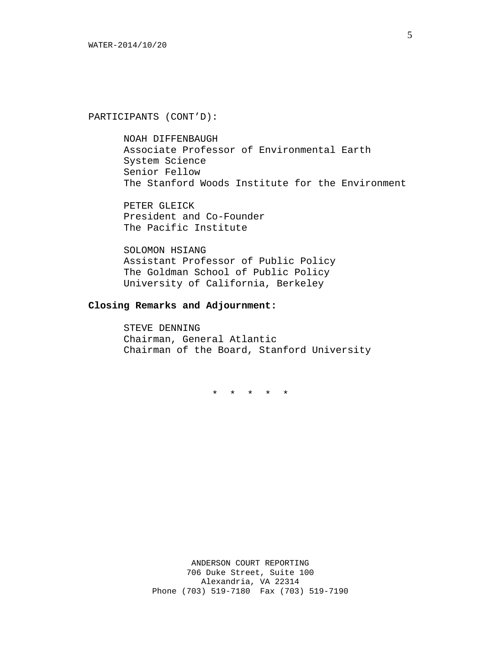PARTICIPANTS (CONT'D):

 NOAH DIFFENBAUGH Associate Professor of Environmental Earth System Science Senior Fellow The Stanford Woods Institute for the Environment

PETER GLEICK President and Co-Founder The Pacific Institute

SOLOMON HSIANG Assistant Professor of Public Policy The Goldman School of Public Policy University of California, Berkeley

# **Closing Remarks and Adjournment:**

STEVE DENNING Chairman, General Atlantic Chairman of the Board, Stanford University

\* \* \* \* \*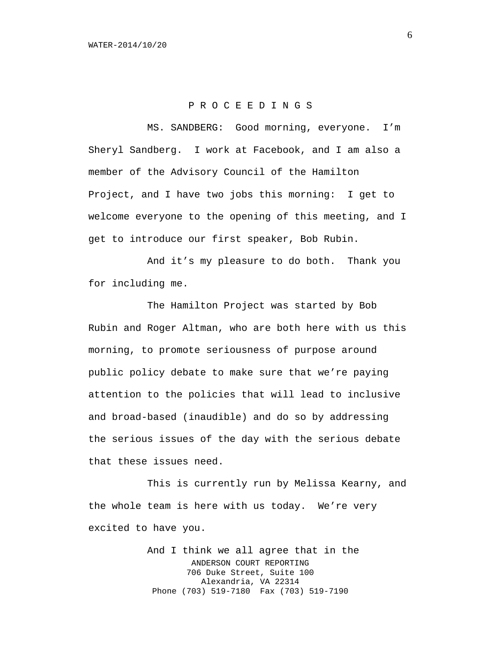## P R O C E E D I N G S

 MS. SANDBERG: Good morning, everyone. I'm Sheryl Sandberg. I work at Facebook, and I am also a member of the Advisory Council of the Hamilton Project, and I have two jobs this morning: I get to welcome everyone to the opening of this meeting, and I get to introduce our first speaker, Bob Rubin.

And it's my pleasure to do both. Thank you for including me.

The Hamilton Project was started by Bob Rubin and Roger Altman, who are both here with us this morning, to promote seriousness of purpose around public policy debate to make sure that we're paying attention to the policies that will lead to inclusive and broad-based (inaudible) and do so by addressing the serious issues of the day with the serious debate that these issues need.

This is currently run by Melissa Kearny, and the whole team is here with us today. We're very excited to have you.

> And I think we all agree that in the ANDERSON COURT REPORTING 706 Duke Street, Suite 100 Alexandria, VA 22314 Phone (703) 519-7180 Fax (703) 519-7190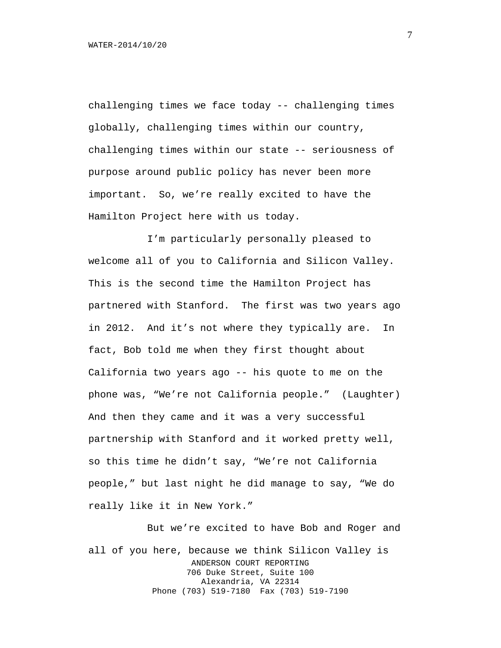challenging times we face today -- challenging times globally, challenging times within our country, challenging times within our state -- seriousness of purpose around public policy has never been more important. So, we're really excited to have the Hamilton Project here with us today.

I'm particularly personally pleased to welcome all of you to California and Silicon Valley. This is the second time the Hamilton Project has partnered with Stanford. The first was two years ago in 2012. And it's not where they typically are. In fact, Bob told me when they first thought about California two years ago -- his quote to me on the phone was, "We're not California people." (Laughter) And then they came and it was a very successful partnership with Stanford and it worked pretty well, so this time he didn't say, "We're not California people," but last night he did manage to say, "We do really like it in New York."

But we're excited to have Bob and Roger and all of you here, because we think Silicon Valley is ANDERSON COURT REPORTING 706 Duke Street, Suite 100 Alexandria, VA 22314 Phone (703) 519-7180 Fax (703) 519-7190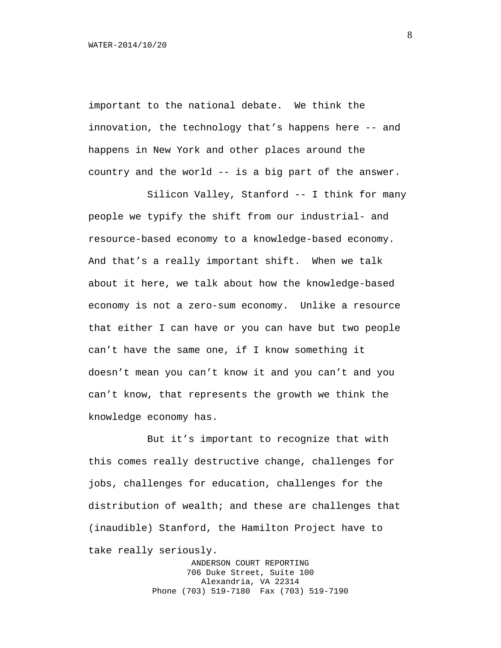important to the national debate. We think the innovation, the technology that's happens here -- and happens in New York and other places around the country and the world -- is a big part of the answer.

Silicon Valley, Stanford -- I think for many people we typify the shift from our industrial- and resource-based economy to a knowledge-based economy. And that's a really important shift. When we talk about it here, we talk about how the knowledge-based economy is not a zero-sum economy. Unlike a resource that either I can have or you can have but two people can't have the same one, if I know something it doesn't mean you can't know it and you can't and you can't know, that represents the growth we think the knowledge economy has.

But it's important to recognize that with this comes really destructive change, challenges for jobs, challenges for education, challenges for the distribution of wealth; and these are challenges that (inaudible) Stanford, the Hamilton Project have to take really seriously.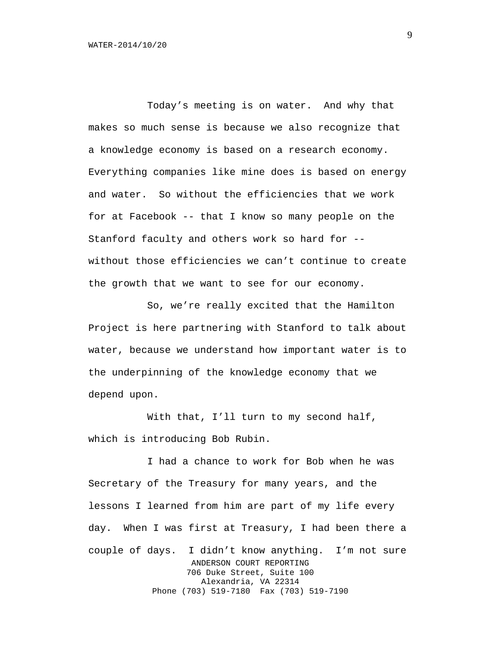Today's meeting is on water. And why that makes so much sense is because we also recognize that a knowledge economy is based on a research economy. Everything companies like mine does is based on energy and water. So without the efficiencies that we work for at Facebook -- that I know so many people on the Stanford faculty and others work so hard for - without those efficiencies we can't continue to create the growth that we want to see for our economy.

So, we're really excited that the Hamilton Project is here partnering with Stanford to talk about water, because we understand how important water is to the underpinning of the knowledge economy that we depend upon.

With that, I'll turn to my second half, which is introducing Bob Rubin.

I had a chance to work for Bob when he was Secretary of the Treasury for many years, and the lessons I learned from him are part of my life every day. When I was first at Treasury, I had been there a couple of days. I didn't know anything. I'm not sure ANDERSON COURT REPORTING 706 Duke Street, Suite 100 Alexandria, VA 22314 Phone (703) 519-7180 Fax (703) 519-7190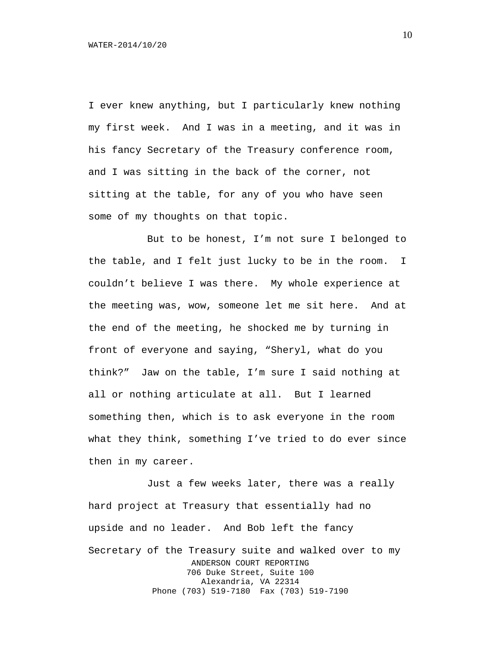I ever knew anything, but I particularly knew nothing my first week. And I was in a meeting, and it was in his fancy Secretary of the Treasury conference room, and I was sitting in the back of the corner, not sitting at the table, for any of you who have seen some of my thoughts on that topic.

But to be honest, I'm not sure I belonged to the table, and I felt just lucky to be in the room. I couldn't believe I was there. My whole experience at the meeting was, wow, someone let me sit here. And at the end of the meeting, he shocked me by turning in front of everyone and saying, "Sheryl, what do you think?" Jaw on the table, I'm sure I said nothing at all or nothing articulate at all. But I learned something then, which is to ask everyone in the room what they think, something I've tried to do ever since then in my career.

Just a few weeks later, there was a really hard project at Treasury that essentially had no upside and no leader. And Bob left the fancy Secretary of the Treasury suite and walked over to my ANDERSON COURT REPORTING 706 Duke Street, Suite 100 Alexandria, VA 22314 Phone (703) 519-7180 Fax (703) 519-7190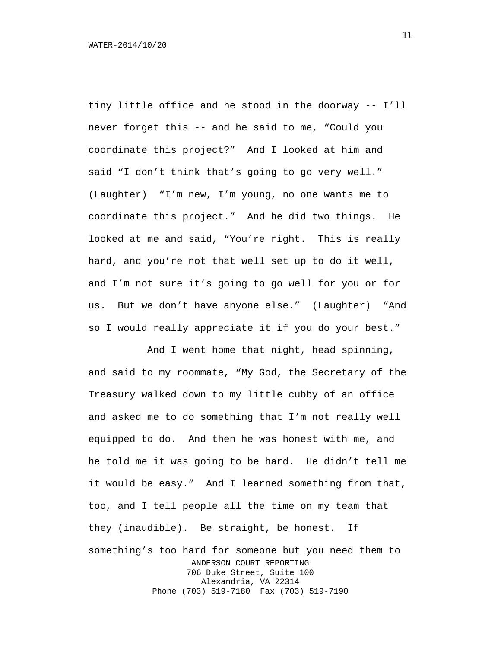tiny little office and he stood in the doorway -- I'll never forget this -- and he said to me, "Could you coordinate this project?" And I looked at him and said "I don't think that's going to go very well." (Laughter) "I'm new, I'm young, no one wants me to coordinate this project." And he did two things. He looked at me and said, "You're right. This is really hard, and you're not that well set up to do it well, and I'm not sure it's going to go well for you or for us. But we don't have anyone else." (Laughter) "And so I would really appreciate it if you do your best."

And I went home that night, head spinning, and said to my roommate, "My God, the Secretary of the Treasury walked down to my little cubby of an office and asked me to do something that I'm not really well equipped to do. And then he was honest with me, and he told me it was going to be hard. He didn't tell me it would be easy." And I learned something from that, too, and I tell people all the time on my team that they (inaudible). Be straight, be honest. If something's too hard for someone but you need them to ANDERSON COURT REPORTING 706 Duke Street, Suite 100 Alexandria, VA 22314 Phone (703) 519-7180 Fax (703) 519-7190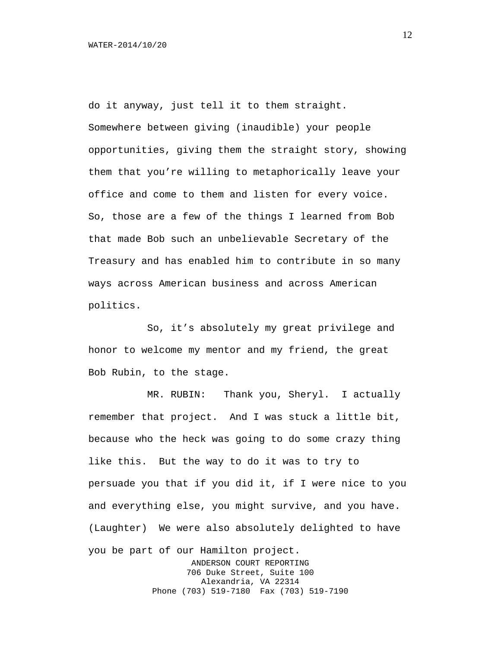do it anyway, just tell it to them straight. Somewhere between giving (inaudible) your people opportunities, giving them the straight story, showing them that you're willing to metaphorically leave your office and come to them and listen for every voice. So, those are a few of the things I learned from Bob that made Bob such an unbelievable Secretary of the Treasury and has enabled him to contribute in so many ways across American business and across American politics.

So, it's absolutely my great privilege and honor to welcome my mentor and my friend, the great Bob Rubin, to the stage.

MR. RUBIN: Thank you, Sheryl. I actually remember that project. And I was stuck a little bit, because who the heck was going to do some crazy thing like this. But the way to do it was to try to persuade you that if you did it, if I were nice to you and everything else, you might survive, and you have. (Laughter) We were also absolutely delighted to have you be part of our Hamilton project. ANDERSON COURT REPORTING 706 Duke Street, Suite 100 Alexandria, VA 22314 Phone (703) 519-7180 Fax (703) 519-7190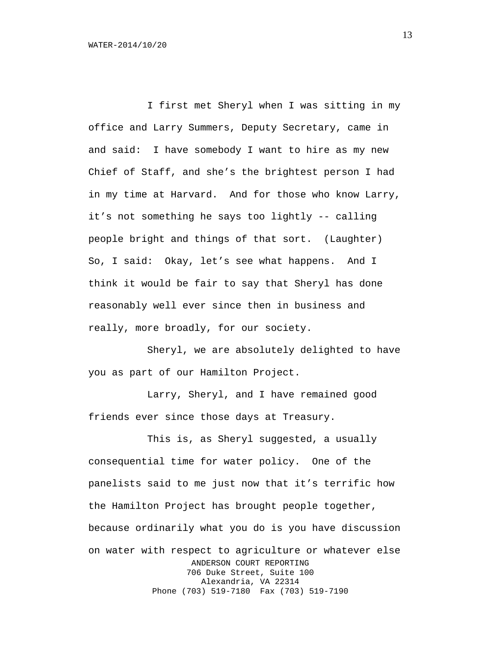I first met Sheryl when I was sitting in my office and Larry Summers, Deputy Secretary, came in and said: I have somebody I want to hire as my new Chief of Staff, and she's the brightest person I had in my time at Harvard. And for those who know Larry, it's not something he says too lightly -- calling people bright and things of that sort. (Laughter) So, I said: Okay, let's see what happens. And I think it would be fair to say that Sheryl has done reasonably well ever since then in business and really, more broadly, for our society.

Sheryl, we are absolutely delighted to have you as part of our Hamilton Project.

Larry, Sheryl, and I have remained good friends ever since those days at Treasury.

This is, as Sheryl suggested, a usually consequential time for water policy. One of the panelists said to me just now that it's terrific how the Hamilton Project has brought people together, because ordinarily what you do is you have discussion on water with respect to agriculture or whatever else ANDERSON COURT REPORTING 706 Duke Street, Suite 100 Alexandria, VA 22314 Phone (703) 519-7180 Fax (703) 519-7190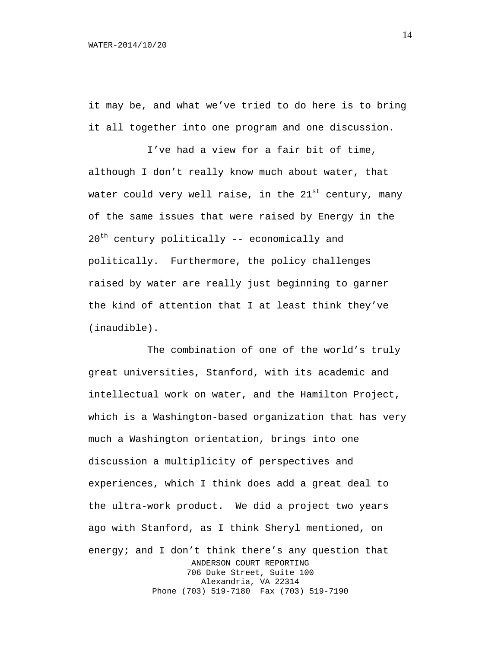it may be, and what we've tried to do here is to bring it all together into one program and one discussion.

I've had a view for a fair bit of time, although I don't really know much about water, that water could very well raise, in the  $21^{st}$  century, many of the same issues that were raised by Energy in the  $20<sup>th</sup>$  century politically -- economically and politically. Furthermore, the policy challenges raised by water are really just beginning to garner the kind of attention that I at least think they've (inaudible).

The combination of one of the world's truly great universities, Stanford, with its academic and intellectual work on water, and the Hamilton Project, which is a Washington-based organization that has very much a Washington orientation, brings into one discussion a multiplicity of perspectives and experiences, which I think does add a great deal to the ultra-work product. We did a project two years ago with Stanford, as I think Sheryl mentioned, on energy; and I don't think there's any question that ANDERSON COURT REPORTING 706 Duke Street, Suite 100 Alexandria, VA 22314 Phone (703) 519-7180 Fax (703) 519-7190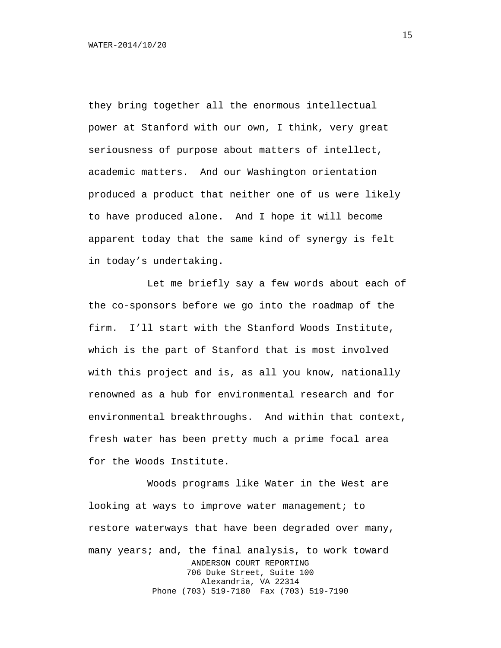they bring together all the enormous intellectual power at Stanford with our own, I think, very great seriousness of purpose about matters of intellect, academic matters. And our Washington orientation produced a product that neither one of us were likely to have produced alone. And I hope it will become apparent today that the same kind of synergy is felt in today's undertaking.

Let me briefly say a few words about each of the co-sponsors before we go into the roadmap of the firm. I'll start with the Stanford Woods Institute, which is the part of Stanford that is most involved with this project and is, as all you know, nationally renowned as a hub for environmental research and for environmental breakthroughs. And within that context, fresh water has been pretty much a prime focal area for the Woods Institute.

Woods programs like Water in the West are looking at ways to improve water management; to restore waterways that have been degraded over many, many years; and, the final analysis, to work toward ANDERSON COURT REPORTING 706 Duke Street, Suite 100 Alexandria, VA 22314 Phone (703) 519-7180 Fax (703) 519-7190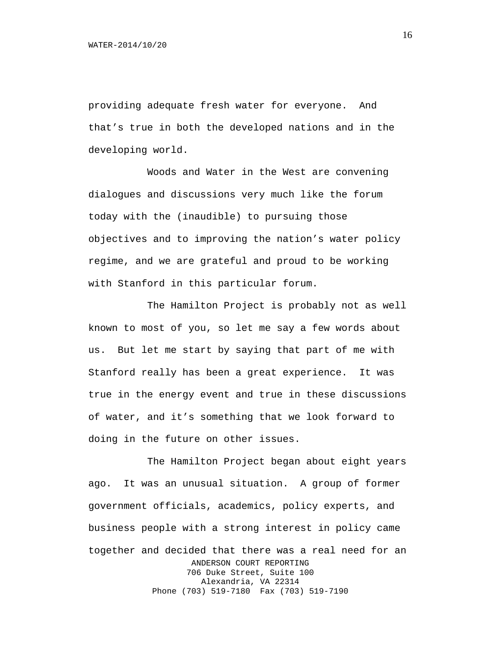providing adequate fresh water for everyone. And that's true in both the developed nations and in the developing world.

Woods and Water in the West are convening dialogues and discussions very much like the forum today with the (inaudible) to pursuing those objectives and to improving the nation's water policy regime, and we are grateful and proud to be working with Stanford in this particular forum.

The Hamilton Project is probably not as well known to most of you, so let me say a few words about us. But let me start by saying that part of me with Stanford really has been a great experience. It was true in the energy event and true in these discussions of water, and it's something that we look forward to doing in the future on other issues.

The Hamilton Project began about eight years ago. It was an unusual situation. A group of former government officials, academics, policy experts, and business people with a strong interest in policy came together and decided that there was a real need for an ANDERSON COURT REPORTING 706 Duke Street, Suite 100 Alexandria, VA 22314 Phone (703) 519-7180 Fax (703) 519-7190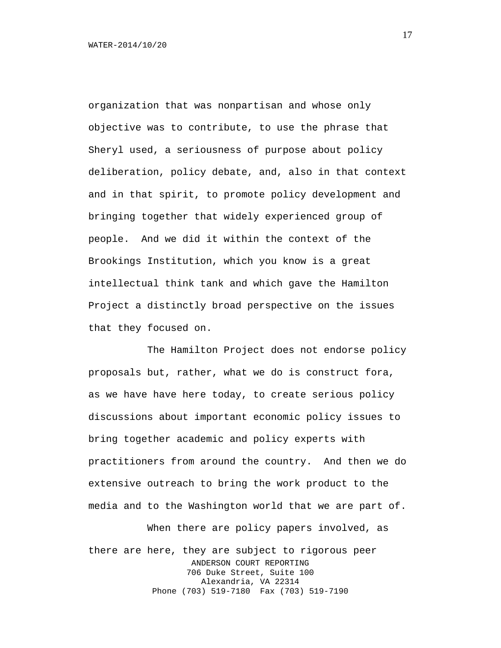organization that was nonpartisan and whose only objective was to contribute, to use the phrase that Sheryl used, a seriousness of purpose about policy deliberation, policy debate, and, also in that context and in that spirit, to promote policy development and bringing together that widely experienced group of people. And we did it within the context of the Brookings Institution, which you know is a great intellectual think tank and which gave the Hamilton Project a distinctly broad perspective on the issues that they focused on.

The Hamilton Project does not endorse policy proposals but, rather, what we do is construct fora, as we have have here today, to create serious policy discussions about important economic policy issues to bring together academic and policy experts with practitioners from around the country. And then we do extensive outreach to bring the work product to the media and to the Washington world that we are part of.

When there are policy papers involved, as there are here, they are subject to rigorous peer ANDERSON COURT REPORTING 706 Duke Street, Suite 100 Alexandria, VA 22314 Phone (703) 519-7180 Fax (703) 519-7190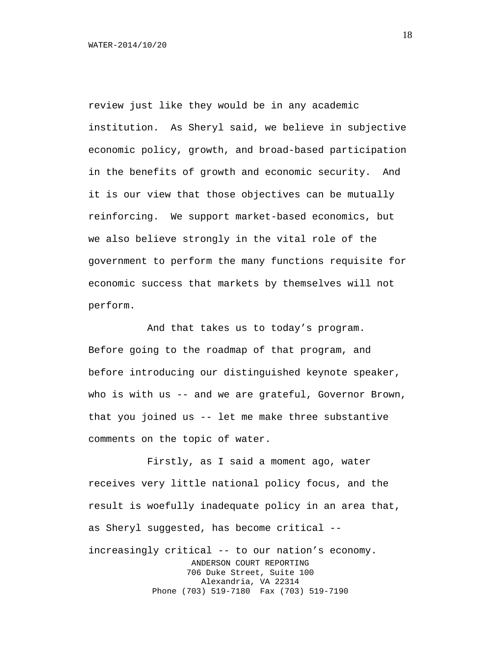review just like they would be in any academic institution. As Sheryl said, we believe in subjective economic policy, growth, and broad-based participation in the benefits of growth and economic security. And it is our view that those objectives can be mutually reinforcing. We support market-based economics, but we also believe strongly in the vital role of the government to perform the many functions requisite for economic success that markets by themselves will not perform.

And that takes us to today's program. Before going to the roadmap of that program, and before introducing our distinguished keynote speaker, who is with us -- and we are grateful, Governor Brown, that you joined us -- let me make three substantive comments on the topic of water.

Firstly, as I said a moment ago, water receives very little national policy focus, and the result is woefully inadequate policy in an area that, as Sheryl suggested, has become critical - increasingly critical -- to our nation's economy. ANDERSON COURT REPORTING 706 Duke Street, Suite 100 Alexandria, VA 22314 Phone (703) 519-7180 Fax (703) 519-7190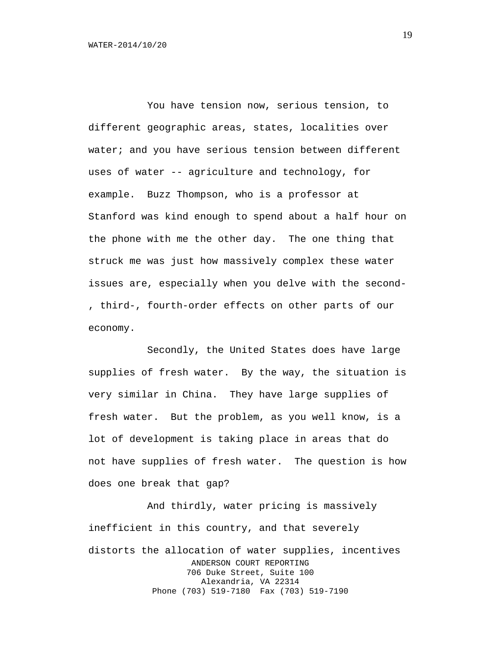You have tension now, serious tension, to different geographic areas, states, localities over water; and you have serious tension between different uses of water -- agriculture and technology, for example. Buzz Thompson, who is a professor at Stanford was kind enough to spend about a half hour on the phone with me the other day. The one thing that struck me was just how massively complex these water issues are, especially when you delve with the second- , third-, fourth-order effects on other parts of our economy.

Secondly, the United States does have large supplies of fresh water. By the way, the situation is very similar in China. They have large supplies of fresh water. But the problem, as you well know, is a lot of development is taking place in areas that do not have supplies of fresh water. The question is how does one break that gap?

And thirdly, water pricing is massively inefficient in this country, and that severely distorts the allocation of water supplies, incentives ANDERSON COURT REPORTING 706 Duke Street, Suite 100 Alexandria, VA 22314 Phone (703) 519-7180 Fax (703) 519-7190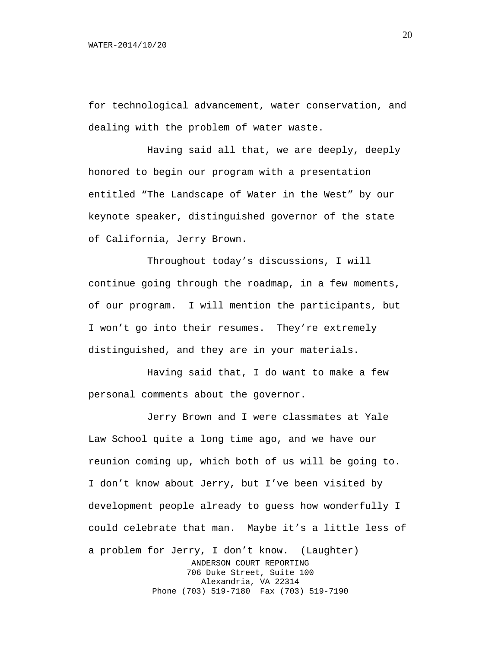for technological advancement, water conservation, and dealing with the problem of water waste.

Having said all that, we are deeply, deeply honored to begin our program with a presentation entitled "The Landscape of Water in the West" by our keynote speaker, distinguished governor of the state of California, Jerry Brown.

Throughout today's discussions, I will continue going through the roadmap, in a few moments, of our program. I will mention the participants, but I won't go into their resumes. They're extremely distinguished, and they are in your materials.

Having said that, I do want to make a few personal comments about the governor.

Jerry Brown and I were classmates at Yale Law School quite a long time ago, and we have our reunion coming up, which both of us will be going to. I don't know about Jerry, but I've been visited by development people already to guess how wonderfully I could celebrate that man. Maybe it's a little less of a problem for Jerry, I don't know. (Laughter) ANDERSON COURT REPORTING 706 Duke Street, Suite 100 Alexandria, VA 22314 Phone (703) 519-7180 Fax (703) 519-7190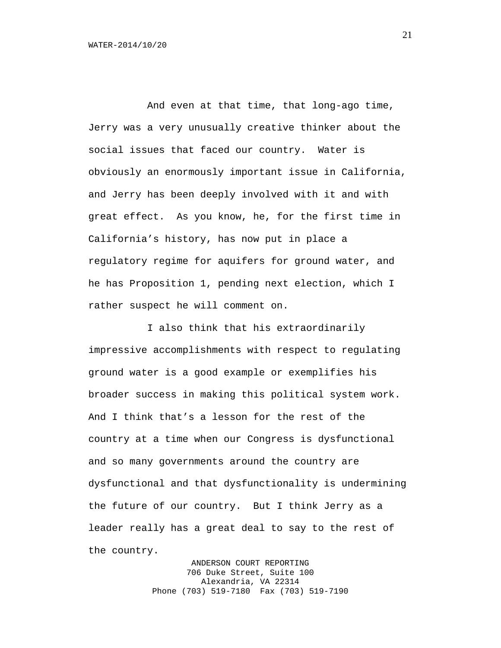And even at that time, that long-ago time, Jerry was a very unusually creative thinker about the social issues that faced our country. Water is obviously an enormously important issue in California, and Jerry has been deeply involved with it and with great effect. As you know, he, for the first time in California's history, has now put in place a regulatory regime for aquifers for ground water, and he has Proposition 1, pending next election, which I rather suspect he will comment on.

I also think that his extraordinarily impressive accomplishments with respect to regulating ground water is a good example or exemplifies his broader success in making this political system work. And I think that's a lesson for the rest of the country at a time when our Congress is dysfunctional and so many governments around the country are dysfunctional and that dysfunctionality is undermining the future of our country. But I think Jerry as a leader really has a great deal to say to the rest of the country.

> ANDERSON COURT REPORTING 706 Duke Street, Suite 100 Alexandria, VA 22314 Phone (703) 519-7180 Fax (703) 519-7190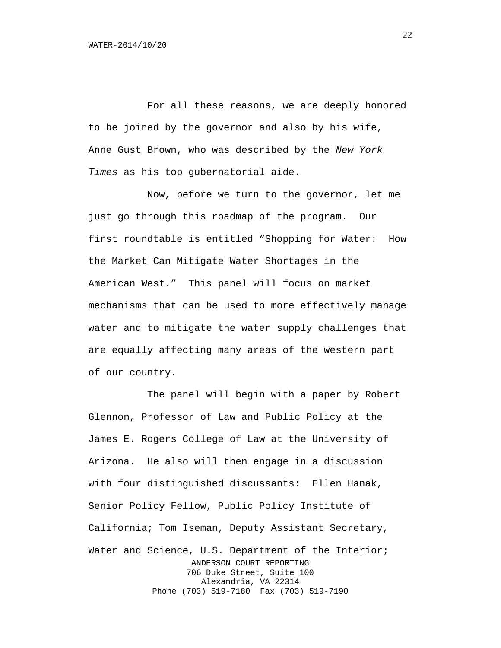For all these reasons, we are deeply honored to be joined by the governor and also by his wife, Anne Gust Brown, who was described by the *New York Times* as his top gubernatorial aide.

Now, before we turn to the governor, let me just go through this roadmap of the program. Our first roundtable is entitled "Shopping for Water: How the Market Can Mitigate Water Shortages in the American West." This panel will focus on market mechanisms that can be used to more effectively manage water and to mitigate the water supply challenges that are equally affecting many areas of the western part of our country.

The panel will begin with a paper by Robert Glennon, Professor of Law and Public Policy at the James E. Rogers College of Law at the University of Arizona. He also will then engage in a discussion with four distinguished discussants: Ellen Hanak, Senior Policy Fellow, Public Policy Institute of California; Tom Iseman, Deputy Assistant Secretary, Water and Science, U.S. Department of the Interior; ANDERSON COURT REPORTING 706 Duke Street, Suite 100 Alexandria, VA 22314 Phone (703) 519-7180 Fax (703) 519-7190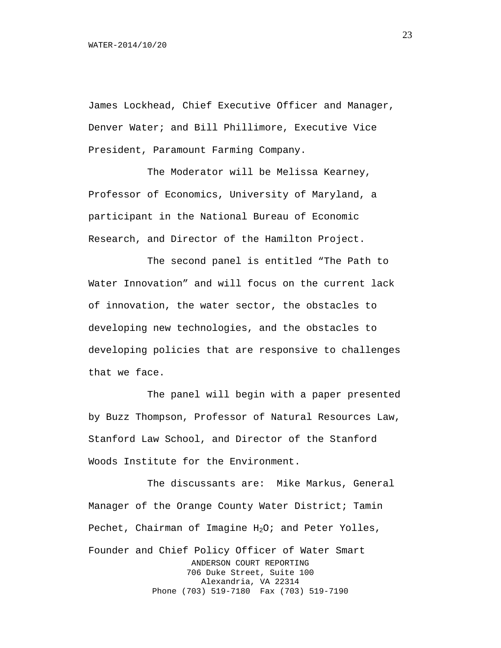James Lockhead, Chief Executive Officer and Manager, Denver Water; and Bill Phillimore, Executive Vice President, Paramount Farming Company.

The Moderator will be Melissa Kearney, Professor of Economics, University of Maryland, a participant in the National Bureau of Economic Research, and Director of the Hamilton Project.

The second panel is entitled "The Path to Water Innovation" and will focus on the current lack of innovation, the water sector, the obstacles to developing new technologies, and the obstacles to developing policies that are responsive to challenges that we face.

The panel will begin with a paper presented by Buzz Thompson, Professor of Natural Resources Law, Stanford Law School, and Director of the Stanford Woods Institute for the Environment.

The discussants are: Mike Markus, General Manager of the Orange County Water District; Tamin Pechet, Chairman of Imagine H<sub>2</sub>O; and Peter Yolles, Founder and Chief Policy Officer of Water Smart ANDERSON COURT REPORTING 706 Duke Street, Suite 100 Alexandria, VA 22314 Phone (703) 519-7180 Fax (703) 519-7190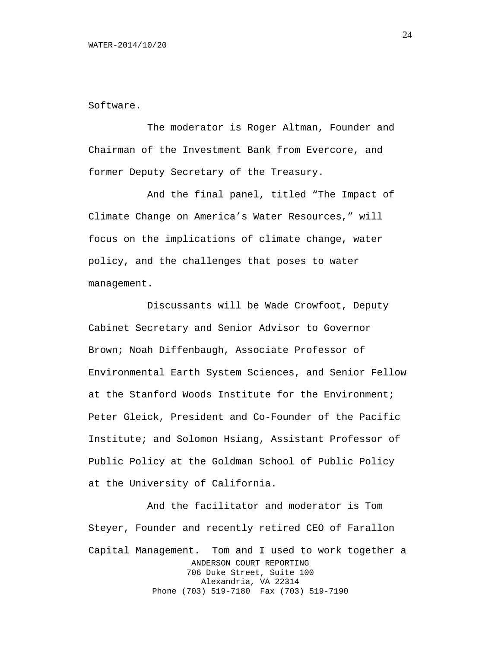Software.

The moderator is Roger Altman, Founder and Chairman of the Investment Bank from Evercore, and former Deputy Secretary of the Treasury.

And the final panel, titled "The Impact of Climate Change on America's Water Resources," will focus on the implications of climate change, water policy, and the challenges that poses to water management.

Discussants will be Wade Crowfoot, Deputy Cabinet Secretary and Senior Advisor to Governor Brown; Noah Diffenbaugh, Associate Professor of Environmental Earth System Sciences, and Senior Fellow at the Stanford Woods Institute for the Environment; Peter Gleick, President and Co-Founder of the Pacific Institute; and Solomon Hsiang, Assistant Professor of Public Policy at the Goldman School of Public Policy at the University of California.

And the facilitator and moderator is Tom Steyer, Founder and recently retired CEO of Farallon Capital Management. Tom and I used to work together a ANDERSON COURT REPORTING 706 Duke Street, Suite 100 Alexandria, VA 22314 Phone (703) 519-7180 Fax (703) 519-7190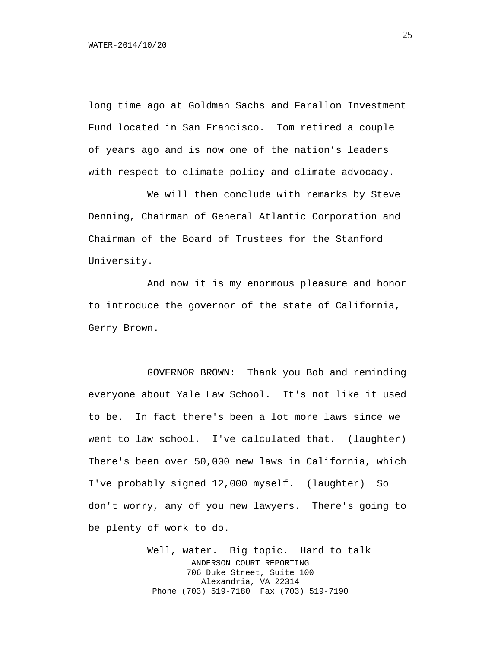long time ago at Goldman Sachs and Farallon Investment Fund located in San Francisco. Tom retired a couple of years ago and is now one of the nation's leaders with respect to climate policy and climate advocacy.

We will then conclude with remarks by Steve Denning, Chairman of General Atlantic Corporation and Chairman of the Board of Trustees for the Stanford University.

And now it is my enormous pleasure and honor to introduce the governor of the state of California, Gerry Brown.

GOVERNOR BROWN: Thank you Bob and reminding everyone about Yale Law School. It's not like it used to be. In fact there's been a lot more laws since we went to law school. I've calculated that. (laughter) There's been over 50,000 new laws in California, which I've probably signed 12,000 myself. (laughter) So don't worry, any of you new lawyers. There's going to be plenty of work to do.

> Well, water. Big topic. Hard to talk ANDERSON COURT REPORTING 706 Duke Street, Suite 100 Alexandria, VA 22314 Phone (703) 519-7180 Fax (703) 519-7190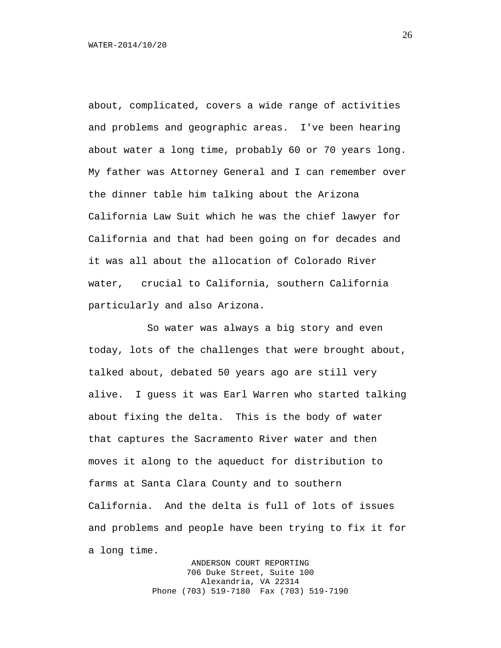about, complicated, covers a wide range of activities and problems and geographic areas. I've been hearing about water a long time, probably 60 or 70 years long. My father was Attorney General and I can remember over the dinner table him talking about the Arizona California Law Suit which he was the chief lawyer for California and that had been going on for decades and it was all about the allocation of Colorado River water, crucial to California, southern California particularly and also Arizona.

So water was always a big story and even today, lots of the challenges that were brought about, talked about, debated 50 years ago are still very alive. I guess it was Earl Warren who started talking about fixing the delta. This is the body of water that captures the Sacramento River water and then moves it along to the aqueduct for distribution to farms at Santa Clara County and to southern California. And the delta is full of lots of issues and problems and people have been trying to fix it for a long time.

> ANDERSON COURT REPORTING 706 Duke Street, Suite 100 Alexandria, VA 22314 Phone (703) 519-7180 Fax (703) 519-7190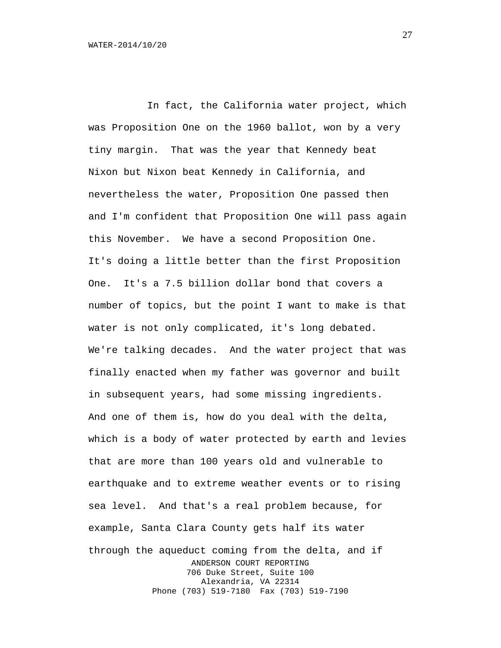In fact, the California water project, which was Proposition One on the 1960 ballot, won by a very tiny margin. That was the year that Kennedy beat Nixon but Nixon beat Kennedy in California, and nevertheless the water, Proposition One passed then and I'm confident that Proposition One will pass again this November. We have a second Proposition One. It's doing a little better than the first Proposition One. It's a 7.5 billion dollar bond that covers a number of topics, but the point I want to make is that water is not only complicated, it's long debated. We're talking decades. And the water project that was finally enacted when my father was governor and built in subsequent years, had some missing ingredients. And one of them is, how do you deal with the delta, which is a body of water protected by earth and levies that are more than 100 years old and vulnerable to earthquake and to extreme weather events or to rising sea level. And that's a real problem because, for example, Santa Clara County gets half its water through the aqueduct coming from the delta, and if ANDERSON COURT REPORTING 706 Duke Street, Suite 100 Alexandria, VA 22314 Phone (703) 519-7180 Fax (703) 519-7190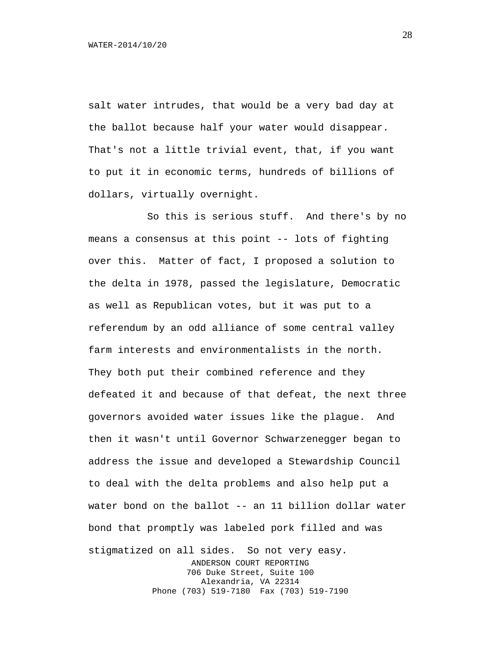salt water intrudes, that would be a very bad day at the ballot because half your water would disappear. That's not a little trivial event, that, if you want to put it in economic terms, hundreds of billions of dollars, virtually overnight.

So this is serious stuff. And there's by no means a consensus at this point -- lots of fighting over this. Matter of fact, I proposed a solution to the delta in 1978, passed the legislature, Democratic as well as Republican votes, but it was put to a referendum by an odd alliance of some central valley farm interests and environmentalists in the north. They both put their combined reference and they defeated it and because of that defeat, the next three governors avoided water issues like the plague. And then it wasn't until Governor Schwarzenegger began to address the issue and developed a Stewardship Council to deal with the delta problems and also help put a water bond on the ballot -- an 11 billion dollar water bond that promptly was labeled pork filled and was stigmatized on all sides. So not very easy. ANDERSON COURT REPORTING 706 Duke Street, Suite 100 Alexandria, VA 22314 Phone (703) 519-7180 Fax (703) 519-7190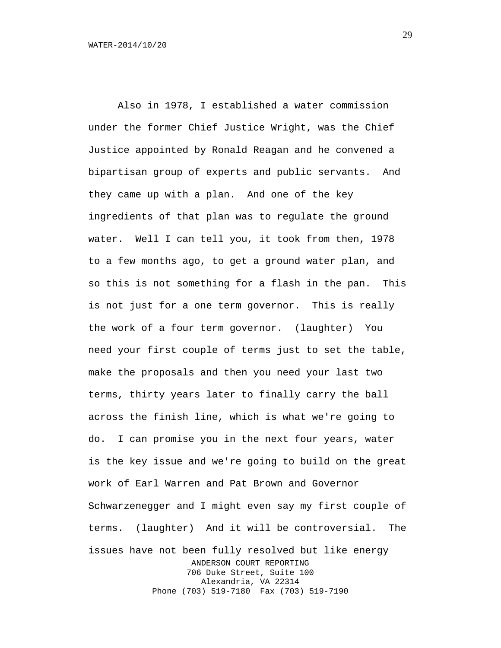Also in 1978, I established a water commission under the former Chief Justice Wright, was the Chief Justice appointed by Ronald Reagan and he convened a bipartisan group of experts and public servants. And they came up with a plan. And one of the key ingredients of that plan was to regulate the ground water. Well I can tell you, it took from then, 1978 to a few months ago, to get a ground water plan, and so this is not something for a flash in the pan. This is not just for a one term governor. This is really the work of a four term governor. (laughter) You need your first couple of terms just to set the table, make the proposals and then you need your last two terms, thirty years later to finally carry the ball across the finish line, which is what we're going to do. I can promise you in the next four years, water is the key issue and we're going to build on the great work of Earl Warren and Pat Brown and Governor Schwarzenegger and I might even say my first couple of terms. (laughter) And it will be controversial. The issues have not been fully resolved but like energy ANDERSON COURT REPORTING 706 Duke Street, Suite 100 Alexandria, VA 22314 Phone (703) 519-7180 Fax (703) 519-7190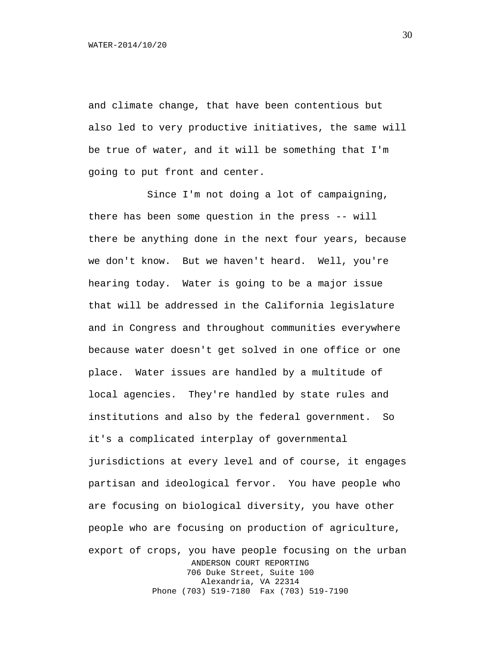and climate change, that have been contentious but also led to very productive initiatives, the same will be true of water, and it will be something that I'm going to put front and center.

Since I'm not doing a lot of campaigning, there has been some question in the press -- will there be anything done in the next four years, because we don't know. But we haven't heard. Well, you're hearing today. Water is going to be a major issue that will be addressed in the California legislature and in Congress and throughout communities everywhere because water doesn't get solved in one office or one place. Water issues are handled by a multitude of local agencies. They're handled by state rules and institutions and also by the federal government. So it's a complicated interplay of governmental jurisdictions at every level and of course, it engages partisan and ideological fervor. You have people who are focusing on biological diversity, you have other people who are focusing on production of agriculture, export of crops, you have people focusing on the urban ANDERSON COURT REPORTING 706 Duke Street, Suite 100 Alexandria, VA 22314 Phone (703) 519-7180 Fax (703) 519-7190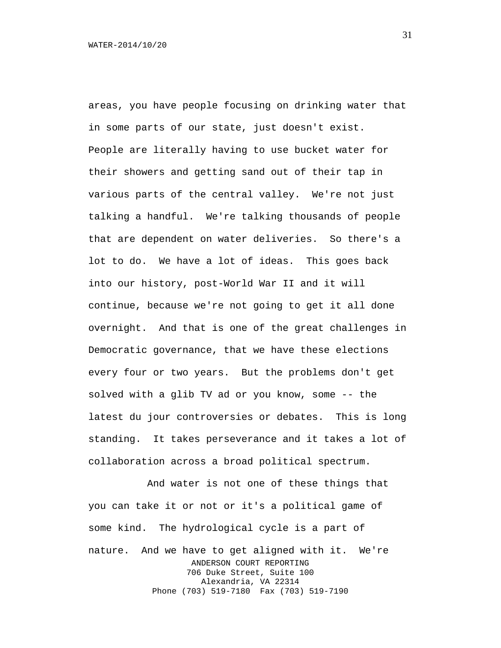areas, you have people focusing on drinking water that in some parts of our state, just doesn't exist. People are literally having to use bucket water for their showers and getting sand out of their tap in various parts of the central valley. We're not just talking a handful. We're talking thousands of people that are dependent on water deliveries. So there's a lot to do. We have a lot of ideas. This goes back into our history, post-World War II and it will continue, because we're not going to get it all done overnight. And that is one of the great challenges in Democratic governance, that we have these elections every four or two years. But the problems don't get solved with a glib TV ad or you know, some -- the latest du jour controversies or debates. This is long standing. It takes perseverance and it takes a lot of collaboration across a broad political spectrum.

And water is not one of these things that you can take it or not or it's a political game of some kind. The hydrological cycle is a part of nature. And we have to get aligned with it. We're ANDERSON COURT REPORTING 706 Duke Street, Suite 100 Alexandria, VA 22314 Phone (703) 519-7180 Fax (703) 519-7190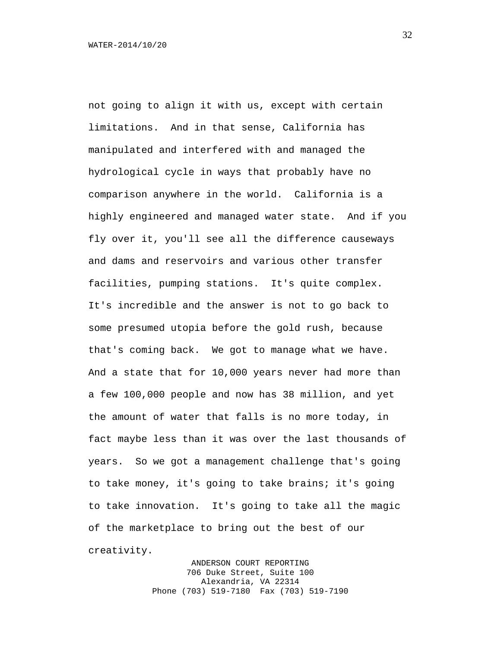not going to align it with us, except with certain limitations. And in that sense, California has manipulated and interfered with and managed the hydrological cycle in ways that probably have no comparison anywhere in the world. California is a highly engineered and managed water state. And if you fly over it, you'll see all the difference causeways and dams and reservoirs and various other transfer facilities, pumping stations. It's quite complex. It's incredible and the answer is not to go back to some presumed utopia before the gold rush, because that's coming back. We got to manage what we have. And a state that for 10,000 years never had more than a few 100,000 people and now has 38 million, and yet the amount of water that falls is no more today, in fact maybe less than it was over the last thousands of years. So we got a management challenge that's going to take money, it's going to take brains; it's going to take innovation. It's going to take all the magic of the marketplace to bring out the best of our creativity.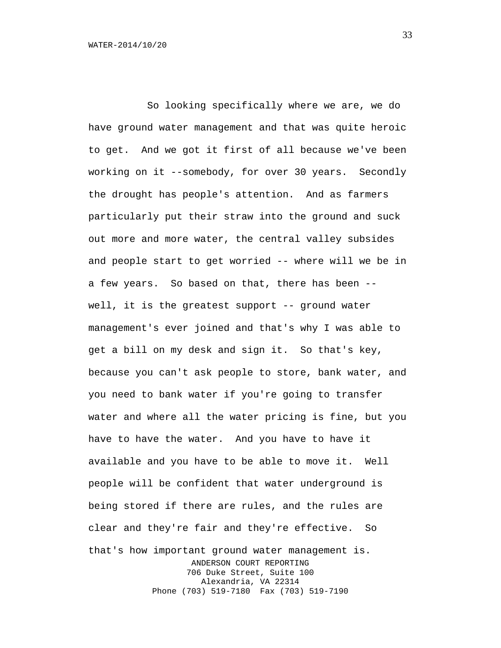So looking specifically where we are, we do have ground water management and that was quite heroic to get. And we got it first of all because we've been working on it --somebody, for over 30 years. Secondly the drought has people's attention. And as farmers particularly put their straw into the ground and suck out more and more water, the central valley subsides and people start to get worried -- where will we be in a few years. So based on that, there has been - well, it is the greatest support -- ground water management's ever joined and that's why I was able to get a bill on my desk and sign it. So that's key, because you can't ask people to store, bank water, and you need to bank water if you're going to transfer water and where all the water pricing is fine, but you have to have the water. And you have to have it available and you have to be able to move it. Well people will be confident that water underground is being stored if there are rules, and the rules are clear and they're fair and they're effective. So that's how important ground water management is. ANDERSON COURT REPORTING 706 Duke Street, Suite 100 Alexandria, VA 22314 Phone (703) 519-7180 Fax (703) 519-7190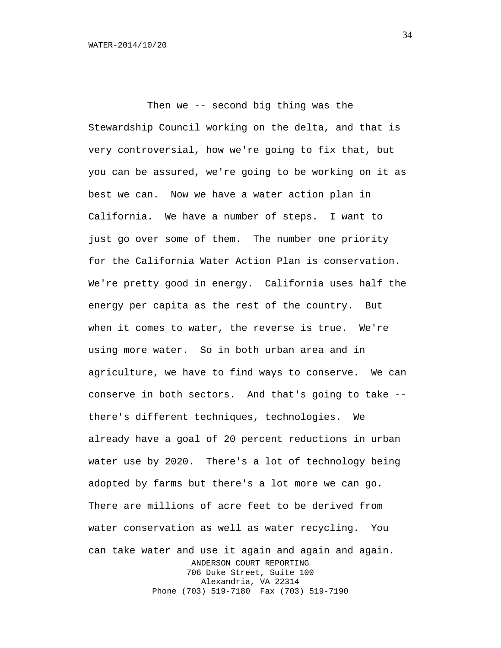Then we -- second big thing was the Stewardship Council working on the delta, and that is very controversial, how we're going to fix that, but you can be assured, we're going to be working on it as best we can. Now we have a water action plan in California. We have a number of steps. I want to just go over some of them. The number one priority for the California Water Action Plan is conservation. We're pretty good in energy. California uses half the energy per capita as the rest of the country. But when it comes to water, the reverse is true. We're using more water. So in both urban area and in agriculture, we have to find ways to conserve. We can conserve in both sectors. And that's going to take - there's different techniques, technologies. We already have a goal of 20 percent reductions in urban water use by 2020. There's a lot of technology being adopted by farms but there's a lot more we can go. There are millions of acre feet to be derived from water conservation as well as water recycling. You can take water and use it again and again and again. ANDERSON COURT REPORTING 706 Duke Street, Suite 100 Alexandria, VA 22314 Phone (703) 519-7180 Fax (703) 519-7190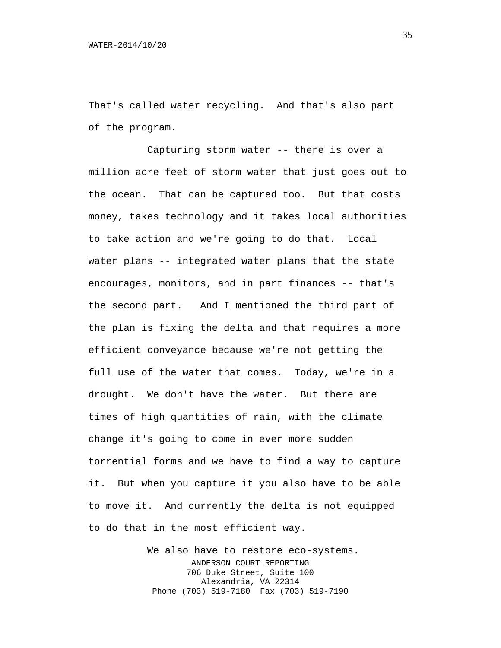That's called water recycling. And that's also part of the program.

Capturing storm water -- there is over a million acre feet of storm water that just goes out to the ocean. That can be captured too. But that costs money, takes technology and it takes local authorities to take action and we're going to do that. Local water plans -- integrated water plans that the state encourages, monitors, and in part finances -- that's the second part. And I mentioned the third part of the plan is fixing the delta and that requires a more efficient conveyance because we're not getting the full use of the water that comes. Today, we're in a drought. We don't have the water. But there are times of high quantities of rain, with the climate change it's going to come in ever more sudden torrential forms and we have to find a way to capture it. But when you capture it you also have to be able to move it. And currently the delta is not equipped to do that in the most efficient way.

> We also have to restore eco-systems. ANDERSON COURT REPORTING 706 Duke Street, Suite 100 Alexandria, VA 22314 Phone (703) 519-7180 Fax (703) 519-7190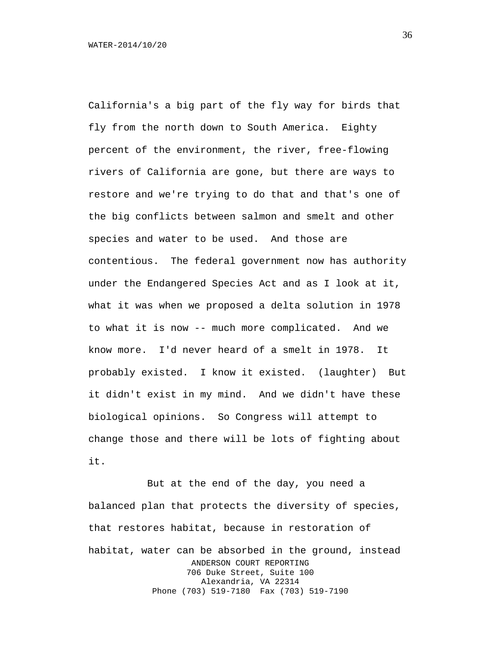California's a big part of the fly way for birds that fly from the north down to South America. Eighty percent of the environment, the river, free-flowing rivers of California are gone, but there are ways to restore and we're trying to do that and that's one of the big conflicts between salmon and smelt and other species and water to be used. And those are contentious. The federal government now has authority under the Endangered Species Act and as I look at it, what it was when we proposed a delta solution in 1978 to what it is now -- much more complicated. And we know more. I'd never heard of a smelt in 1978. It probably existed. I know it existed. (laughter) But it didn't exist in my mind. And we didn't have these biological opinions. So Congress will attempt to change those and there will be lots of fighting about it.

But at the end of the day, you need a balanced plan that protects the diversity of species, that restores habitat, because in restoration of habitat, water can be absorbed in the ground, instead ANDERSON COURT REPORTING 706 Duke Street, Suite 100 Alexandria, VA 22314 Phone (703) 519-7180 Fax (703) 519-7190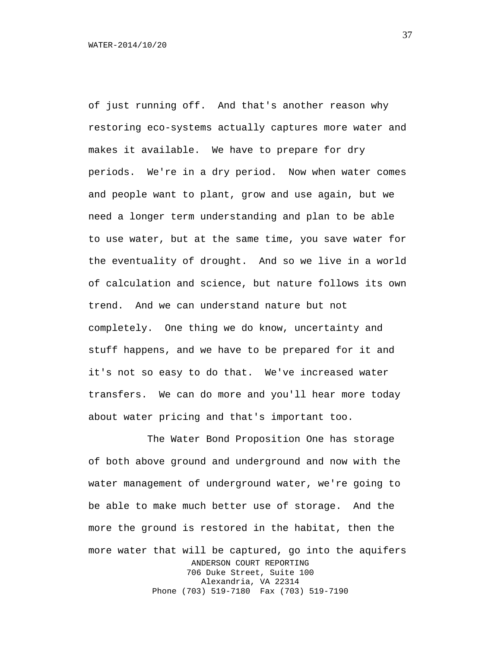of just running off. And that's another reason why restoring eco-systems actually captures more water and makes it available. We have to prepare for dry periods. We're in a dry period. Now when water comes and people want to plant, grow and use again, but we need a longer term understanding and plan to be able to use water, but at the same time, you save water for the eventuality of drought. And so we live in a world of calculation and science, but nature follows its own trend. And we can understand nature but not completely. One thing we do know, uncertainty and stuff happens, and we have to be prepared for it and it's not so easy to do that. We've increased water transfers. We can do more and you'll hear more today about water pricing and that's important too.

The Water Bond Proposition One has storage of both above ground and underground and now with the water management of underground water, we're going to be able to make much better use of storage. And the more the ground is restored in the habitat, then the more water that will be captured, go into the aquifers ANDERSON COURT REPORTING 706 Duke Street, Suite 100 Alexandria, VA 22314 Phone (703) 519-7180 Fax (703) 519-7190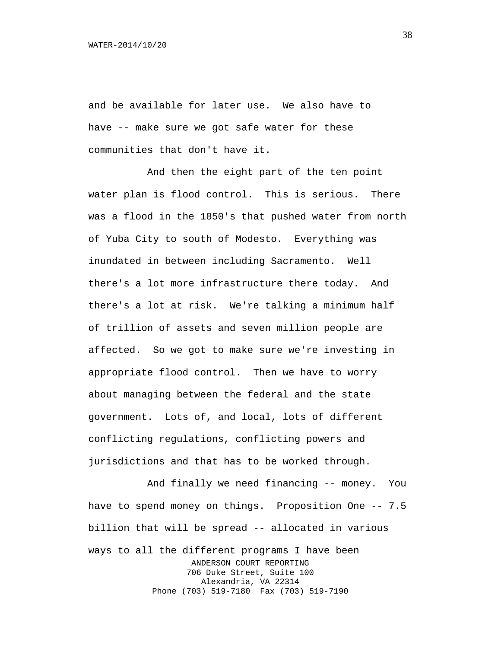and be available for later use. We also have to have -- make sure we got safe water for these communities that don't have it.

And then the eight part of the ten point water plan is flood control. This is serious. There was a flood in the 1850's that pushed water from north of Yuba City to south of Modesto. Everything was inundated in between including Sacramento. Well there's a lot more infrastructure there today. And there's a lot at risk. We're talking a minimum half of trillion of assets and seven million people are affected. So we got to make sure we're investing in appropriate flood control. Then we have to worry about managing between the federal and the state government. Lots of, and local, lots of different conflicting regulations, conflicting powers and jurisdictions and that has to be worked through.

And finally we need financing -- money. You have to spend money on things. Proposition One -- 7.5 billion that will be spread -- allocated in various ways to all the different programs I have been ANDERSON COURT REPORTING 706 Duke Street, Suite 100 Alexandria, VA 22314 Phone (703) 519-7180 Fax (703) 519-7190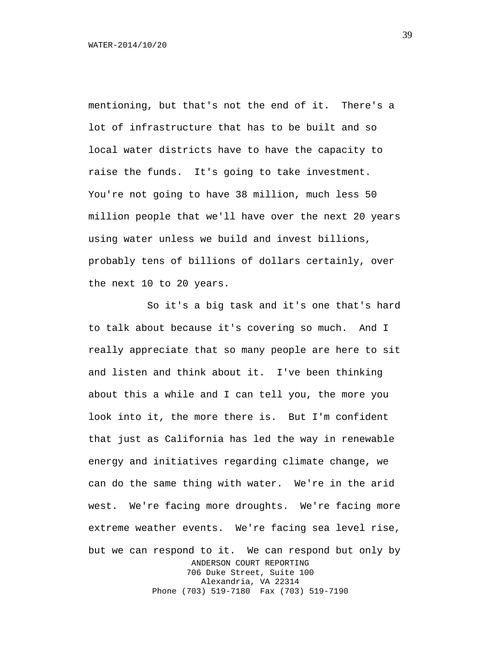mentioning, but that's not the end of it. There's a lot of infrastructure that has to be built and so local water districts have to have the capacity to raise the funds. It's going to take investment. You're not going to have 38 million, much less 50 million people that we'll have over the next 20 years using water unless we build and invest billions, probably tens of billions of dollars certainly, over the next 10 to 20 years.

So it's a big task and it's one that's hard to talk about because it's covering so much. And I really appreciate that so many people are here to sit and listen and think about it. I've been thinking about this a while and I can tell you, the more you look into it, the more there is. But I'm confident that just as California has led the way in renewable energy and initiatives regarding climate change, we can do the same thing with water. We're in the arid west. We're facing more droughts. We're facing more extreme weather events. We're facing sea level rise, but we can respond to it. We can respond but only by ANDERSON COURT REPORTING 706 Duke Street, Suite 100 Alexandria, VA 22314 Phone (703) 519-7180 Fax (703) 519-7190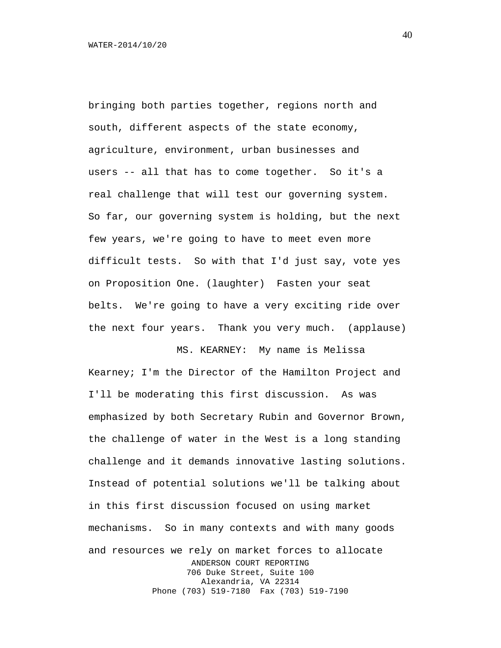bringing both parties together, regions north and south, different aspects of the state economy, agriculture, environment, urban businesses and users -- all that has to come together. So it's a real challenge that will test our governing system. So far, our governing system is holding, but the next few years, we're going to have to meet even more difficult tests. So with that I'd just say, vote yes on Proposition One. (laughter) Fasten your seat belts. We're going to have a very exciting ride over the next four years. Thank you very much. (applause)

MS. KEARNEY: My name is Melissa Kearney; I'm the Director of the Hamilton Project and I'll be moderating this first discussion. As was emphasized by both Secretary Rubin and Governor Brown, the challenge of water in the West is a long standing challenge and it demands innovative lasting solutions. Instead of potential solutions we'll be talking about in this first discussion focused on using market mechanisms. So in many contexts and with many goods and resources we rely on market forces to allocate ANDERSON COURT REPORTING 706 Duke Street, Suite 100 Alexandria, VA 22314 Phone (703) 519-7180 Fax (703) 519-7190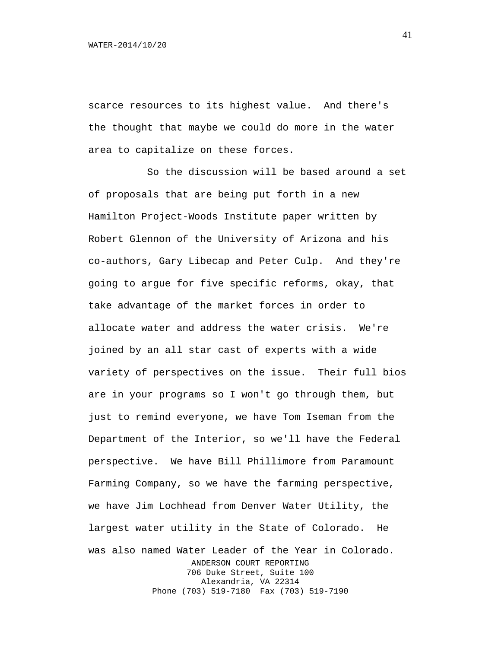scarce resources to its highest value. And there's the thought that maybe we could do more in the water area to capitalize on these forces.

So the discussion will be based around a set of proposals that are being put forth in a new Hamilton Project-Woods Institute paper written by Robert Glennon of the University of Arizona and his co-authors, Gary Libecap and Peter Culp. And they're going to argue for five specific reforms, okay, that take advantage of the market forces in order to allocate water and address the water crisis. We're joined by an all star cast of experts with a wide variety of perspectives on the issue. Their full bios are in your programs so I won't go through them, but just to remind everyone, we have Tom Iseman from the Department of the Interior, so we'll have the Federal perspective. We have Bill Phillimore from Paramount Farming Company, so we have the farming perspective, we have Jim Lochhead from Denver Water Utility, the largest water utility in the State of Colorado. He was also named Water Leader of the Year in Colorado. ANDERSON COURT REPORTING 706 Duke Street, Suite 100 Alexandria, VA 22314 Phone (703) 519-7180 Fax (703) 519-7190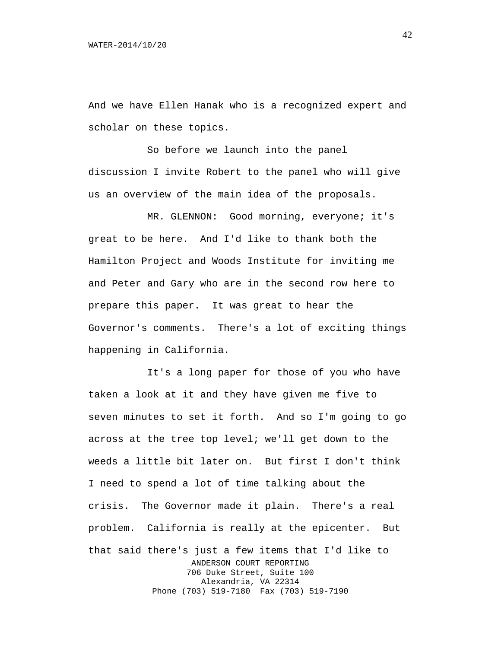And we have Ellen Hanak who is a recognized expert and scholar on these topics.

So before we launch into the panel discussion I invite Robert to the panel who will give us an overview of the main idea of the proposals.

MR. GLENNON: Good morning, everyone; it's great to be here. And I'd like to thank both the Hamilton Project and Woods Institute for inviting me and Peter and Gary who are in the second row here to prepare this paper. It was great to hear the Governor's comments. There's a lot of exciting things happening in California.

It's a long paper for those of you who have taken a look at it and they have given me five to seven minutes to set it forth. And so I'm going to go across at the tree top level; we'll get down to the weeds a little bit later on. But first I don't think I need to spend a lot of time talking about the crisis. The Governor made it plain. There's a real problem. California is really at the epicenter. But that said there's just a few items that I'd like to ANDERSON COURT REPORTING 706 Duke Street, Suite 100 Alexandria, VA 22314 Phone (703) 519-7180 Fax (703) 519-7190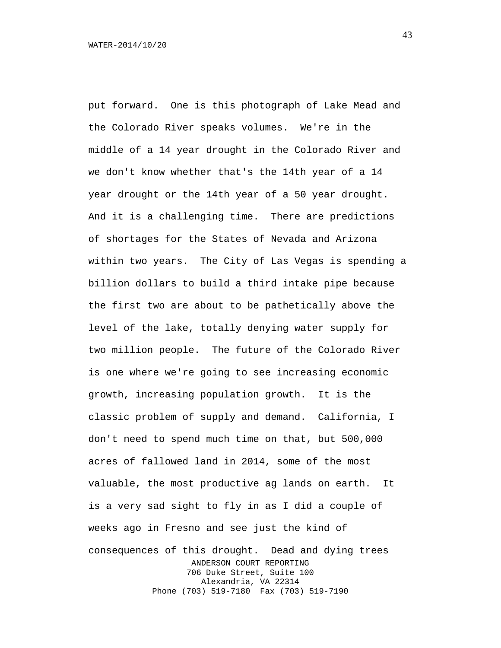put forward. One is this photograph of Lake Mead and the Colorado River speaks volumes. We're in the middle of a 14 year drought in the Colorado River and we don't know whether that's the 14th year of a 14 year drought or the 14th year of a 50 year drought. And it is a challenging time. There are predictions of shortages for the States of Nevada and Arizona within two years. The City of Las Vegas is spending a billion dollars to build a third intake pipe because the first two are about to be pathetically above the level of the lake, totally denying water supply for two million people. The future of the Colorado River is one where we're going to see increasing economic growth, increasing population growth. It is the classic problem of supply and demand. California, I don't need to spend much time on that, but 500,000 acres of fallowed land in 2014, some of the most valuable, the most productive ag lands on earth. It is a very sad sight to fly in as I did a couple of weeks ago in Fresno and see just the kind of consequences of this drought. Dead and dying trees ANDERSON COURT REPORTING 706 Duke Street, Suite 100 Alexandria, VA 22314 Phone (703) 519-7180 Fax (703) 519-7190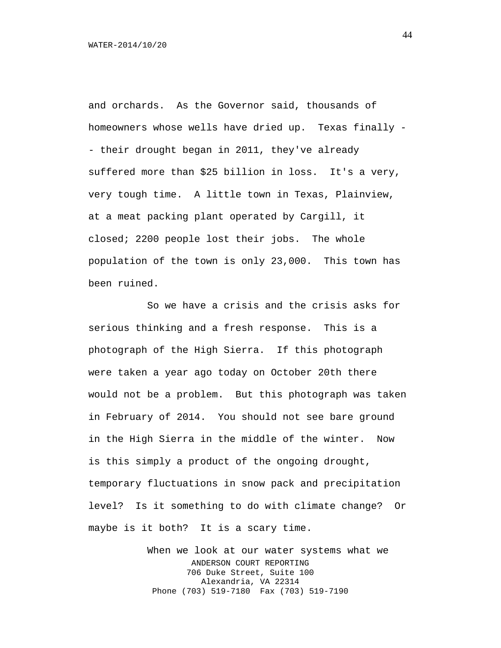and orchards. As the Governor said, thousands of homeowners whose wells have dried up. Texas finally - - their drought began in 2011, they've already suffered more than \$25 billion in loss. It's a very, very tough time. A little town in Texas, Plainview, at a meat packing plant operated by Cargill, it closed; 2200 people lost their jobs. The whole population of the town is only 23,000. This town has been ruined.

So we have a crisis and the crisis asks for serious thinking and a fresh response. This is a photograph of the High Sierra. If this photograph were taken a year ago today on October 20th there would not be a problem. But this photograph was taken in February of 2014. You should not see bare ground in the High Sierra in the middle of the winter. Now is this simply a product of the ongoing drought, temporary fluctuations in snow pack and precipitation level? Is it something to do with climate change? Or maybe is it both? It is a scary time.

> When we look at our water systems what we ANDERSON COURT REPORTING 706 Duke Street, Suite 100 Alexandria, VA 22314 Phone (703) 519-7180 Fax (703) 519-7190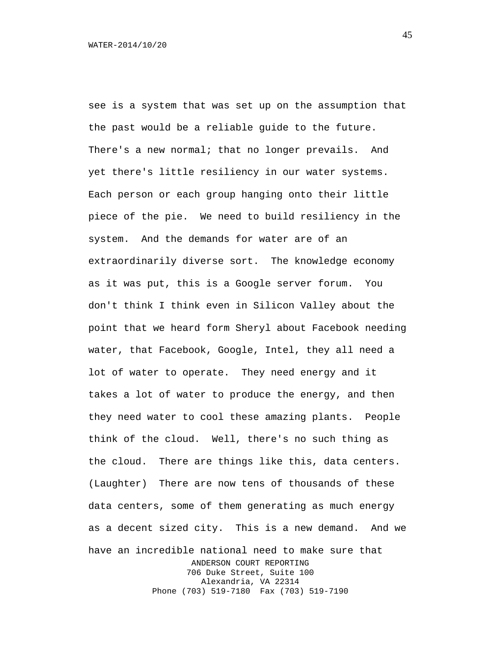see is a system that was set up on the assumption that the past would be a reliable guide to the future. There's a new normal; that no longer prevails. And yet there's little resiliency in our water systems. Each person or each group hanging onto their little piece of the pie. We need to build resiliency in the system. And the demands for water are of an extraordinarily diverse sort. The knowledge economy as it was put, this is a Google server forum. You don't think I think even in Silicon Valley about the point that we heard form Sheryl about Facebook needing water, that Facebook, Google, Intel, they all need a lot of water to operate. They need energy and it takes a lot of water to produce the energy, and then they need water to cool these amazing plants. People think of the cloud. Well, there's no such thing as the cloud. There are things like this, data centers. (Laughter) There are now tens of thousands of these data centers, some of them generating as much energy as a decent sized city. This is a new demand. And we have an incredible national need to make sure that ANDERSON COURT REPORTING 706 Duke Street, Suite 100 Alexandria, VA 22314 Phone (703) 519-7180 Fax (703) 519-7190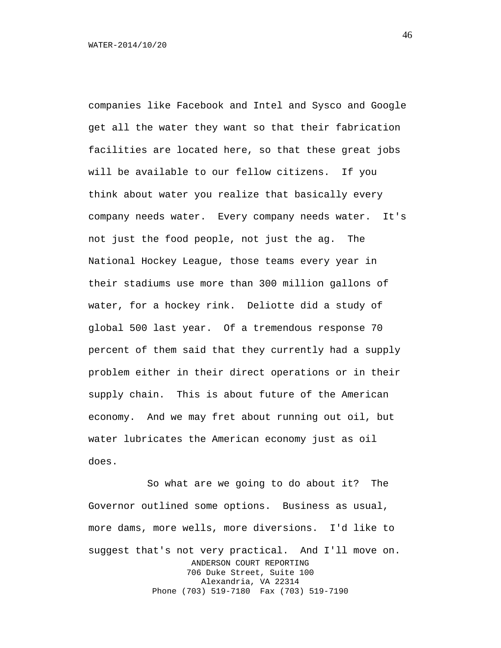companies like Facebook and Intel and Sysco and Google get all the water they want so that their fabrication facilities are located here, so that these great jobs will be available to our fellow citizens. If you think about water you realize that basically every company needs water. Every company needs water. It's not just the food people, not just the ag. The National Hockey League, those teams every year in their stadiums use more than 300 million gallons of water, for a hockey rink. Deliotte did a study of global 500 last year. Of a tremendous response 70 percent of them said that they currently had a supply problem either in their direct operations or in their supply chain. This is about future of the American economy. And we may fret about running out oil, but water lubricates the American economy just as oil does.

So what are we going to do about it? The Governor outlined some options. Business as usual, more dams, more wells, more diversions. I'd like to suggest that's not very practical. And I'll move on. ANDERSON COURT REPORTING 706 Duke Street, Suite 100 Alexandria, VA 22314 Phone (703) 519-7180 Fax (703) 519-7190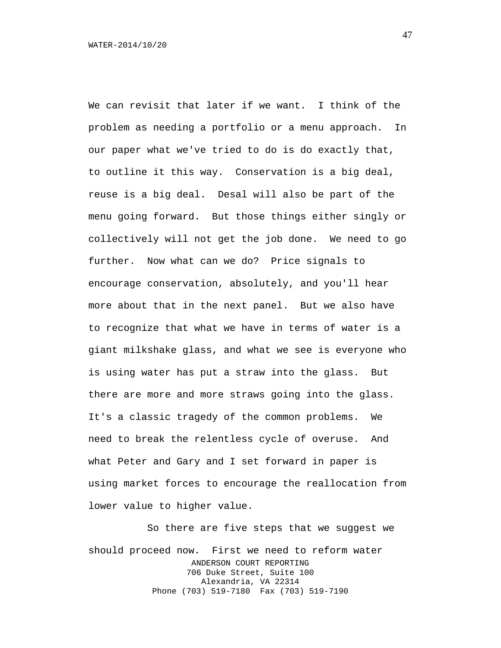We can revisit that later if we want. I think of the problem as needing a portfolio or a menu approach. In our paper what we've tried to do is do exactly that, to outline it this way. Conservation is a big deal, reuse is a big deal. Desal will also be part of the menu going forward. But those things either singly or collectively will not get the job done. We need to go further. Now what can we do? Price signals to encourage conservation, absolutely, and you'll hear more about that in the next panel. But we also have to recognize that what we have in terms of water is a giant milkshake glass, and what we see is everyone who is using water has put a straw into the glass. But there are more and more straws going into the glass. It's a classic tragedy of the common problems. We need to break the relentless cycle of overuse. And what Peter and Gary and I set forward in paper is using market forces to encourage the reallocation from lower value to higher value.

So there are five steps that we suggest we should proceed now. First we need to reform water ANDERSON COURT REPORTING 706 Duke Street, Suite 100 Alexandria, VA 22314 Phone (703) 519-7180 Fax (703) 519-7190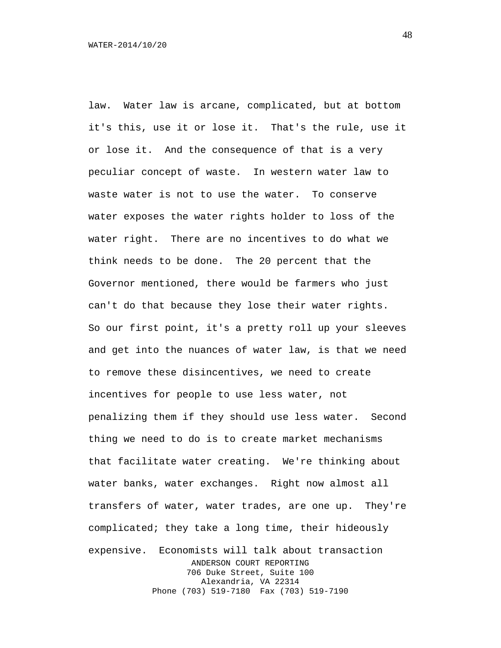law. Water law is arcane, complicated, but at bottom it's this, use it or lose it. That's the rule, use it or lose it. And the consequence of that is a very peculiar concept of waste. In western water law to waste water is not to use the water. To conserve water exposes the water rights holder to loss of the water right. There are no incentives to do what we think needs to be done. The 20 percent that the Governor mentioned, there would be farmers who just can't do that because they lose their water rights. So our first point, it's a pretty roll up your sleeves and get into the nuances of water law, is that we need to remove these disincentives, we need to create incentives for people to use less water, not penalizing them if they should use less water. Second thing we need to do is to create market mechanisms that facilitate water creating. We're thinking about water banks, water exchanges. Right now almost all transfers of water, water trades, are one up. They're complicated; they take a long time, their hideously expensive. Economists will talk about transaction ANDERSON COURT REPORTING 706 Duke Street, Suite 100 Alexandria, VA 22314 Phone (703) 519-7180 Fax (703) 519-7190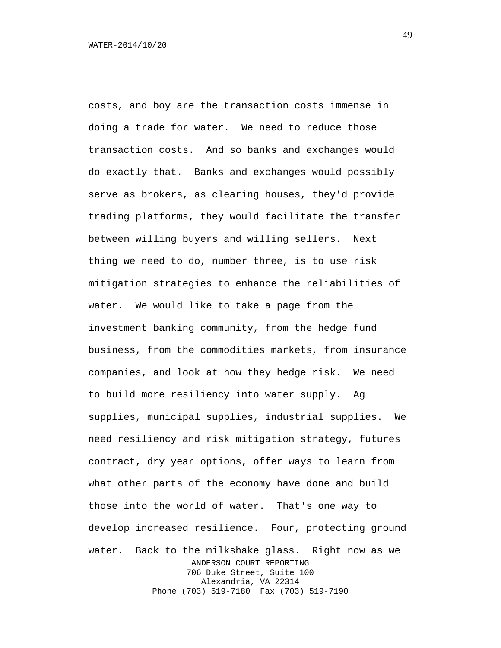costs, and boy are the transaction costs immense in doing a trade for water. We need to reduce those transaction costs. And so banks and exchanges would do exactly that. Banks and exchanges would possibly serve as brokers, as clearing houses, they'd provide trading platforms, they would facilitate the transfer between willing buyers and willing sellers. Next thing we need to do, number three, is to use risk mitigation strategies to enhance the reliabilities of water. We would like to take a page from the investment banking community, from the hedge fund business, from the commodities markets, from insurance companies, and look at how they hedge risk. We need to build more resiliency into water supply. Ag supplies, municipal supplies, industrial supplies. We need resiliency and risk mitigation strategy, futures contract, dry year options, offer ways to learn from what other parts of the economy have done and build those into the world of water. That's one way to develop increased resilience. Four, protecting ground water. Back to the milkshake glass. Right now as we ANDERSON COURT REPORTING 706 Duke Street, Suite 100 Alexandria, VA 22314 Phone (703) 519-7180 Fax (703) 519-7190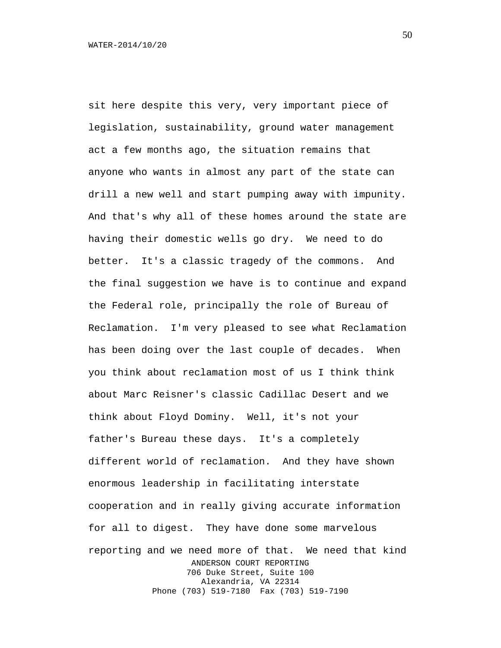sit here despite this very, very important piece of legislation, sustainability, ground water management act a few months ago, the situation remains that anyone who wants in almost any part of the state can drill a new well and start pumping away with impunity. And that's why all of these homes around the state are having their domestic wells go dry. We need to do better. It's a classic tragedy of the commons. And the final suggestion we have is to continue and expand the Federal role, principally the role of Bureau of Reclamation. I'm very pleased to see what Reclamation has been doing over the last couple of decades. When you think about reclamation most of us I think think about Marc Reisner's classic Cadillac Desert and we think about Floyd Dominy. Well, it's not your father's Bureau these days. It's a completely different world of reclamation. And they have shown enormous leadership in facilitating interstate cooperation and in really giving accurate information for all to digest. They have done some marvelous reporting and we need more of that. We need that kind ANDERSON COURT REPORTING 706 Duke Street, Suite 100 Alexandria, VA 22314 Phone (703) 519-7180 Fax (703) 519-7190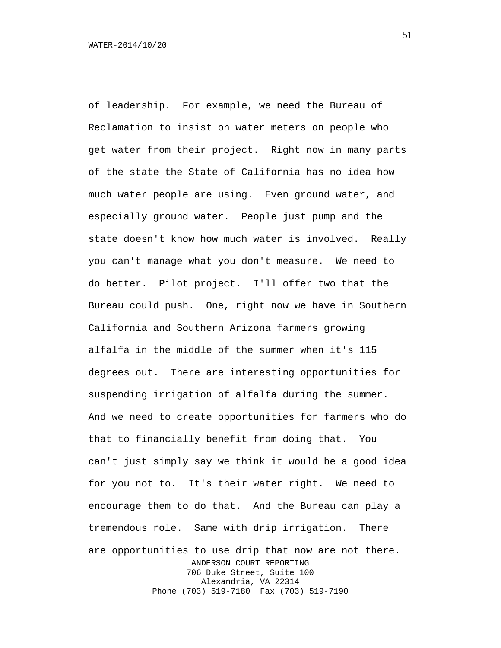of leadership. For example, we need the Bureau of Reclamation to insist on water meters on people who get water from their project. Right now in many parts of the state the State of California has no idea how much water people are using. Even ground water, and especially ground water. People just pump and the state doesn't know how much water is involved. Really you can't manage what you don't measure. We need to do better. Pilot project. I'll offer two that the Bureau could push. One, right now we have in Southern California and Southern Arizona farmers growing alfalfa in the middle of the summer when it's 115 degrees out. There are interesting opportunities for suspending irrigation of alfalfa during the summer. And we need to create opportunities for farmers who do that to financially benefit from doing that. You can't just simply say we think it would be a good idea for you not to. It's their water right. We need to encourage them to do that. And the Bureau can play a tremendous role. Same with drip irrigation. There are opportunities to use drip that now are not there. ANDERSON COURT REPORTING 706 Duke Street, Suite 100 Alexandria, VA 22314 Phone (703) 519-7180 Fax (703) 519-7190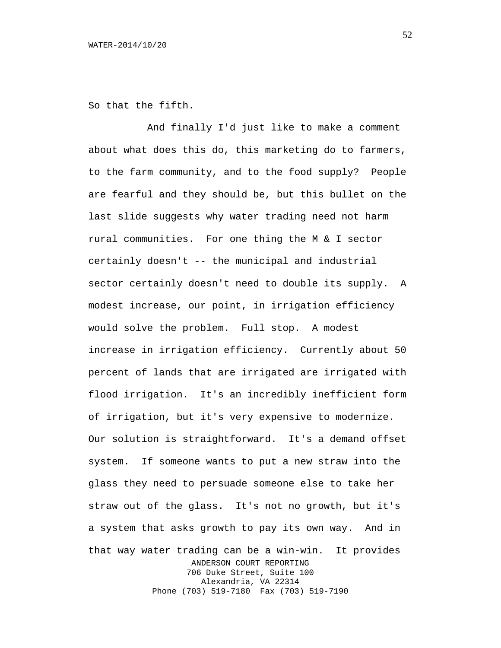So that the fifth.

And finally I'd just like to make a comment about what does this do, this marketing do to farmers, to the farm community, and to the food supply? People are fearful and they should be, but this bullet on the last slide suggests why water trading need not harm rural communities. For one thing the M & I sector certainly doesn't -- the municipal and industrial sector certainly doesn't need to double its supply. A modest increase, our point, in irrigation efficiency would solve the problem. Full stop. A modest increase in irrigation efficiency. Currently about 50 percent of lands that are irrigated are irrigated with flood irrigation. It's an incredibly inefficient form of irrigation, but it's very expensive to modernize. Our solution is straightforward. It's a demand offset system. If someone wants to put a new straw into the glass they need to persuade someone else to take her straw out of the glass. It's not no growth, but it's a system that asks growth to pay its own way. And in that way water trading can be a win-win. It provides ANDERSON COURT REPORTING 706 Duke Street, Suite 100 Alexandria, VA 22314 Phone (703) 519-7180 Fax (703) 519-7190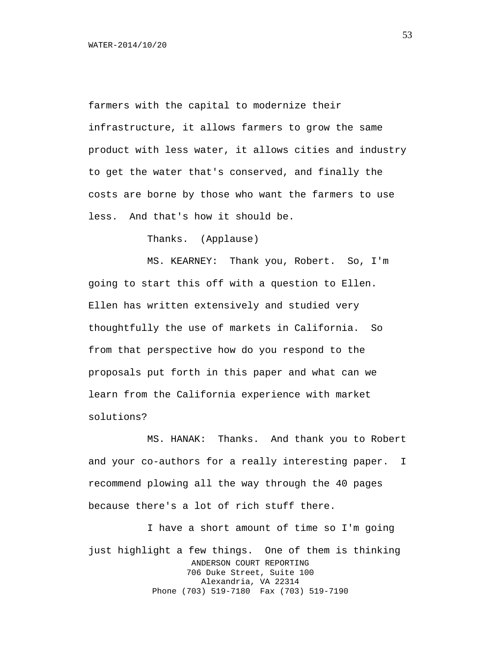farmers with the capital to modernize their infrastructure, it allows farmers to grow the same product with less water, it allows cities and industry to get the water that's conserved, and finally the costs are borne by those who want the farmers to use less. And that's how it should be.

Thanks. (Applause)

MS. KEARNEY: Thank you, Robert. So, I'm going to start this off with a question to Ellen. Ellen has written extensively and studied very thoughtfully the use of markets in California. So from that perspective how do you respond to the proposals put forth in this paper and what can we learn from the California experience with market solutions?

MS. HANAK: Thanks. And thank you to Robert and your co-authors for a really interesting paper. I recommend plowing all the way through the 40 pages because there's a lot of rich stuff there.

I have a short amount of time so I'm going just highlight a few things. One of them is thinking ANDERSON COURT REPORTING 706 Duke Street, Suite 100 Alexandria, VA 22314 Phone (703) 519-7180 Fax (703) 519-7190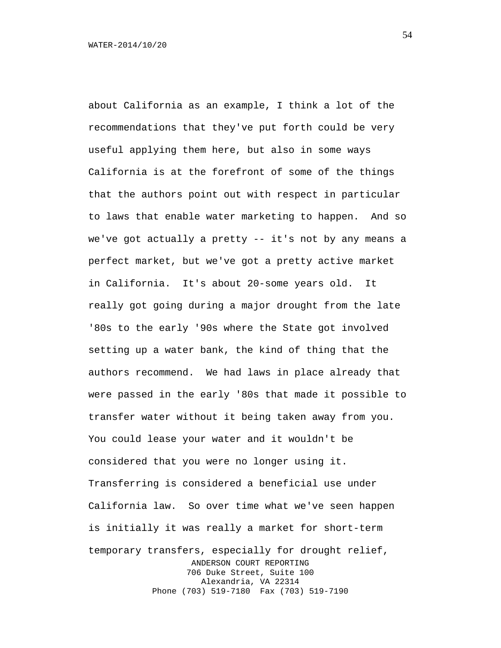about California as an example, I think a lot of the recommendations that they've put forth could be very useful applying them here, but also in some ways California is at the forefront of some of the things that the authors point out with respect in particular to laws that enable water marketing to happen. And so we've got actually a pretty -- it's not by any means a perfect market, but we've got a pretty active market in California. It's about 20-some years old. It really got going during a major drought from the late '80s to the early '90s where the State got involved setting up a water bank, the kind of thing that the authors recommend. We had laws in place already that were passed in the early '80s that made it possible to transfer water without it being taken away from you. You could lease your water and it wouldn't be considered that you were no longer using it. Transferring is considered a beneficial use under California law. So over time what we've seen happen is initially it was really a market for short-term temporary transfers, especially for drought relief, ANDERSON COURT REPORTING 706 Duke Street, Suite 100 Alexandria, VA 22314 Phone (703) 519-7180 Fax (703) 519-7190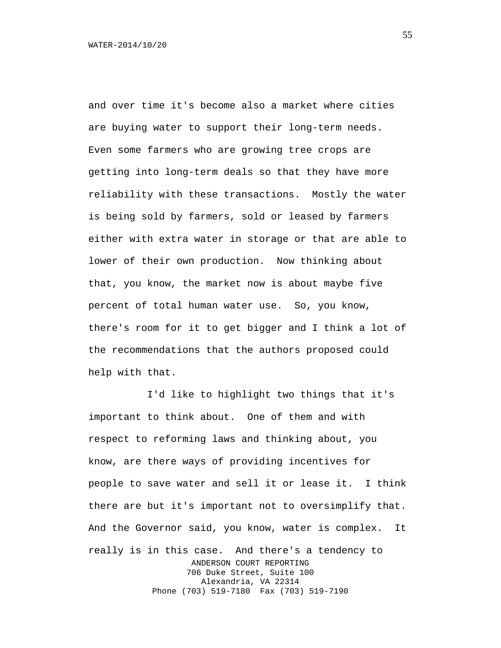and over time it's become also a market where cities are buying water to support their long-term needs. Even some farmers who are growing tree crops are getting into long-term deals so that they have more reliability with these transactions. Mostly the water is being sold by farmers, sold or leased by farmers either with extra water in storage or that are able to lower of their own production. Now thinking about that, you know, the market now is about maybe five percent of total human water use. So, you know, there's room for it to get bigger and I think a lot of the recommendations that the authors proposed could help with that.

I'd like to highlight two things that it's important to think about. One of them and with respect to reforming laws and thinking about, you know, are there ways of providing incentives for people to save water and sell it or lease it. I think there are but it's important not to oversimplify that. And the Governor said, you know, water is complex. It really is in this case. And there's a tendency to ANDERSON COURT REPORTING 706 Duke Street, Suite 100 Alexandria, VA 22314 Phone (703) 519-7180 Fax (703) 519-7190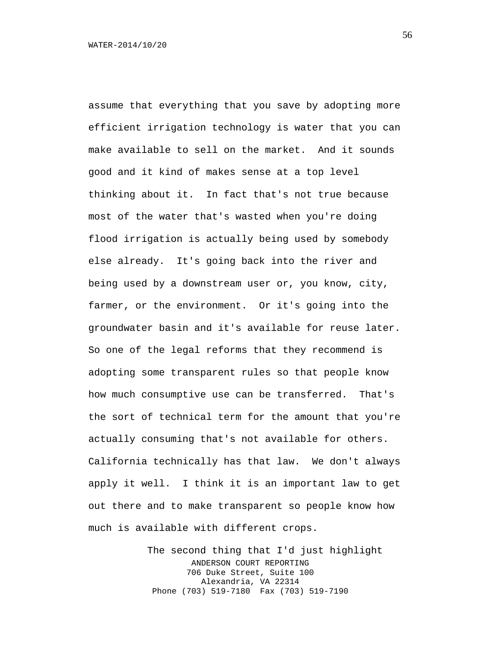assume that everything that you save by adopting more efficient irrigation technology is water that you can make available to sell on the market. And it sounds good and it kind of makes sense at a top level thinking about it. In fact that's not true because most of the water that's wasted when you're doing flood irrigation is actually being used by somebody else already. It's going back into the river and being used by a downstream user or, you know, city, farmer, or the environment. Or it's going into the groundwater basin and it's available for reuse later. So one of the legal reforms that they recommend is adopting some transparent rules so that people know how much consumptive use can be transferred. That's the sort of technical term for the amount that you're actually consuming that's not available for others. California technically has that law. We don't always apply it well. I think it is an important law to get out there and to make transparent so people know how much is available with different crops.

> The second thing that I'd just highlight ANDERSON COURT REPORTING 706 Duke Street, Suite 100 Alexandria, VA 22314 Phone (703) 519-7180 Fax (703) 519-7190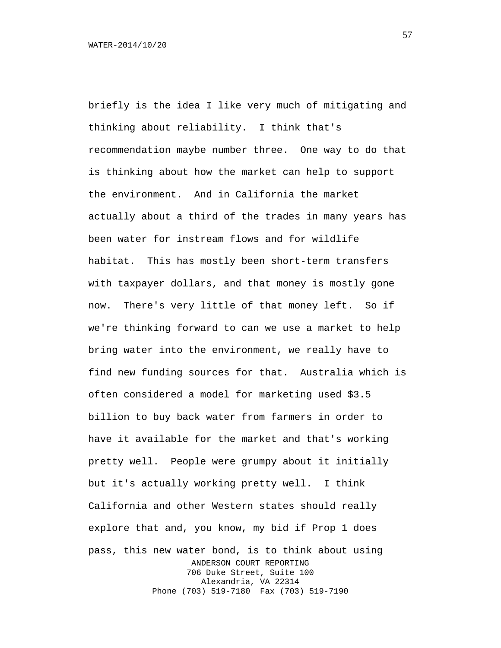briefly is the idea I like very much of mitigating and thinking about reliability. I think that's recommendation maybe number three. One way to do that is thinking about how the market can help to support the environment. And in California the market actually about a third of the trades in many years has been water for instream flows and for wildlife habitat. This has mostly been short-term transfers with taxpayer dollars, and that money is mostly gone now. There's very little of that money left. So if we're thinking forward to can we use a market to help bring water into the environment, we really have to find new funding sources for that. Australia which is often considered a model for marketing used \$3.5 billion to buy back water from farmers in order to have it available for the market and that's working pretty well. People were grumpy about it initially but it's actually working pretty well. I think California and other Western states should really explore that and, you know, my bid if Prop 1 does pass, this new water bond, is to think about using ANDERSON COURT REPORTING 706 Duke Street, Suite 100 Alexandria, VA 22314 Phone (703) 519-7180 Fax (703) 519-7190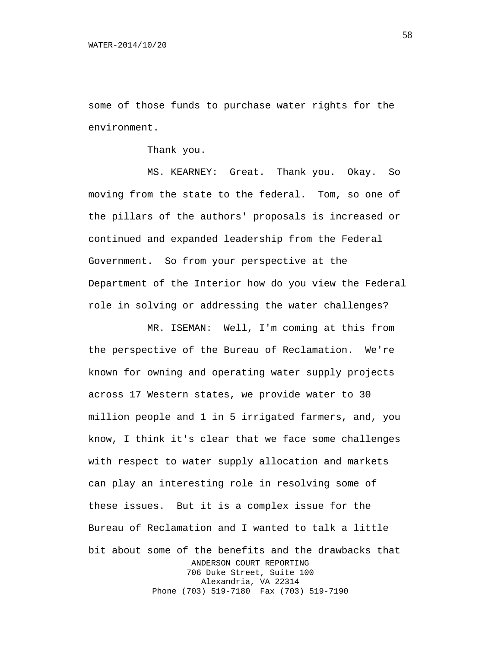some of those funds to purchase water rights for the environment.

Thank you.

MS. KEARNEY: Great. Thank you. Okay. So moving from the state to the federal. Tom, so one of the pillars of the authors' proposals is increased or continued and expanded leadership from the Federal Government. So from your perspective at the Department of the Interior how do you view the Federal role in solving or addressing the water challenges?

MR. ISEMAN: Well, I'm coming at this from the perspective of the Bureau of Reclamation. We're known for owning and operating water supply projects across 17 Western states, we provide water to 30 million people and 1 in 5 irrigated farmers, and, you know, I think it's clear that we face some challenges with respect to water supply allocation and markets can play an interesting role in resolving some of these issues. But it is a complex issue for the Bureau of Reclamation and I wanted to talk a little bit about some of the benefits and the drawbacks that ANDERSON COURT REPORTING 706 Duke Street, Suite 100 Alexandria, VA 22314 Phone (703) 519-7180 Fax (703) 519-7190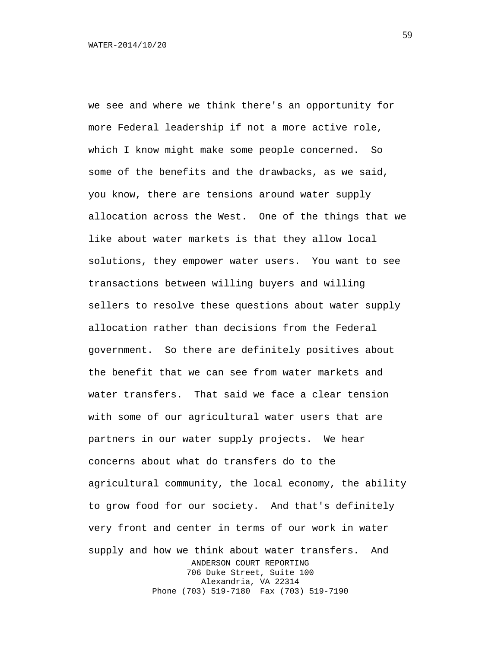we see and where we think there's an opportunity for more Federal leadership if not a more active role, which I know might make some people concerned. So some of the benefits and the drawbacks, as we said, you know, there are tensions around water supply allocation across the West. One of the things that we like about water markets is that they allow local solutions, they empower water users. You want to see transactions between willing buyers and willing sellers to resolve these questions about water supply allocation rather than decisions from the Federal government. So there are definitely positives about the benefit that we can see from water markets and water transfers. That said we face a clear tension with some of our agricultural water users that are partners in our water supply projects. We hear concerns about what do transfers do to the agricultural community, the local economy, the ability to grow food for our society. And that's definitely very front and center in terms of our work in water supply and how we think about water transfers. And ANDERSON COURT REPORTING 706 Duke Street, Suite 100 Alexandria, VA 22314 Phone (703) 519-7180 Fax (703) 519-7190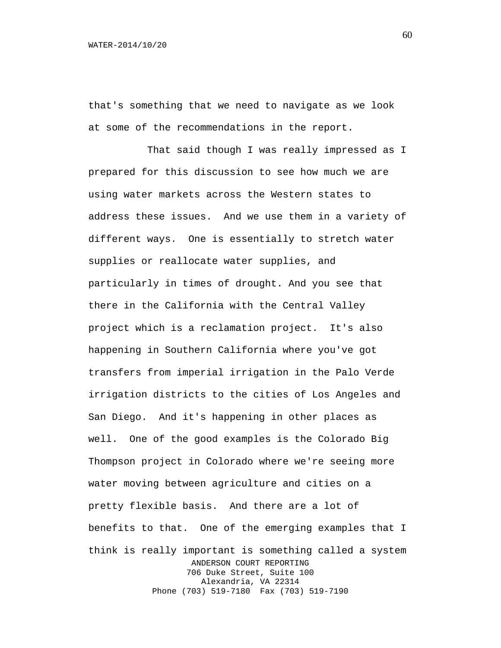that's something that we need to navigate as we look at some of the recommendations in the report.

That said though I was really impressed as I prepared for this discussion to see how much we are using water markets across the Western states to address these issues. And we use them in a variety of different ways. One is essentially to stretch water supplies or reallocate water supplies, and particularly in times of drought. And you see that there in the California with the Central Valley project which is a reclamation project. It's also happening in Southern California where you've got transfers from imperial irrigation in the Palo Verde irrigation districts to the cities of Los Angeles and San Diego. And it's happening in other places as well. One of the good examples is the Colorado Big Thompson project in Colorado where we're seeing more water moving between agriculture and cities on a pretty flexible basis. And there are a lot of benefits to that. One of the emerging examples that I think is really important is something called a system ANDERSON COURT REPORTING 706 Duke Street, Suite 100 Alexandria, VA 22314 Phone (703) 519-7180 Fax (703) 519-7190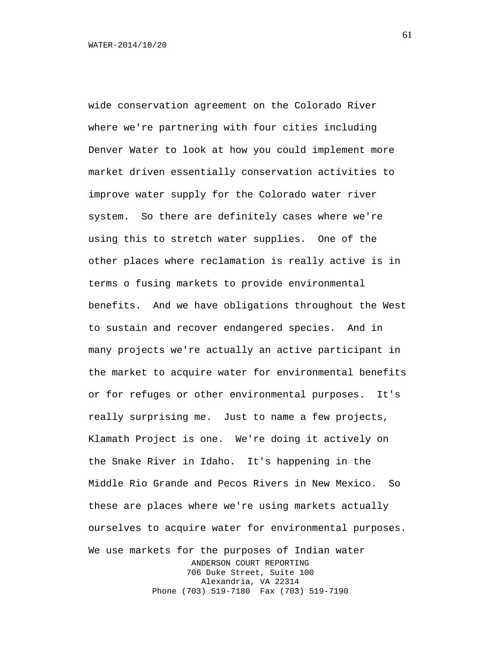wide conservation agreement on the Colorado River where we're partnering with four cities including Denver Water to look at how you could implement more market driven essentially conservation activities to improve water supply for the Colorado water river system. So there are definitely cases where we're using this to stretch water supplies. One of the other places where reclamation is really active is in terms o fusing markets to provide environmental benefits. And we have obligations throughout the West to sustain and recover endangered species. And in many projects we're actually an active participant in the market to acquire water for environmental benefits or for refuges or other environmental purposes. It's really surprising me. Just to name a few projects, Klamath Project is one. We're doing it actively on the Snake River in Idaho. It's happening in the Middle Rio Grande and Pecos Rivers in New Mexico. So these are places where we're using markets actually ourselves to acquire water for environmental purposes. We use markets for the purposes of Indian water ANDERSON COURT REPORTING 706 Duke Street, Suite 100 Alexandria, VA 22314 Phone (703) 519-7180 Fax (703) 519-7190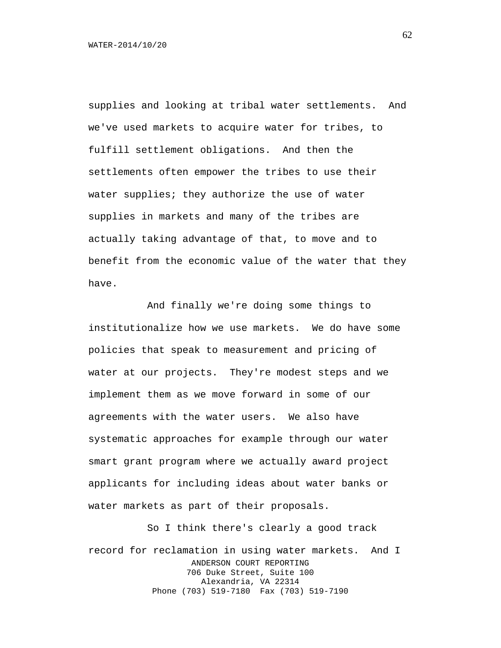supplies and looking at tribal water settlements. And we've used markets to acquire water for tribes, to fulfill settlement obligations. And then the settlements often empower the tribes to use their water supplies; they authorize the use of water supplies in markets and many of the tribes are actually taking advantage of that, to move and to benefit from the economic value of the water that they have.

And finally we're doing some things to institutionalize how we use markets. We do have some policies that speak to measurement and pricing of water at our projects. They're modest steps and we implement them as we move forward in some of our agreements with the water users. We also have systematic approaches for example through our water smart grant program where we actually award project applicants for including ideas about water banks or water markets as part of their proposals.

So I think there's clearly a good track record for reclamation in using water markets. And I ANDERSON COURT REPORTING 706 Duke Street, Suite 100 Alexandria, VA 22314 Phone (703) 519-7180 Fax (703) 519-7190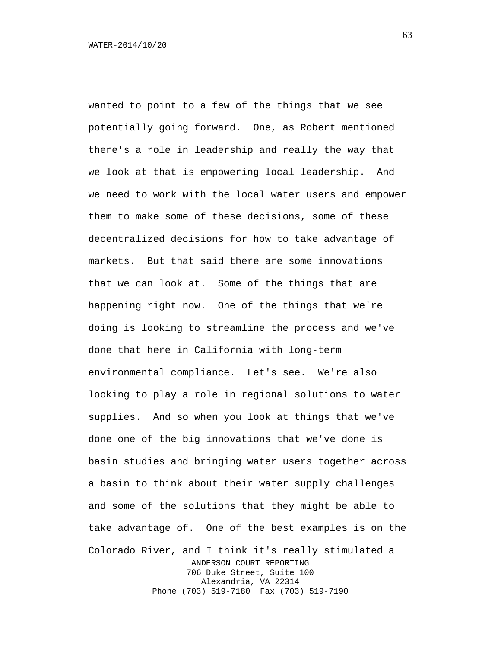wanted to point to a few of the things that we see potentially going forward. One, as Robert mentioned there's a role in leadership and really the way that we look at that is empowering local leadership. And we need to work with the local water users and empower them to make some of these decisions, some of these decentralized decisions for how to take advantage of markets. But that said there are some innovations that we can look at. Some of the things that are happening right now. One of the things that we're doing is looking to streamline the process and we've done that here in California with long-term environmental compliance. Let's see. We're also looking to play a role in regional solutions to water supplies. And so when you look at things that we've done one of the big innovations that we've done is basin studies and bringing water users together across a basin to think about their water supply challenges and some of the solutions that they might be able to take advantage of. One of the best examples is on the Colorado River, and I think it's really stimulated a ANDERSON COURT REPORTING 706 Duke Street, Suite 100 Alexandria, VA 22314 Phone (703) 519-7180 Fax (703) 519-7190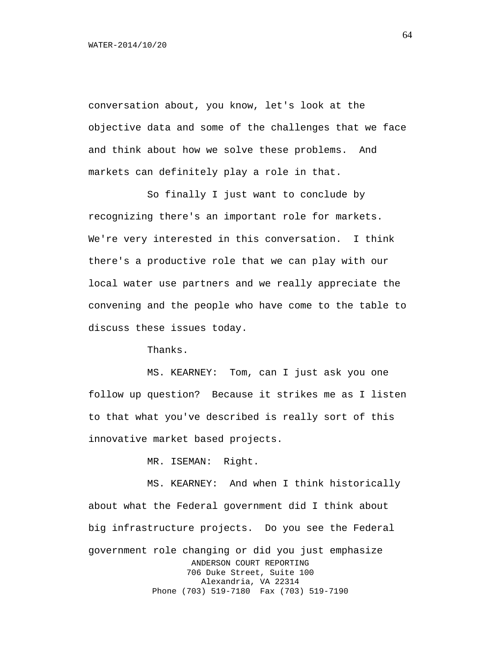conversation about, you know, let's look at the objective data and some of the challenges that we face and think about how we solve these problems. And markets can definitely play a role in that.

So finally I just want to conclude by recognizing there's an important role for markets. We're very interested in this conversation. I think there's a productive role that we can play with our local water use partners and we really appreciate the convening and the people who have come to the table to discuss these issues today.

Thanks.

MS. KEARNEY: Tom, can I just ask you one follow up question? Because it strikes me as I listen to that what you've described is really sort of this innovative market based projects.

MR. ISEMAN: Right.

MS. KEARNEY: And when I think historically about what the Federal government did I think about big infrastructure projects. Do you see the Federal government role changing or did you just emphasize ANDERSON COURT REPORTING 706 Duke Street, Suite 100 Alexandria, VA 22314 Phone (703) 519-7180 Fax (703) 519-7190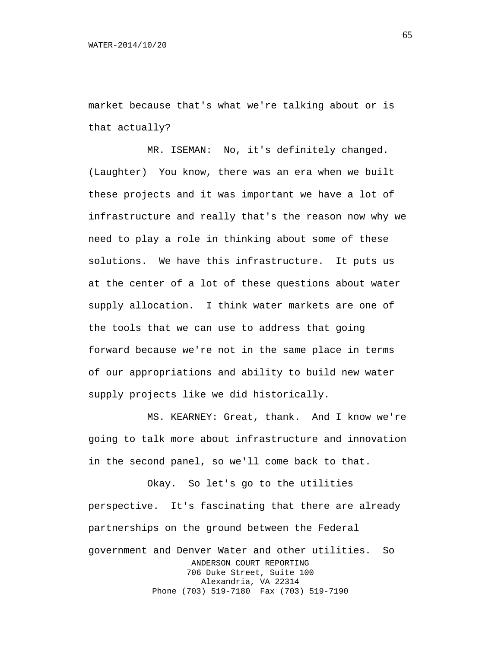market because that's what we're talking about or is that actually?

MR. ISEMAN: No, it's definitely changed. (Laughter) You know, there was an era when we built these projects and it was important we have a lot of infrastructure and really that's the reason now why we need to play a role in thinking about some of these solutions. We have this infrastructure. It puts us at the center of a lot of these questions about water supply allocation. I think water markets are one of the tools that we can use to address that going forward because we're not in the same place in terms of our appropriations and ability to build new water supply projects like we did historically.

MS. KEARNEY: Great, thank. And I know we're going to talk more about infrastructure and innovation in the second panel, so we'll come back to that.

Okay. So let's go to the utilities perspective. It's fascinating that there are already partnerships on the ground between the Federal government and Denver Water and other utilities. So ANDERSON COURT REPORTING 706 Duke Street, Suite 100 Alexandria, VA 22314 Phone (703) 519-7180 Fax (703) 519-7190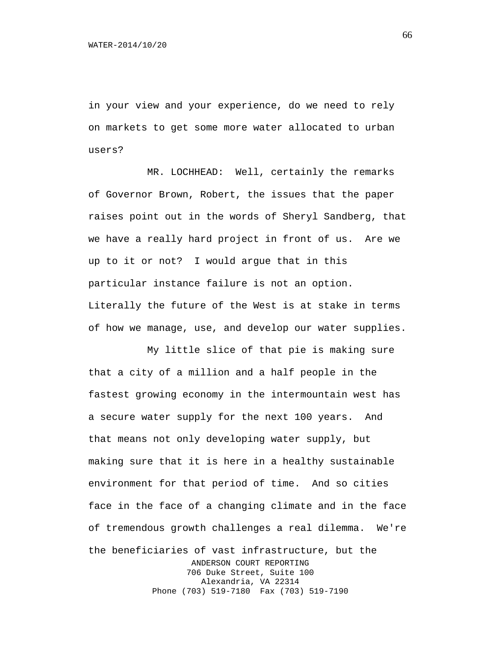in your view and your experience, do we need to rely on markets to get some more water allocated to urban users?

MR. LOCHHEAD: Well, certainly the remarks of Governor Brown, Robert, the issues that the paper raises point out in the words of Sheryl Sandberg, that we have a really hard project in front of us. Are we up to it or not? I would argue that in this particular instance failure is not an option. Literally the future of the West is at stake in terms of how we manage, use, and develop our water supplies.

My little slice of that pie is making sure that a city of a million and a half people in the fastest growing economy in the intermountain west has a secure water supply for the next 100 years. And that means not only developing water supply, but making sure that it is here in a healthy sustainable environment for that period of time. And so cities face in the face of a changing climate and in the face of tremendous growth challenges a real dilemma. We're the beneficiaries of vast infrastructure, but the ANDERSON COURT REPORTING 706 Duke Street, Suite 100 Alexandria, VA 22314 Phone (703) 519-7180 Fax (703) 519-7190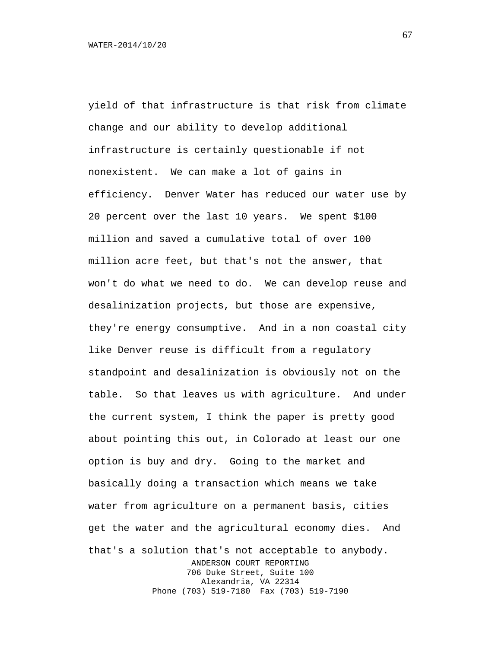yield of that infrastructure is that risk from climate change and our ability to develop additional infrastructure is certainly questionable if not nonexistent. We can make a lot of gains in efficiency. Denver Water has reduced our water use by 20 percent over the last 10 years. We spent \$100 million and saved a cumulative total of over 100 million acre feet, but that's not the answer, that won't do what we need to do. We can develop reuse and desalinization projects, but those are expensive, they're energy consumptive. And in a non coastal city like Denver reuse is difficult from a regulatory standpoint and desalinization is obviously not on the table. So that leaves us with agriculture. And under the current system, I think the paper is pretty good about pointing this out, in Colorado at least our one option is buy and dry. Going to the market and basically doing a transaction which means we take water from agriculture on a permanent basis, cities get the water and the agricultural economy dies. And that's a solution that's not acceptable to anybody. ANDERSON COURT REPORTING 706 Duke Street, Suite 100 Alexandria, VA 22314 Phone (703) 519-7180 Fax (703) 519-7190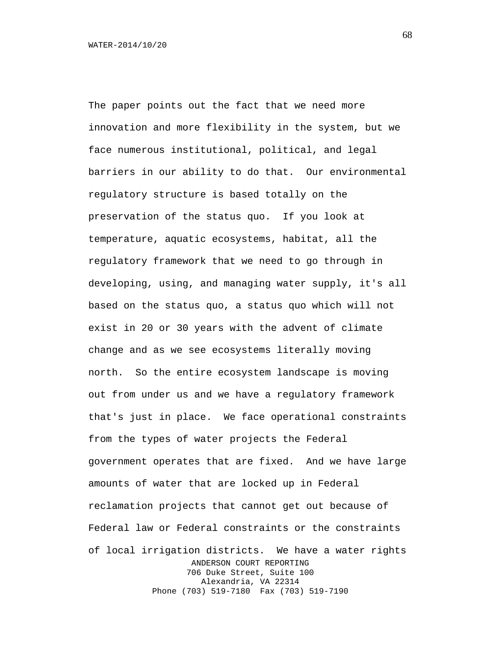The paper points out the fact that we need more innovation and more flexibility in the system, but we face numerous institutional, political, and legal barriers in our ability to do that. Our environmental regulatory structure is based totally on the preservation of the status quo. If you look at temperature, aquatic ecosystems, habitat, all the regulatory framework that we need to go through in developing, using, and managing water supply, it's all based on the status quo, a status quo which will not exist in 20 or 30 years with the advent of climate change and as we see ecosystems literally moving north. So the entire ecosystem landscape is moving out from under us and we have a regulatory framework that's just in place. We face operational constraints from the types of water projects the Federal government operates that are fixed. And we have large amounts of water that are locked up in Federal reclamation projects that cannot get out because of Federal law or Federal constraints or the constraints of local irrigation districts. We have a water rights ANDERSON COURT REPORTING 706 Duke Street, Suite 100 Alexandria, VA 22314 Phone (703) 519-7180 Fax (703) 519-7190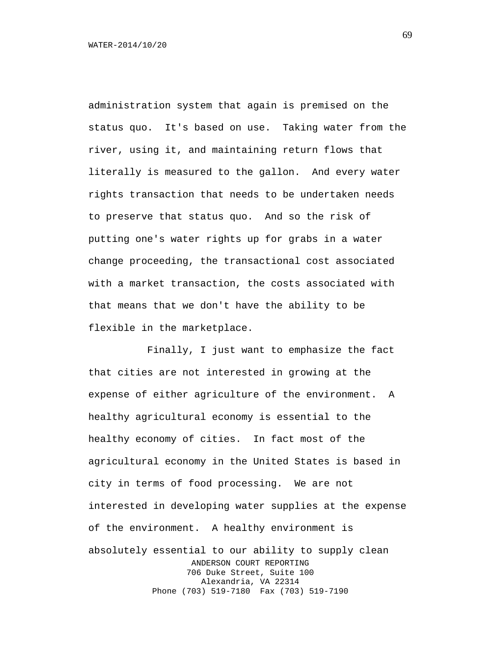administration system that again is premised on the status quo. It's based on use. Taking water from the river, using it, and maintaining return flows that literally is measured to the gallon. And every water rights transaction that needs to be undertaken needs to preserve that status quo. And so the risk of putting one's water rights up for grabs in a water change proceeding, the transactional cost associated with a market transaction, the costs associated with that means that we don't have the ability to be flexible in the marketplace.

Finally, I just want to emphasize the fact that cities are not interested in growing at the expense of either agriculture of the environment. A healthy agricultural economy is essential to the healthy economy of cities. In fact most of the agricultural economy in the United States is based in city in terms of food processing. We are not interested in developing water supplies at the expense of the environment. A healthy environment is absolutely essential to our ability to supply clean ANDERSON COURT REPORTING 706 Duke Street, Suite 100 Alexandria, VA 22314 Phone (703) 519-7180 Fax (703) 519-7190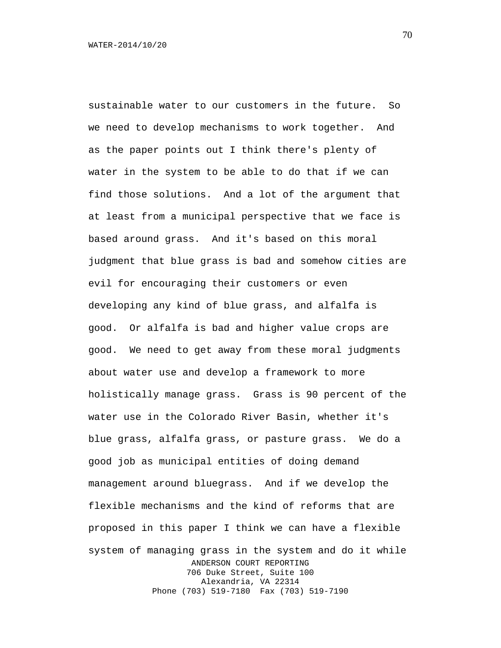sustainable water to our customers in the future. So we need to develop mechanisms to work together. And as the paper points out I think there's plenty of water in the system to be able to do that if we can find those solutions. And a lot of the argument that at least from a municipal perspective that we face is based around grass. And it's based on this moral judgment that blue grass is bad and somehow cities are evil for encouraging their customers or even developing any kind of blue grass, and alfalfa is good. Or alfalfa is bad and higher value crops are good. We need to get away from these moral judgments about water use and develop a framework to more holistically manage grass. Grass is 90 percent of the water use in the Colorado River Basin, whether it's blue grass, alfalfa grass, or pasture grass. We do a good job as municipal entities of doing demand management around bluegrass. And if we develop the flexible mechanisms and the kind of reforms that are proposed in this paper I think we can have a flexible system of managing grass in the system and do it while ANDERSON COURT REPORTING 706 Duke Street, Suite 100 Alexandria, VA 22314 Phone (703) 519-7180 Fax (703) 519-7190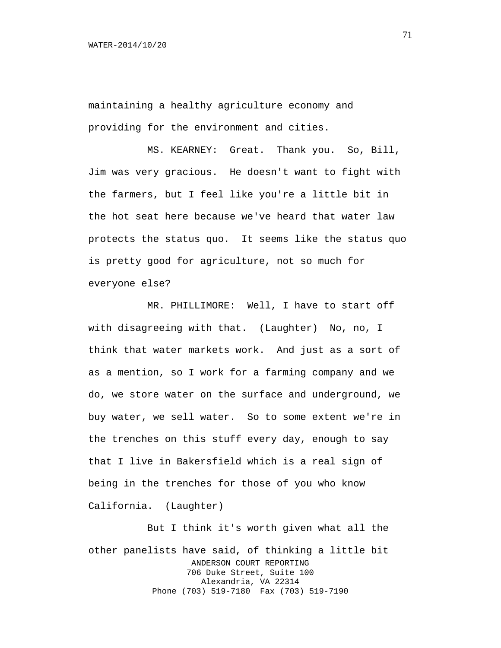maintaining a healthy agriculture economy and providing for the environment and cities.

MS. KEARNEY: Great. Thank you. So, Bill, Jim was very gracious. He doesn't want to fight with the farmers, but I feel like you're a little bit in the hot seat here because we've heard that water law protects the status quo. It seems like the status quo is pretty good for agriculture, not so much for everyone else?

MR. PHILLIMORE: Well, I have to start off with disagreeing with that. (Laughter) No, no, I think that water markets work. And just as a sort of as a mention, so I work for a farming company and we do, we store water on the surface and underground, we buy water, we sell water. So to some extent we're in the trenches on this stuff every day, enough to say that I live in Bakersfield which is a real sign of being in the trenches for those of you who know California. (Laughter)

But I think it's worth given what all the other panelists have said, of thinking a little bit ANDERSON COURT REPORTING 706 Duke Street, Suite 100 Alexandria, VA 22314 Phone (703) 519-7180 Fax (703) 519-7190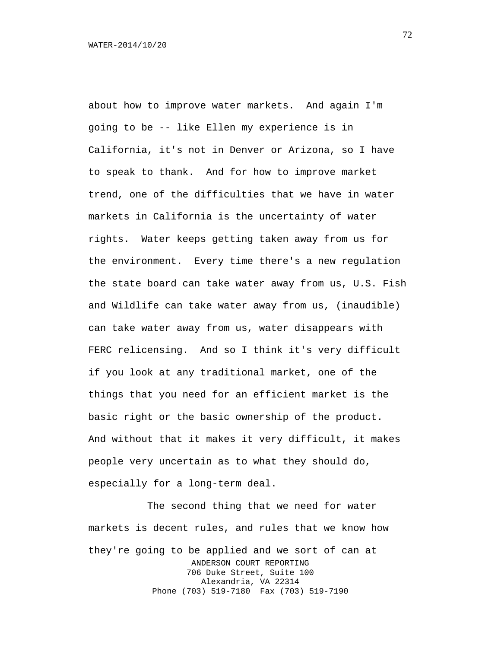about how to improve water markets. And again I'm going to be -- like Ellen my experience is in California, it's not in Denver or Arizona, so I have to speak to thank. And for how to improve market trend, one of the difficulties that we have in water markets in California is the uncertainty of water rights. Water keeps getting taken away from us for the environment. Every time there's a new regulation the state board can take water away from us, U.S. Fish and Wildlife can take water away from us, (inaudible) can take water away from us, water disappears with FERC relicensing. And so I think it's very difficult if you look at any traditional market, one of the things that you need for an efficient market is the basic right or the basic ownership of the product. And without that it makes it very difficult, it makes people very uncertain as to what they should do, especially for a long-term deal.

The second thing that we need for water markets is decent rules, and rules that we know how they're going to be applied and we sort of can at ANDERSON COURT REPORTING 706 Duke Street, Suite 100 Alexandria, VA 22314 Phone (703) 519-7180 Fax (703) 519-7190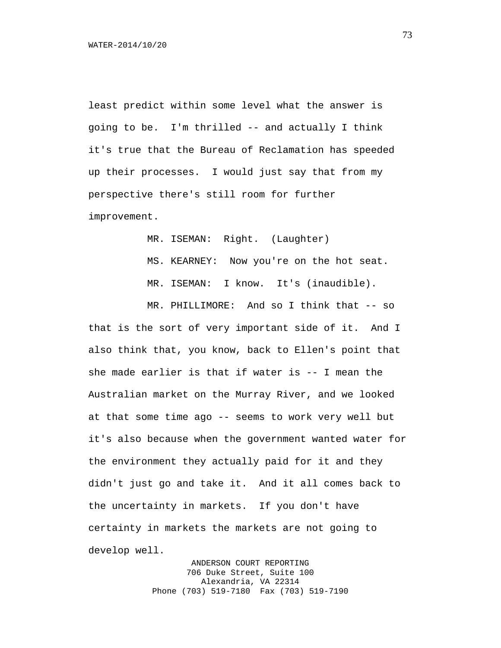least predict within some level what the answer is going to be. I'm thrilled -- and actually I think it's true that the Bureau of Reclamation has speeded up their processes. I would just say that from my perspective there's still room for further improvement.

> MR. ISEMAN: Right. (Laughter) MS. KEARNEY: Now you're on the hot seat. MR. ISEMAN: I know. It's (inaudible).

MR. PHILLIMORE: And so I think that -- so that is the sort of very important side of it. And I also think that, you know, back to Ellen's point that she made earlier is that if water is -- I mean the Australian market on the Murray River, and we looked at that some time ago -- seems to work very well but it's also because when the government wanted water for the environment they actually paid for it and they didn't just go and take it. And it all comes back to the uncertainty in markets. If you don't have certainty in markets the markets are not going to develop well.

> ANDERSON COURT REPORTING 706 Duke Street, Suite 100 Alexandria, VA 22314 Phone (703) 519-7180 Fax (703) 519-7190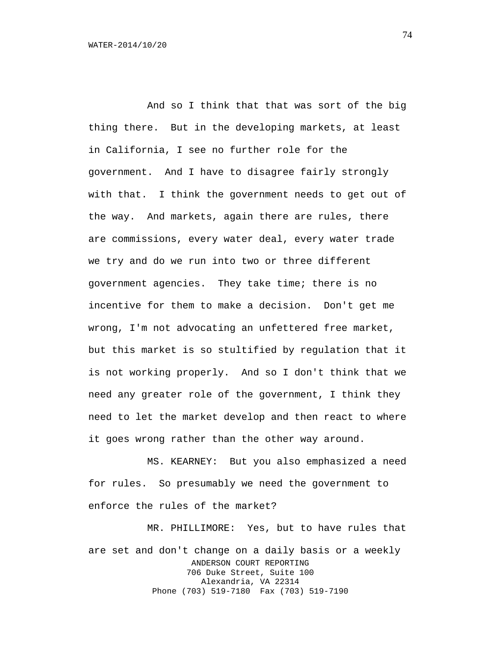And so I think that that was sort of the big thing there. But in the developing markets, at least in California, I see no further role for the government. And I have to disagree fairly strongly with that. I think the government needs to get out of the way. And markets, again there are rules, there are commissions, every water deal, every water trade we try and do we run into two or three different government agencies. They take time; there is no incentive for them to make a decision. Don't get me wrong, I'm not advocating an unfettered free market, but this market is so stultified by regulation that it is not working properly. And so I don't think that we need any greater role of the government, I think they need to let the market develop and then react to where it goes wrong rather than the other way around.

MS. KEARNEY: But you also emphasized a need for rules. So presumably we need the government to enforce the rules of the market?

MR. PHILLIMORE: Yes, but to have rules that are set and don't change on a daily basis or a weekly ANDERSON COURT REPORTING 706 Duke Street, Suite 100 Alexandria, VA 22314 Phone (703) 519-7180 Fax (703) 519-7190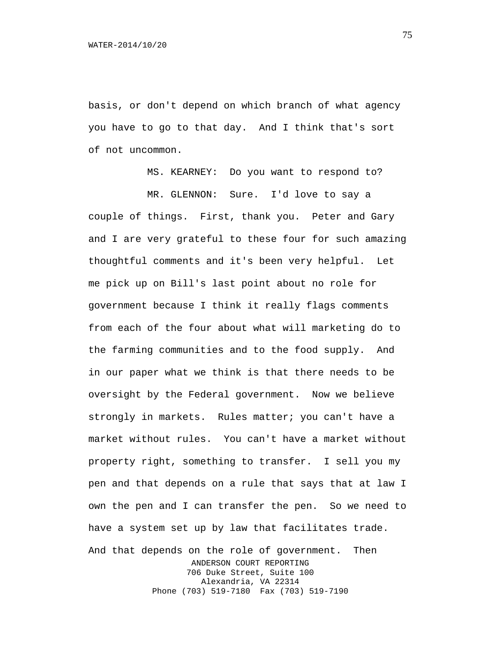basis, or don't depend on which branch of what agency you have to go to that day. And I think that's sort of not uncommon.

MS. KEARNEY: Do you want to respond to? MR. GLENNON: Sure. I'd love to say a couple of things. First, thank you. Peter and Gary and I are very grateful to these four for such amazing thoughtful comments and it's been very helpful. Let me pick up on Bill's last point about no role for government because I think it really flags comments from each of the four about what will marketing do to the farming communities and to the food supply. And in our paper what we think is that there needs to be oversight by the Federal government. Now we believe strongly in markets. Rules matter; you can't have a market without rules. You can't have a market without property right, something to transfer. I sell you my pen and that depends on a rule that says that at law I own the pen and I can transfer the pen. So we need to have a system set up by law that facilitates trade. And that depends on the role of government. Then ANDERSON COURT REPORTING 706 Duke Street, Suite 100 Alexandria, VA 22314 Phone (703) 519-7180 Fax (703) 519-7190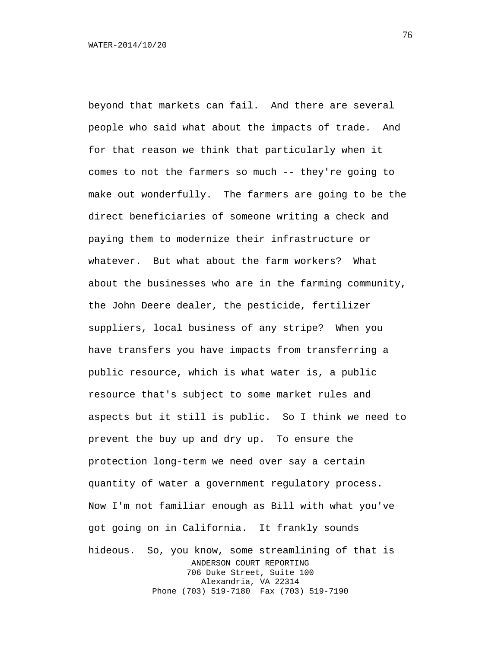beyond that markets can fail. And there are several people who said what about the impacts of trade. And for that reason we think that particularly when it comes to not the farmers so much -- they're going to make out wonderfully. The farmers are going to be the direct beneficiaries of someone writing a check and paying them to modernize their infrastructure or whatever. But what about the farm workers? What about the businesses who are in the farming community, the John Deere dealer, the pesticide, fertilizer suppliers, local business of any stripe? When you have transfers you have impacts from transferring a public resource, which is what water is, a public resource that's subject to some market rules and aspects but it still is public. So I think we need to prevent the buy up and dry up. To ensure the protection long-term we need over say a certain quantity of water a government regulatory process. Now I'm not familiar enough as Bill with what you've got going on in California. It frankly sounds hideous. So, you know, some streamlining of that is ANDERSON COURT REPORTING 706 Duke Street, Suite 100 Alexandria, VA 22314 Phone (703) 519-7180 Fax (703) 519-7190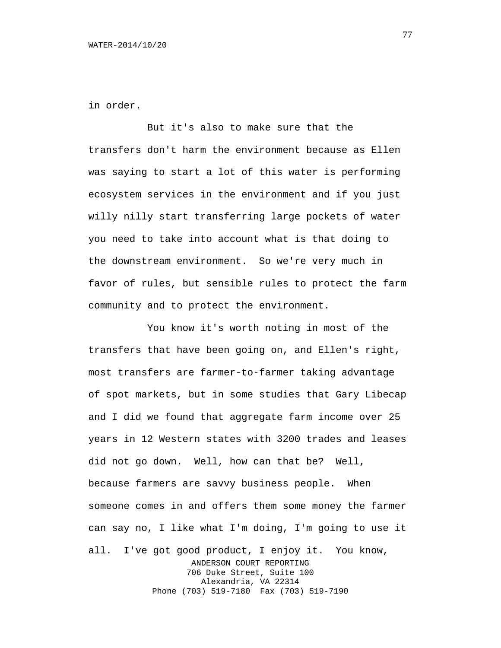in order.

But it's also to make sure that the transfers don't harm the environment because as Ellen was saying to start a lot of this water is performing ecosystem services in the environment and if you just willy nilly start transferring large pockets of water you need to take into account what is that doing to the downstream environment. So we're very much in favor of rules, but sensible rules to protect the farm community and to protect the environment.

You know it's worth noting in most of the transfers that have been going on, and Ellen's right, most transfers are farmer-to-farmer taking advantage of spot markets, but in some studies that Gary Libecap and I did we found that aggregate farm income over 25 years in 12 Western states with 3200 trades and leases did not go down. Well, how can that be? Well, because farmers are savvy business people. When someone comes in and offers them some money the farmer can say no, I like what I'm doing, I'm going to use it all. I've got good product, I enjoy it. You know, ANDERSON COURT REPORTING 706 Duke Street, Suite 100 Alexandria, VA 22314 Phone (703) 519-7180 Fax (703) 519-7190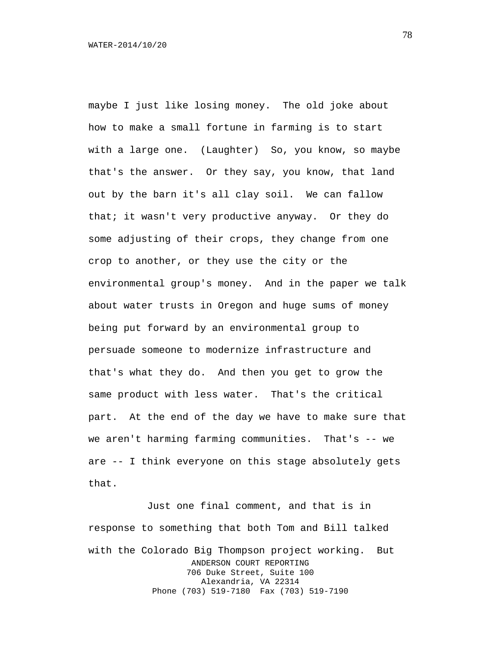maybe I just like losing money. The old joke about how to make a small fortune in farming is to start with a large one. (Laughter) So, you know, so maybe that's the answer. Or they say, you know, that land out by the barn it's all clay soil. We can fallow that; it wasn't very productive anyway. Or they do some adjusting of their crops, they change from one crop to another, or they use the city or the environmental group's money. And in the paper we talk about water trusts in Oregon and huge sums of money being put forward by an environmental group to persuade someone to modernize infrastructure and that's what they do. And then you get to grow the same product with less water. That's the critical part. At the end of the day we have to make sure that we aren't harming farming communities. That's -- we are -- I think everyone on this stage absolutely gets that.

Just one final comment, and that is in response to something that both Tom and Bill talked with the Colorado Big Thompson project working. But ANDERSON COURT REPORTING 706 Duke Street, Suite 100 Alexandria, VA 22314 Phone (703) 519-7180 Fax (703) 519-7190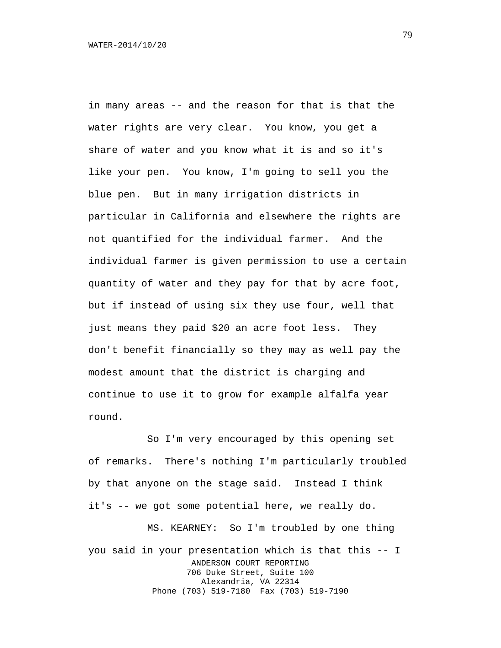in many areas -- and the reason for that is that the water rights are very clear. You know, you get a share of water and you know what it is and so it's like your pen. You know, I'm going to sell you the blue pen. But in many irrigation districts in particular in California and elsewhere the rights are not quantified for the individual farmer. And the individual farmer is given permission to use a certain quantity of water and they pay for that by acre foot, but if instead of using six they use four, well that just means they paid \$20 an acre foot less. They don't benefit financially so they may as well pay the modest amount that the district is charging and continue to use it to grow for example alfalfa year round.

So I'm very encouraged by this opening set of remarks. There's nothing I'm particularly troubled by that anyone on the stage said. Instead I think it's -- we got some potential here, we really do.

MS. KEARNEY: So I'm troubled by one thing you said in your presentation which is that this -- I ANDERSON COURT REPORTING 706 Duke Street, Suite 100 Alexandria, VA 22314 Phone (703) 519-7180 Fax (703) 519-7190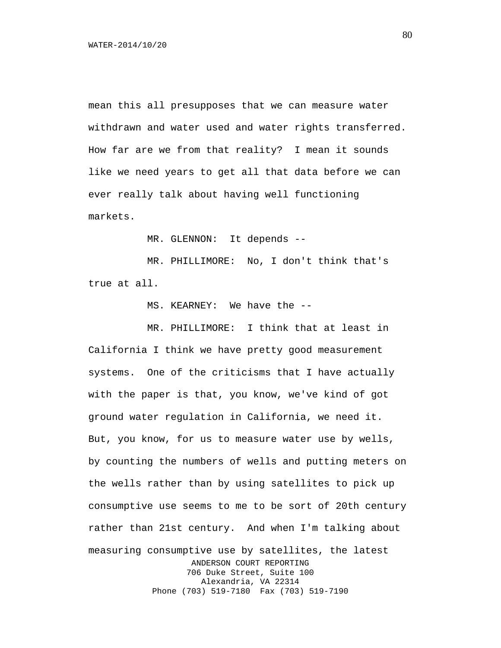mean this all presupposes that we can measure water withdrawn and water used and water rights transferred. How far are we from that reality? I mean it sounds like we need years to get all that data before we can ever really talk about having well functioning markets.

MR. GLENNON: It depends --

MR. PHILLIMORE: No, I don't think that's true at all.

MS. KEARNEY: We have the --

MR. PHILLIMORE: I think that at least in California I think we have pretty good measurement systems. One of the criticisms that I have actually with the paper is that, you know, we've kind of got ground water regulation in California, we need it. But, you know, for us to measure water use by wells, by counting the numbers of wells and putting meters on the wells rather than by using satellites to pick up consumptive use seems to me to be sort of 20th century rather than 21st century. And when I'm talking about measuring consumptive use by satellites, the latest ANDERSON COURT REPORTING 706 Duke Street, Suite 100 Alexandria, VA 22314 Phone (703) 519-7180 Fax (703) 519-7190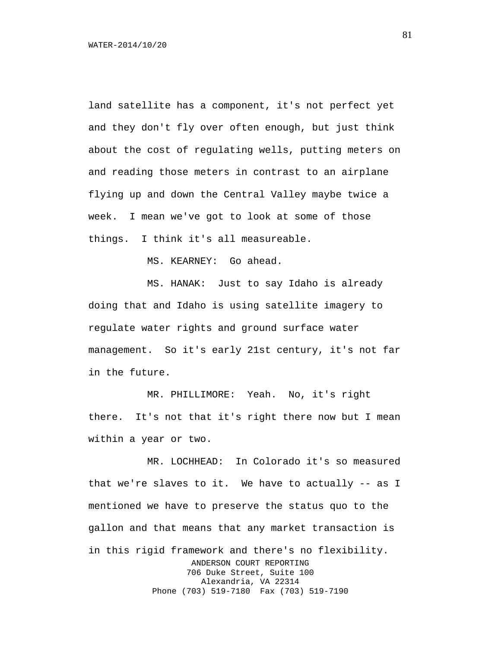land satellite has a component, it's not perfect yet and they don't fly over often enough, but just think about the cost of regulating wells, putting meters on and reading those meters in contrast to an airplane flying up and down the Central Valley maybe twice a week. I mean we've got to look at some of those things. I think it's all measureable.

MS. KEARNEY: Go ahead.

MS. HANAK: Just to say Idaho is already doing that and Idaho is using satellite imagery to regulate water rights and ground surface water management. So it's early 21st century, it's not far in the future.

MR. PHILLIMORE: Yeah. No, it's right there. It's not that it's right there now but I mean within a year or two.

MR. LOCHHEAD: In Colorado it's so measured that we're slaves to it. We have to actually -- as I mentioned we have to preserve the status quo to the gallon and that means that any market transaction is in this rigid framework and there's no flexibility. ANDERSON COURT REPORTING 706 Duke Street, Suite 100 Alexandria, VA 22314 Phone (703) 519-7180 Fax (703) 519-7190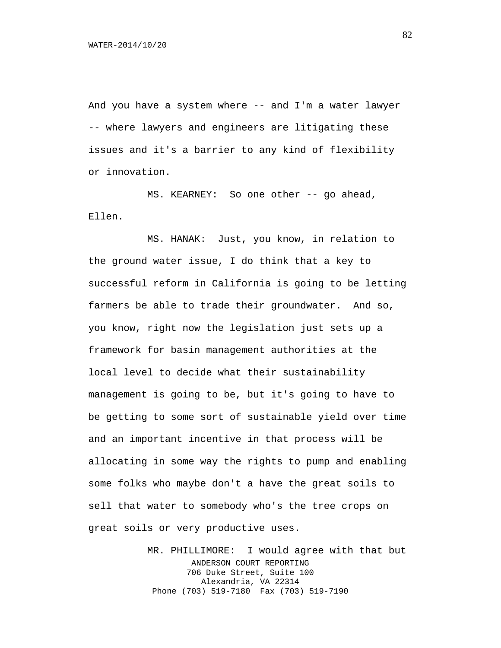And you have a system where -- and I'm a water lawyer -- where lawyers and engineers are litigating these issues and it's a barrier to any kind of flexibility or innovation.

MS. KEARNEY: So one other -- go ahead, Ellen.

MS. HANAK: Just, you know, in relation to the ground water issue, I do think that a key to successful reform in California is going to be letting farmers be able to trade their groundwater. And so, you know, right now the legislation just sets up a framework for basin management authorities at the local level to decide what their sustainability management is going to be, but it's going to have to be getting to some sort of sustainable yield over time and an important incentive in that process will be allocating in some way the rights to pump and enabling some folks who maybe don't a have the great soils to sell that water to somebody who's the tree crops on great soils or very productive uses.

> MR. PHILLIMORE: I would agree with that but ANDERSON COURT REPORTING 706 Duke Street, Suite 100 Alexandria, VA 22314 Phone (703) 519-7180 Fax (703) 519-7190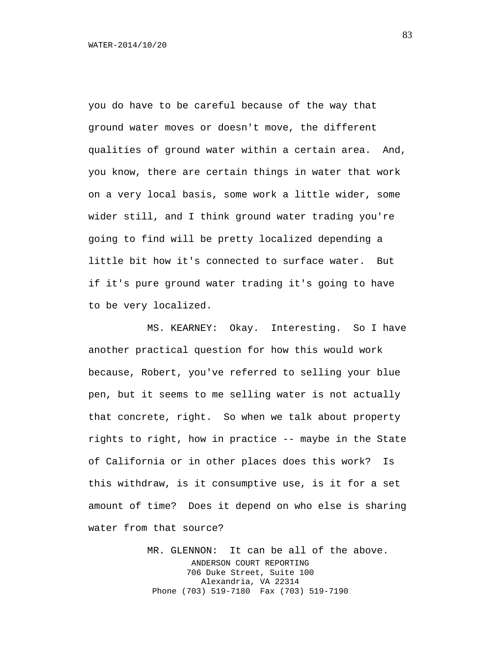you do have to be careful because of the way that ground water moves or doesn't move, the different qualities of ground water within a certain area. And, you know, there are certain things in water that work on a very local basis, some work a little wider, some wider still, and I think ground water trading you're going to find will be pretty localized depending a little bit how it's connected to surface water. But if it's pure ground water trading it's going to have to be very localized.

MS. KEARNEY: Okay. Interesting. So I have another practical question for how this would work because, Robert, you've referred to selling your blue pen, but it seems to me selling water is not actually that concrete, right. So when we talk about property rights to right, how in practice -- maybe in the State of California or in other places does this work? Is this withdraw, is it consumptive use, is it for a set amount of time? Does it depend on who else is sharing water from that source?

> MR. GLENNON: It can be all of the above. ANDERSON COURT REPORTING 706 Duke Street, Suite 100 Alexandria, VA 22314 Phone (703) 519-7180 Fax (703) 519-7190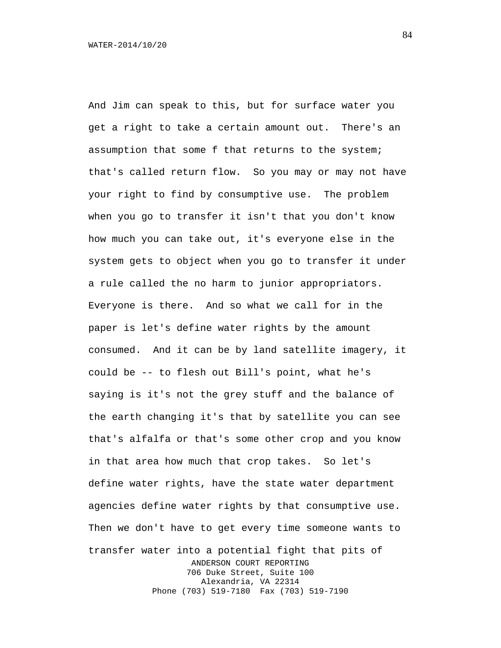And Jim can speak to this, but for surface water you get a right to take a certain amount out. There's an assumption that some f that returns to the system; that's called return flow. So you may or may not have your right to find by consumptive use. The problem when you go to transfer it isn't that you don't know how much you can take out, it's everyone else in the system gets to object when you go to transfer it under a rule called the no harm to junior appropriators. Everyone is there. And so what we call for in the paper is let's define water rights by the amount consumed. And it can be by land satellite imagery, it could be -- to flesh out Bill's point, what he's saying is it's not the grey stuff and the balance of the earth changing it's that by satellite you can see that's alfalfa or that's some other crop and you know in that area how much that crop takes. So let's define water rights, have the state water department agencies define water rights by that consumptive use. Then we don't have to get every time someone wants to transfer water into a potential fight that pits of ANDERSON COURT REPORTING 706 Duke Street, Suite 100 Alexandria, VA 22314 Phone (703) 519-7180 Fax (703) 519-7190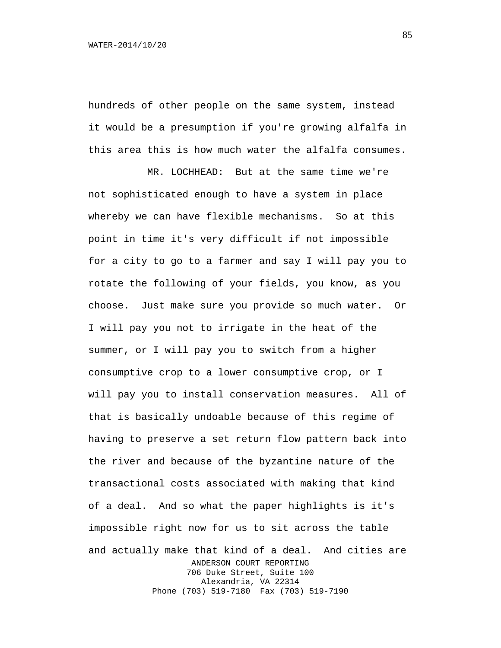hundreds of other people on the same system, instead it would be a presumption if you're growing alfalfa in this area this is how much water the alfalfa consumes.

MR. LOCHHEAD: But at the same time we're not sophisticated enough to have a system in place whereby we can have flexible mechanisms. So at this point in time it's very difficult if not impossible for a city to go to a farmer and say I will pay you to rotate the following of your fields, you know, as you choose. Just make sure you provide so much water. Or I will pay you not to irrigate in the heat of the summer, or I will pay you to switch from a higher consumptive crop to a lower consumptive crop, or I will pay you to install conservation measures. All of that is basically undoable because of this regime of having to preserve a set return flow pattern back into the river and because of the byzantine nature of the transactional costs associated with making that kind of a deal. And so what the paper highlights is it's impossible right now for us to sit across the table and actually make that kind of a deal. And cities are ANDERSON COURT REPORTING 706 Duke Street, Suite 100 Alexandria, VA 22314 Phone (703) 519-7180 Fax (703) 519-7190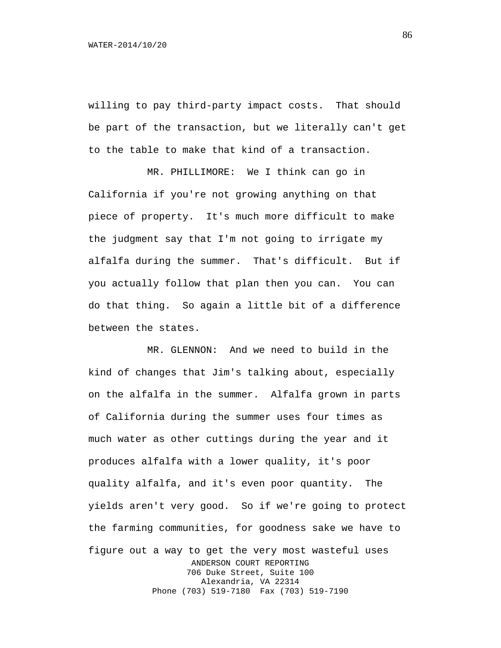willing to pay third-party impact costs. That should be part of the transaction, but we literally can't get to the table to make that kind of a transaction.

MR. PHILLIMORE: We I think can go in California if you're not growing anything on that piece of property. It's much more difficult to make the judgment say that I'm not going to irrigate my alfalfa during the summer. That's difficult. But if you actually follow that plan then you can. You can do that thing. So again a little bit of a difference between the states.

MR. GLENNON: And we need to build in the kind of changes that Jim's talking about, especially on the alfalfa in the summer. Alfalfa grown in parts of California during the summer uses four times as much water as other cuttings during the year and it produces alfalfa with a lower quality, it's poor quality alfalfa, and it's even poor quantity. The yields aren't very good. So if we're going to protect the farming communities, for goodness sake we have to figure out a way to get the very most wasteful uses ANDERSON COURT REPORTING 706 Duke Street, Suite 100 Alexandria, VA 22314 Phone (703) 519-7180 Fax (703) 519-7190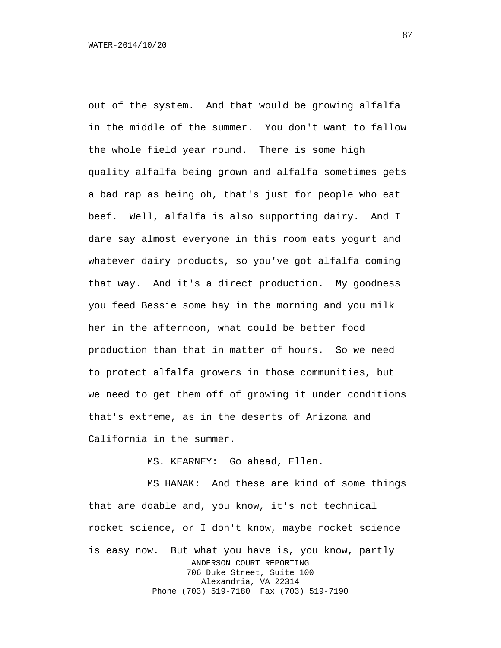out of the system. And that would be growing alfalfa in the middle of the summer. You don't want to fallow the whole field year round. There is some high quality alfalfa being grown and alfalfa sometimes gets a bad rap as being oh, that's just for people who eat beef. Well, alfalfa is also supporting dairy. And I dare say almost everyone in this room eats yogurt and whatever dairy products, so you've got alfalfa coming that way. And it's a direct production. My goodness you feed Bessie some hay in the morning and you milk her in the afternoon, what could be better food production than that in matter of hours. So we need to protect alfalfa growers in those communities, but we need to get them off of growing it under conditions that's extreme, as in the deserts of Arizona and California in the summer.

MS. KEARNEY: Go ahead, Ellen.

MS HANAK: And these are kind of some things that are doable and, you know, it's not technical rocket science, or I don't know, maybe rocket science is easy now. But what you have is, you know, partly ANDERSON COURT REPORTING 706 Duke Street, Suite 100 Alexandria, VA 22314 Phone (703) 519-7180 Fax (703) 519-7190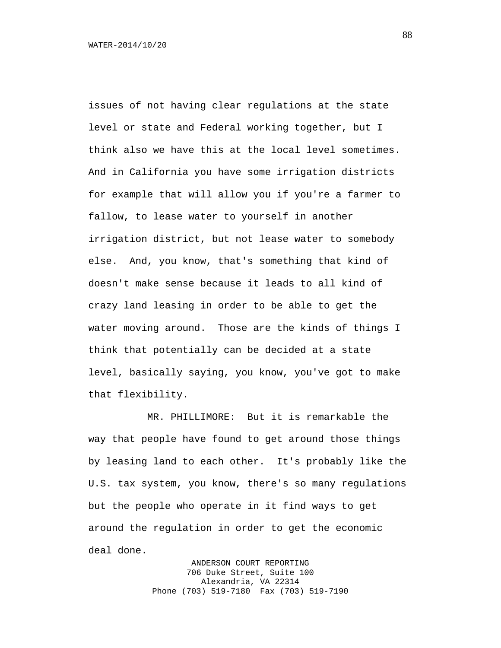issues of not having clear regulations at the state level or state and Federal working together, but I think also we have this at the local level sometimes. And in California you have some irrigation districts for example that will allow you if you're a farmer to fallow, to lease water to yourself in another irrigation district, but not lease water to somebody else. And, you know, that's something that kind of doesn't make sense because it leads to all kind of crazy land leasing in order to be able to get the water moving around. Those are the kinds of things I think that potentially can be decided at a state level, basically saying, you know, you've got to make that flexibility.

MR. PHILLIMORE: But it is remarkable the way that people have found to get around those things by leasing land to each other. It's probably like the U.S. tax system, you know, there's so many regulations but the people who operate in it find ways to get around the regulation in order to get the economic deal done.

> ANDERSON COURT REPORTING 706 Duke Street, Suite 100 Alexandria, VA 22314 Phone (703) 519-7180 Fax (703) 519-7190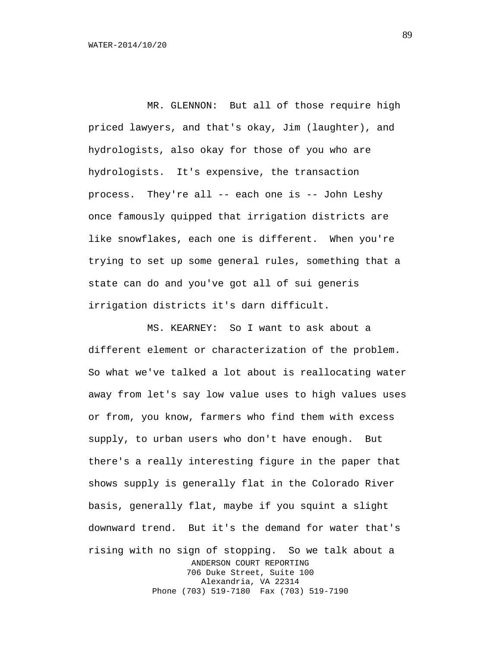MR. GLENNON: But all of those require high priced lawyers, and that's okay, Jim (laughter), and hydrologists, also okay for those of you who are hydrologists. It's expensive, the transaction process. They're all -- each one is -- John Leshy once famously quipped that irrigation districts are like snowflakes, each one is different. When you're trying to set up some general rules, something that a state can do and you've got all of sui generis irrigation districts it's darn difficult.

MS. KEARNEY: So I want to ask about a different element or characterization of the problem. So what we've talked a lot about is reallocating water away from let's say low value uses to high values uses or from, you know, farmers who find them with excess supply, to urban users who don't have enough. But there's a really interesting figure in the paper that shows supply is generally flat in the Colorado River basis, generally flat, maybe if you squint a slight downward trend. But it's the demand for water that's rising with no sign of stopping. So we talk about a ANDERSON COURT REPORTING 706 Duke Street, Suite 100 Alexandria, VA 22314 Phone (703) 519-7180 Fax (703) 519-7190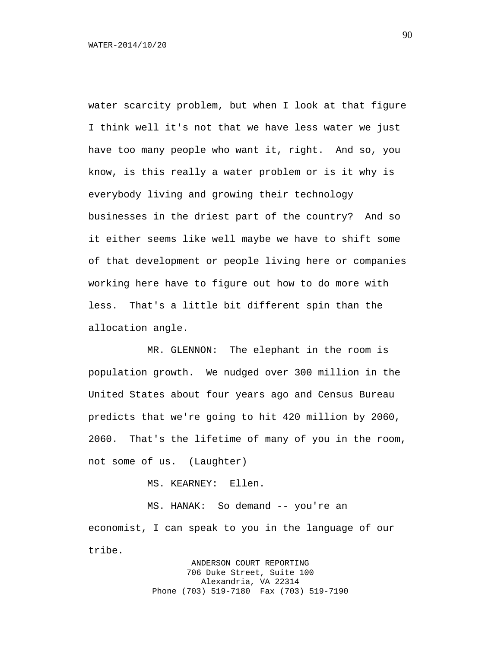water scarcity problem, but when I look at that figure I think well it's not that we have less water we just have too many people who want it, right. And so, you know, is this really a water problem or is it why is everybody living and growing their technology businesses in the driest part of the country? And so it either seems like well maybe we have to shift some of that development or people living here or companies working here have to figure out how to do more with less. That's a little bit different spin than the allocation angle.

MR. GLENNON: The elephant in the room is population growth. We nudged over 300 million in the United States about four years ago and Census Bureau predicts that we're going to hit 420 million by 2060, 2060. That's the lifetime of many of you in the room, not some of us. (Laughter)

MS. KEARNEY: Ellen.

MS. HANAK: So demand -- you're an economist, I can speak to you in the language of our tribe.

> ANDERSON COURT REPORTING 706 Duke Street, Suite 100 Alexandria, VA 22314 Phone (703) 519-7180 Fax (703) 519-7190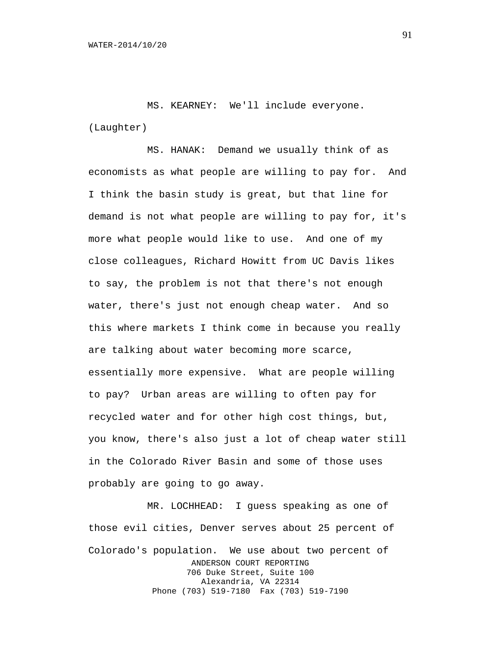MS. KEARNEY: We'll include everyone. (Laughter)

MS. HANAK: Demand we usually think of as economists as what people are willing to pay for. And I think the basin study is great, but that line for demand is not what people are willing to pay for, it's more what people would like to use. And one of my close colleagues, Richard Howitt from UC Davis likes to say, the problem is not that there's not enough water, there's just not enough cheap water. And so this where markets I think come in because you really are talking about water becoming more scarce, essentially more expensive. What are people willing to pay? Urban areas are willing to often pay for recycled water and for other high cost things, but, you know, there's also just a lot of cheap water still in the Colorado River Basin and some of those uses probably are going to go away.

MR. LOCHHEAD: I guess speaking as one of those evil cities, Denver serves about 25 percent of Colorado's population. We use about two percent of ANDERSON COURT REPORTING 706 Duke Street, Suite 100 Alexandria, VA 22314 Phone (703) 519-7180 Fax (703) 519-7190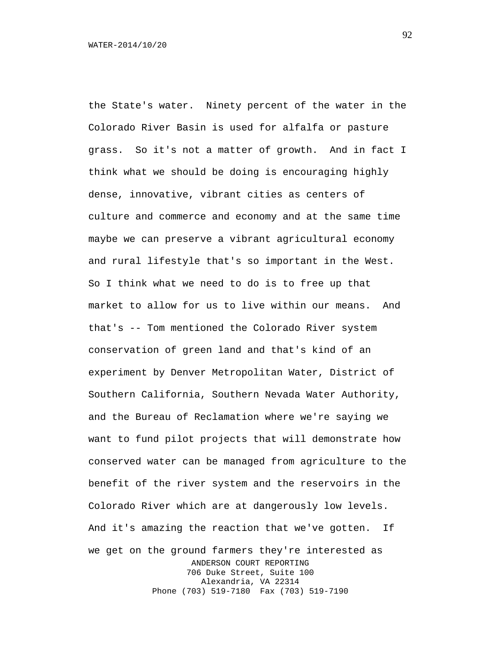the State's water. Ninety percent of the water in the Colorado River Basin is used for alfalfa or pasture grass. So it's not a matter of growth. And in fact I think what we should be doing is encouraging highly dense, innovative, vibrant cities as centers of culture and commerce and economy and at the same time maybe we can preserve a vibrant agricultural economy and rural lifestyle that's so important in the West. So I think what we need to do is to free up that market to allow for us to live within our means. And that's -- Tom mentioned the Colorado River system conservation of green land and that's kind of an experiment by Denver Metropolitan Water, District of Southern California, Southern Nevada Water Authority, and the Bureau of Reclamation where we're saying we want to fund pilot projects that will demonstrate how conserved water can be managed from agriculture to the benefit of the river system and the reservoirs in the Colorado River which are at dangerously low levels. And it's amazing the reaction that we've gotten. If we get on the ground farmers they're interested as ANDERSON COURT REPORTING 706 Duke Street, Suite 100 Alexandria, VA 22314 Phone (703) 519-7180 Fax (703) 519-7190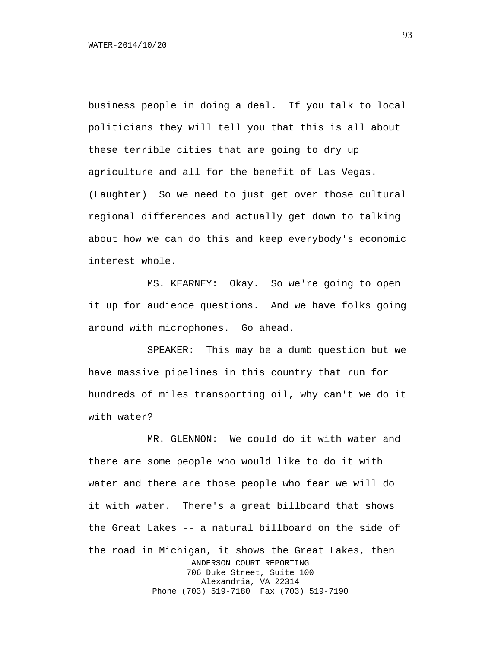business people in doing a deal. If you talk to local politicians they will tell you that this is all about these terrible cities that are going to dry up agriculture and all for the benefit of Las Vegas. (Laughter) So we need to just get over those cultural regional differences and actually get down to talking about how we can do this and keep everybody's economic interest whole.

MS. KEARNEY: Okay. So we're going to open it up for audience questions. And we have folks going around with microphones. Go ahead.

SPEAKER: This may be a dumb question but we have massive pipelines in this country that run for hundreds of miles transporting oil, why can't we do it with water?

MR. GLENNON: We could do it with water and there are some people who would like to do it with water and there are those people who fear we will do it with water. There's a great billboard that shows the Great Lakes -- a natural billboard on the side of the road in Michigan, it shows the Great Lakes, then ANDERSON COURT REPORTING 706 Duke Street, Suite 100 Alexandria, VA 22314 Phone (703) 519-7180 Fax (703) 519-7190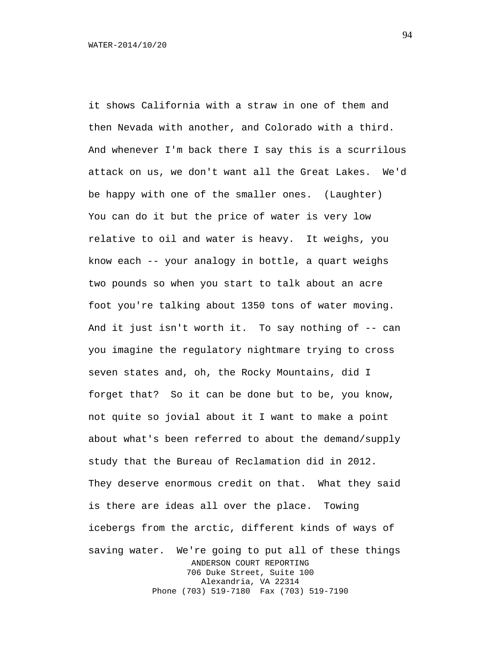it shows California with a straw in one of them and then Nevada with another, and Colorado with a third. And whenever I'm back there I say this is a scurrilous attack on us, we don't want all the Great Lakes. We'd be happy with one of the smaller ones. (Laughter) You can do it but the price of water is very low relative to oil and water is heavy. It weighs, you know each -- your analogy in bottle, a quart weighs two pounds so when you start to talk about an acre foot you're talking about 1350 tons of water moving. And it just isn't worth it. To say nothing of  $-$ - can you imagine the regulatory nightmare trying to cross seven states and, oh, the Rocky Mountains, did I forget that? So it can be done but to be, you know, not quite so jovial about it I want to make a point about what's been referred to about the demand/supply study that the Bureau of Reclamation did in 2012. They deserve enormous credit on that. What they said is there are ideas all over the place. Towing icebergs from the arctic, different kinds of ways of saving water. We're going to put all of these things ANDERSON COURT REPORTING 706 Duke Street, Suite 100 Alexandria, VA 22314 Phone (703) 519-7180 Fax (703) 519-7190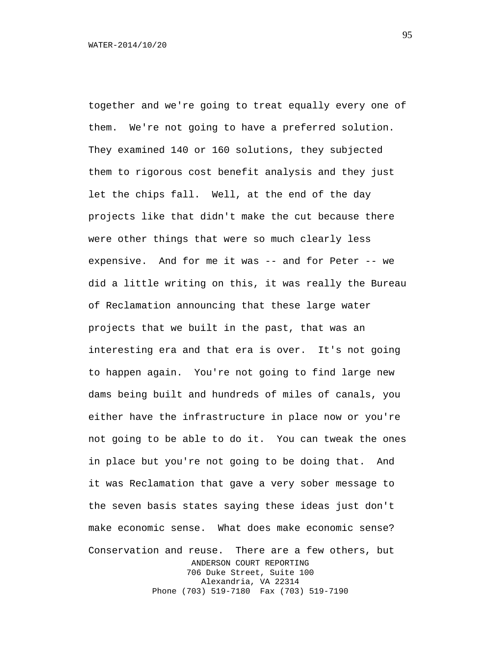together and we're going to treat equally every one of them. We're not going to have a preferred solution. They examined 140 or 160 solutions, they subjected them to rigorous cost benefit analysis and they just let the chips fall. Well, at the end of the day projects like that didn't make the cut because there were other things that were so much clearly less expensive. And for me it was -- and for Peter -- we did a little writing on this, it was really the Bureau of Reclamation announcing that these large water projects that we built in the past, that was an interesting era and that era is over. It's not going to happen again. You're not going to find large new dams being built and hundreds of miles of canals, you either have the infrastructure in place now or you're not going to be able to do it. You can tweak the ones in place but you're not going to be doing that. And it was Reclamation that gave a very sober message to the seven basis states saying these ideas just don't make economic sense. What does make economic sense? Conservation and reuse. There are a few others, but ANDERSON COURT REPORTING 706 Duke Street, Suite 100 Alexandria, VA 22314 Phone (703) 519-7180 Fax (703) 519-7190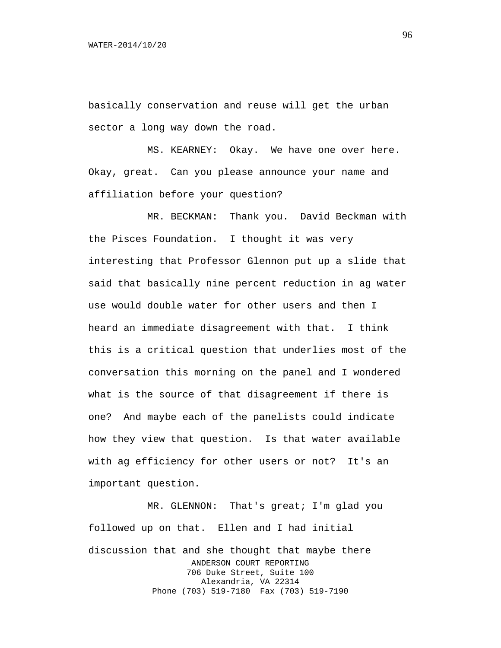basically conservation and reuse will get the urban sector a long way down the road.

MS. KEARNEY: Okay. We have one over here. Okay, great. Can you please announce your name and affiliation before your question?

MR. BECKMAN: Thank you. David Beckman with the Pisces Foundation. I thought it was very interesting that Professor Glennon put up a slide that said that basically nine percent reduction in ag water use would double water for other users and then I heard an immediate disagreement with that. I think this is a critical question that underlies most of the conversation this morning on the panel and I wondered what is the source of that disagreement if there is one? And maybe each of the panelists could indicate how they view that question. Is that water available with ag efficiency for other users or not? It's an important question.

MR. GLENNON: That's great; I'm glad you followed up on that. Ellen and I had initial discussion that and she thought that maybe there ANDERSON COURT REPORTING 706 Duke Street, Suite 100 Alexandria, VA 22314 Phone (703) 519-7180 Fax (703) 519-7190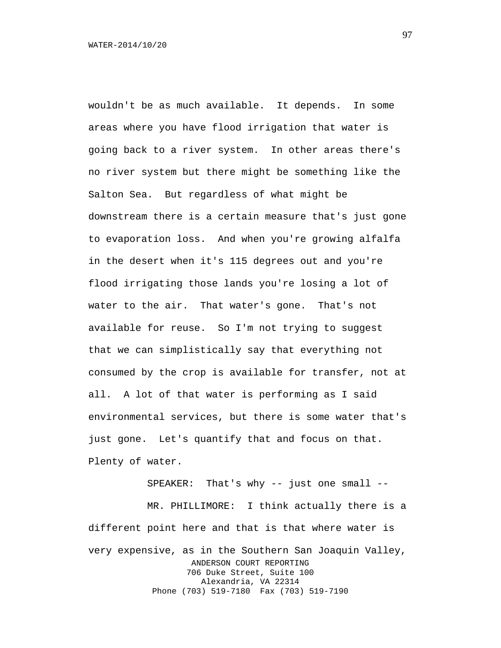wouldn't be as much available. It depends. In some areas where you have flood irrigation that water is going back to a river system. In other areas there's no river system but there might be something like the Salton Sea. But regardless of what might be downstream there is a certain measure that's just gone to evaporation loss. And when you're growing alfalfa in the desert when it's 115 degrees out and you're flood irrigating those lands you're losing a lot of water to the air. That water's gone. That's not available for reuse. So I'm not trying to suggest that we can simplistically say that everything not consumed by the crop is available for transfer, not at all. A lot of that water is performing as I said environmental services, but there is some water that's just gone. Let's quantify that and focus on that. Plenty of water.

SPEAKER: That's why -- just one small -- MR. PHILLIMORE: I think actually there is a different point here and that is that where water is very expensive, as in the Southern San Joaquin Valley, ANDERSON COURT REPORTING 706 Duke Street, Suite 100 Alexandria, VA 22314 Phone (703) 519-7180 Fax (703) 519-7190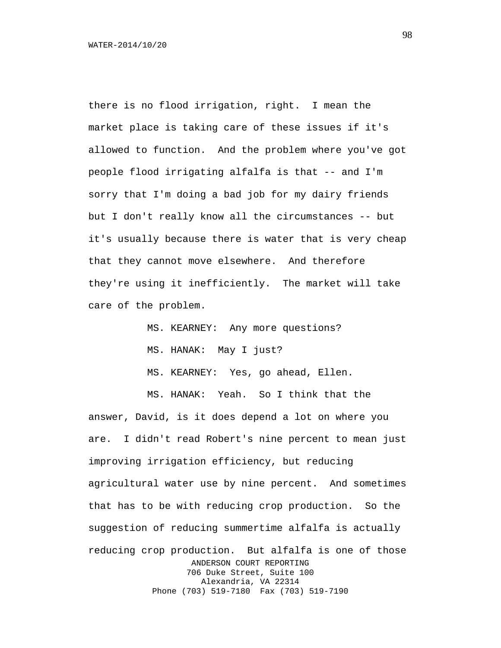there is no flood irrigation, right. I mean the market place is taking care of these issues if it's allowed to function. And the problem where you've got people flood irrigating alfalfa is that -- and I'm sorry that I'm doing a bad job for my dairy friends but I don't really know all the circumstances -- but it's usually because there is water that is very cheap that they cannot move elsewhere. And therefore they're using it inefficiently. The market will take care of the problem.

MS. KEARNEY: Any more questions?

MS. HANAK: May I just?

MS. KEARNEY: Yes, go ahead, Ellen.

MS. HANAK: Yeah. So I think that the answer, David, is it does depend a lot on where you are. I didn't read Robert's nine percent to mean just improving irrigation efficiency, but reducing agricultural water use by nine percent. And sometimes that has to be with reducing crop production. So the suggestion of reducing summertime alfalfa is actually reducing crop production. But alfalfa is one of those ANDERSON COURT REPORTING 706 Duke Street, Suite 100 Alexandria, VA 22314 Phone (703) 519-7180 Fax (703) 519-7190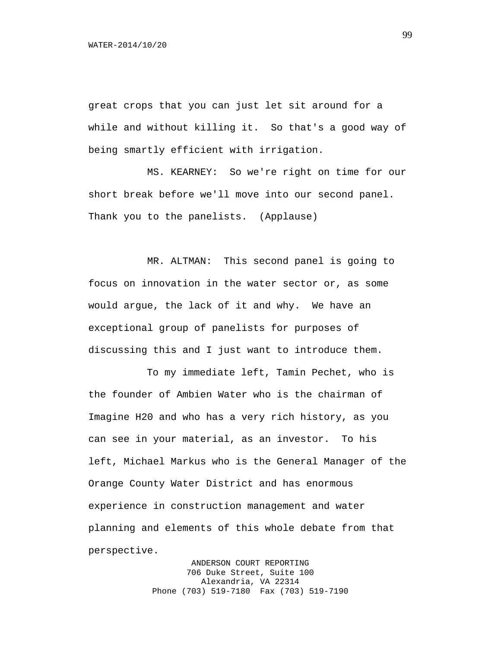great crops that you can just let sit around for a while and without killing it. So that's a good way of being smartly efficient with irrigation.

MS. KEARNEY: So we're right on time for our short break before we'll move into our second panel. Thank you to the panelists. (Applause)

MR. ALTMAN: This second panel is going to focus on innovation in the water sector or, as some would argue, the lack of it and why. We have an exceptional group of panelists for purposes of discussing this and I just want to introduce them.

To my immediate left, Tamin Pechet, who is the founder of Ambien Water who is the chairman of Imagine H20 and who has a very rich history, as you can see in your material, as an investor. To his left, Michael Markus who is the General Manager of the Orange County Water District and has enormous experience in construction management and water planning and elements of this whole debate from that perspective.

> ANDERSON COURT REPORTING 706 Duke Street, Suite 100 Alexandria, VA 22314 Phone (703) 519-7180 Fax (703) 519-7190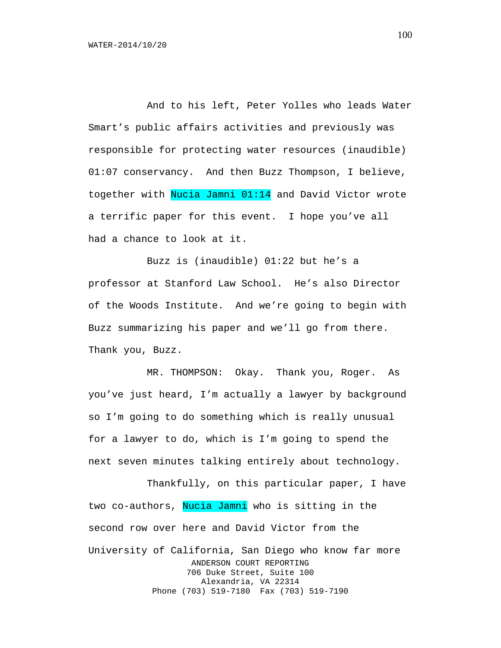And to his left, Peter Yolles who leads Water Smart's public affairs activities and previously was responsible for protecting water resources (inaudible) 01:07 conservancy. And then Buzz Thompson, I believe, together with Nucia Jamni 01:14 and David Victor wrote a terrific paper for this event. I hope you've all had a chance to look at it.

Buzz is (inaudible) 01:22 but he's a professor at Stanford Law School. He's also Director of the Woods Institute. And we're going to begin with Buzz summarizing his paper and we'll go from there. Thank you, Buzz.

MR. THOMPSON: Okay. Thank you, Roger. As you've just heard, I'm actually a lawyer by background so I'm going to do something which is really unusual for a lawyer to do, which is I'm going to spend the next seven minutes talking entirely about technology.

Thankfully, on this particular paper, I have two co-authors, Nucia Jamni who is sitting in the second row over here and David Victor from the University of California, San Diego who know far more ANDERSON COURT REPORTING 706 Duke Street, Suite 100 Alexandria, VA 22314 Phone (703) 519-7180 Fax (703) 519-7190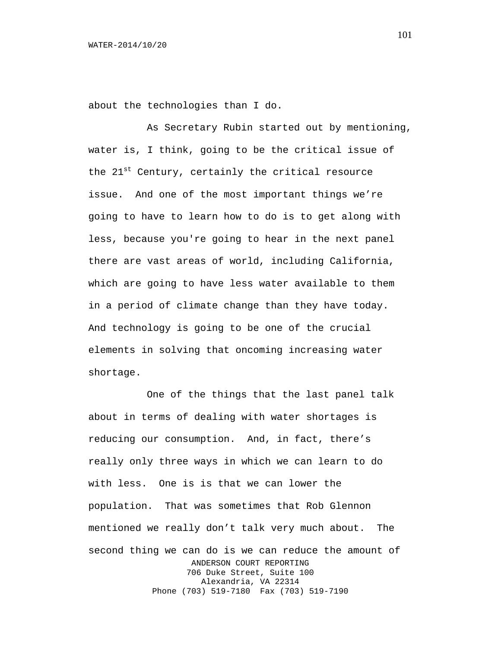about the technologies than I do.

As Secretary Rubin started out by mentioning, water is, I think, going to be the critical issue of the 21<sup>st</sup> Century, certainly the critical resource issue. And one of the most important things we're going to have to learn how to do is to get along with less, because you're going to hear in the next panel there are vast areas of world, including California, which are going to have less water available to them in a period of climate change than they have today. And technology is going to be one of the crucial elements in solving that oncoming increasing water shortage.

One of the things that the last panel talk about in terms of dealing with water shortages is reducing our consumption. And, in fact, there's really only three ways in which we can learn to do with less. One is is that we can lower the population. That was sometimes that Rob Glennon mentioned we really don't talk very much about. The second thing we can do is we can reduce the amount of ANDERSON COURT REPORTING 706 Duke Street, Suite 100 Alexandria, VA 22314 Phone (703) 519-7180 Fax (703) 519-7190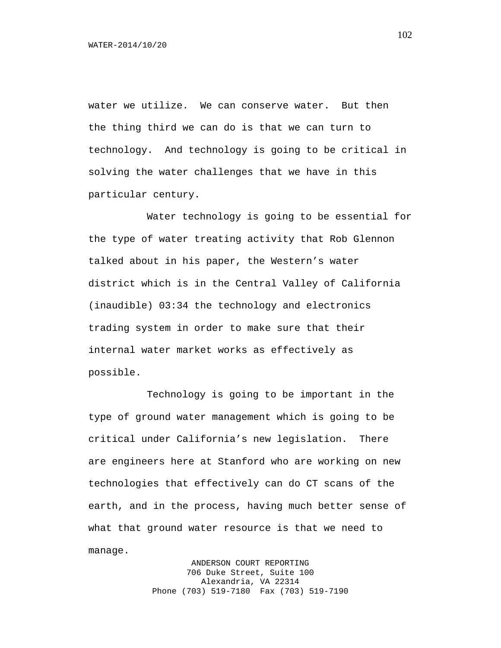water we utilize. We can conserve water. But then the thing third we can do is that we can turn to technology. And technology is going to be critical in solving the water challenges that we have in this particular century.

Water technology is going to be essential for the type of water treating activity that Rob Glennon talked about in his paper, the Western's water district which is in the Central Valley of California (inaudible) 03:34 the technology and electronics trading system in order to make sure that their internal water market works as effectively as possible.

Technology is going to be important in the type of ground water management which is going to be critical under California's new legislation. There are engineers here at Stanford who are working on new technologies that effectively can do CT scans of the earth, and in the process, having much better sense of what that ground water resource is that we need to manage.

> ANDERSON COURT REPORTING 706 Duke Street, Suite 100 Alexandria, VA 22314 Phone (703) 519-7180 Fax (703) 519-7190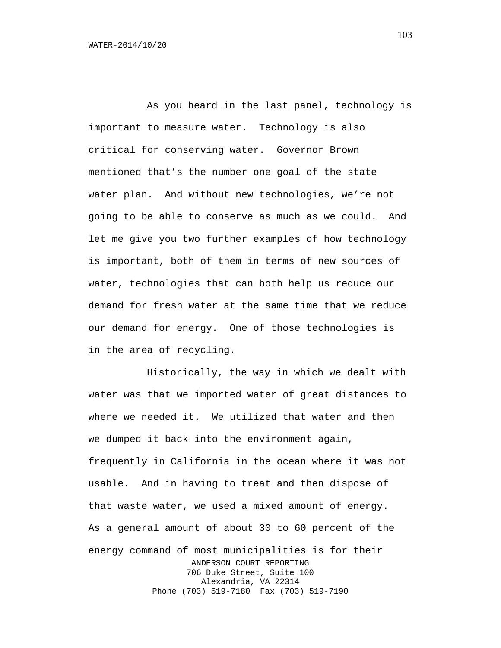As you heard in the last panel, technology is important to measure water. Technology is also critical for conserving water. Governor Brown mentioned that's the number one goal of the state water plan. And without new technologies, we're not going to be able to conserve as much as we could. And let me give you two further examples of how technology is important, both of them in terms of new sources of water, technologies that can both help us reduce our demand for fresh water at the same time that we reduce our demand for energy. One of those technologies is in the area of recycling.

Historically, the way in which we dealt with water was that we imported water of great distances to where we needed it. We utilized that water and then we dumped it back into the environment again, frequently in California in the ocean where it was not usable. And in having to treat and then dispose of that waste water, we used a mixed amount of energy. As a general amount of about 30 to 60 percent of the energy command of most municipalities is for their ANDERSON COURT REPORTING 706 Duke Street, Suite 100 Alexandria, VA 22314 Phone (703) 519-7180 Fax (703) 519-7190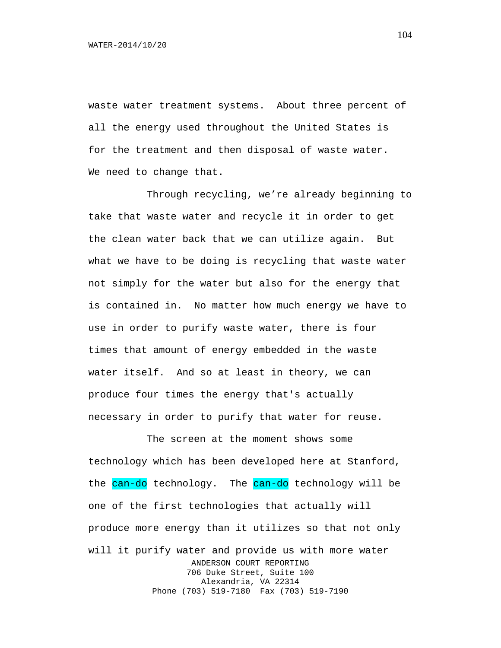waste water treatment systems. About three percent of all the energy used throughout the United States is for the treatment and then disposal of waste water. We need to change that.

Through recycling, we're already beginning to take that waste water and recycle it in order to get the clean water back that we can utilize again. But what we have to be doing is recycling that waste water not simply for the water but also for the energy that is contained in. No matter how much energy we have to use in order to purify waste water, there is four times that amount of energy embedded in the waste water itself. And so at least in theory, we can produce four times the energy that's actually necessary in order to purify that water for reuse.

The screen at the moment shows some technology which has been developed here at Stanford, the can-do technology. The can-do technology will be one of the first technologies that actually will produce more energy than it utilizes so that not only will it purify water and provide us with more water ANDERSON COURT REPORTING 706 Duke Street, Suite 100 Alexandria, VA 22314 Phone (703) 519-7180 Fax (703) 519-7190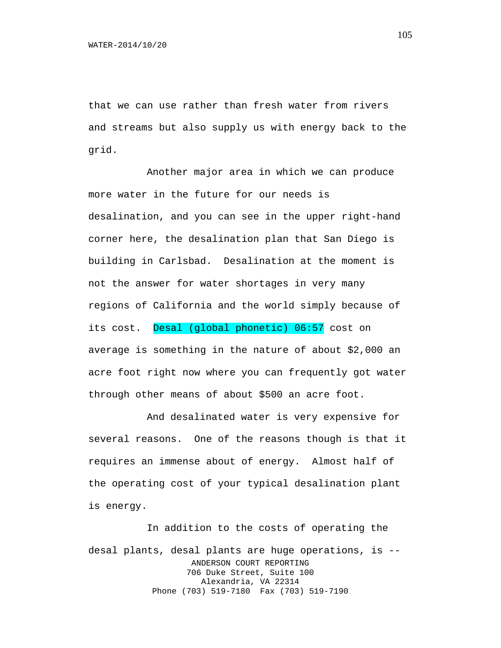that we can use rather than fresh water from rivers and streams but also supply us with energy back to the grid.

Another major area in which we can produce more water in the future for our needs is desalination, and you can see in the upper right-hand corner here, the desalination plan that San Diego is building in Carlsbad. Desalination at the moment is not the answer for water shortages in very many regions of California and the world simply because of its cost. Desal (global phonetic) 06:57 cost on average is something in the nature of about \$2,000 an acre foot right now where you can frequently got water through other means of about \$500 an acre foot.

And desalinated water is very expensive for several reasons. One of the reasons though is that it requires an immense about of energy. Almost half of the operating cost of your typical desalination plant is energy.

In addition to the costs of operating the desal plants, desal plants are huge operations, is -- ANDERSON COURT REPORTING 706 Duke Street, Suite 100 Alexandria, VA 22314 Phone (703) 519-7180 Fax (703) 519-7190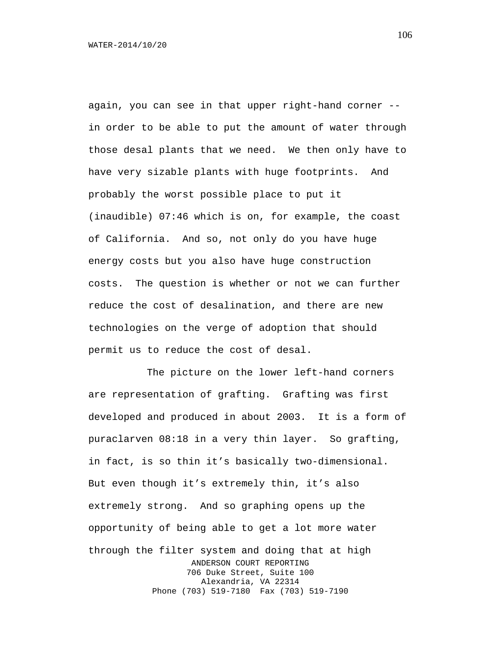again, you can see in that upper right-hand corner - in order to be able to put the amount of water through those desal plants that we need. We then only have to have very sizable plants with huge footprints. And probably the worst possible place to put it (inaudible) 07:46 which is on, for example, the coast of California. And so, not only do you have huge energy costs but you also have huge construction costs. The question is whether or not we can further reduce the cost of desalination, and there are new technologies on the verge of adoption that should permit us to reduce the cost of desal.

The picture on the lower left-hand corners are representation of grafting. Grafting was first developed and produced in about 2003. It is a form of puraclarven 08:18 in a very thin layer. So grafting, in fact, is so thin it's basically two-dimensional. But even though it's extremely thin, it's also extremely strong. And so graphing opens up the opportunity of being able to get a lot more water through the filter system and doing that at high ANDERSON COURT REPORTING 706 Duke Street, Suite 100 Alexandria, VA 22314 Phone (703) 519-7180 Fax (703) 519-7190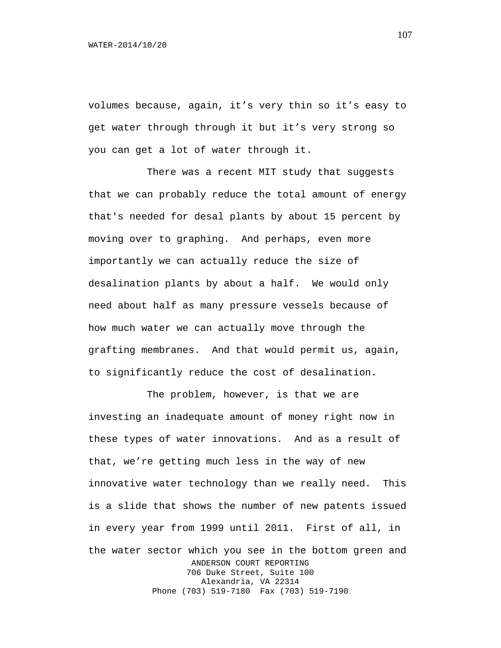volumes because, again, it's very thin so it's easy to get water through through it but it's very strong so you can get a lot of water through it.

There was a recent MIT study that suggests that we can probably reduce the total amount of energy that's needed for desal plants by about 15 percent by moving over to graphing. And perhaps, even more importantly we can actually reduce the size of desalination plants by about a half. We would only need about half as many pressure vessels because of how much water we can actually move through the grafting membranes. And that would permit us, again, to significantly reduce the cost of desalination.

The problem, however, is that we are investing an inadequate amount of money right now in these types of water innovations. And as a result of that, we're getting much less in the way of new innovative water technology than we really need. This is a slide that shows the number of new patents issued in every year from 1999 until 2011. First of all, in the water sector which you see in the bottom green and ANDERSON COURT REPORTING 706 Duke Street, Suite 100 Alexandria, VA 22314 Phone (703) 519-7180 Fax (703) 519-7190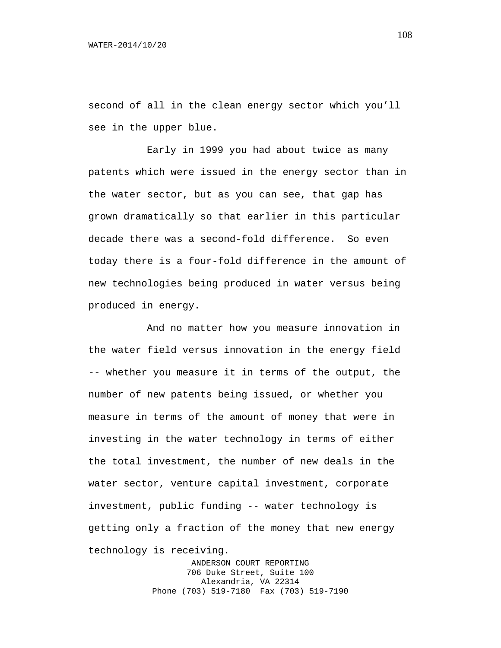second of all in the clean energy sector which you'll see in the upper blue.

Early in 1999 you had about twice as many patents which were issued in the energy sector than in the water sector, but as you can see, that gap has grown dramatically so that earlier in this particular decade there was a second-fold difference. So even today there is a four-fold difference in the amount of new technologies being produced in water versus being produced in energy.

And no matter how you measure innovation in the water field versus innovation in the energy field -- whether you measure it in terms of the output, the number of new patents being issued, or whether you measure in terms of the amount of money that were in investing in the water technology in terms of either the total investment, the number of new deals in the water sector, venture capital investment, corporate investment, public funding -- water technology is getting only a fraction of the money that new energy technology is receiving.

> ANDERSON COURT REPORTING 706 Duke Street, Suite 100 Alexandria, VA 22314 Phone (703) 519-7180 Fax (703) 519-7190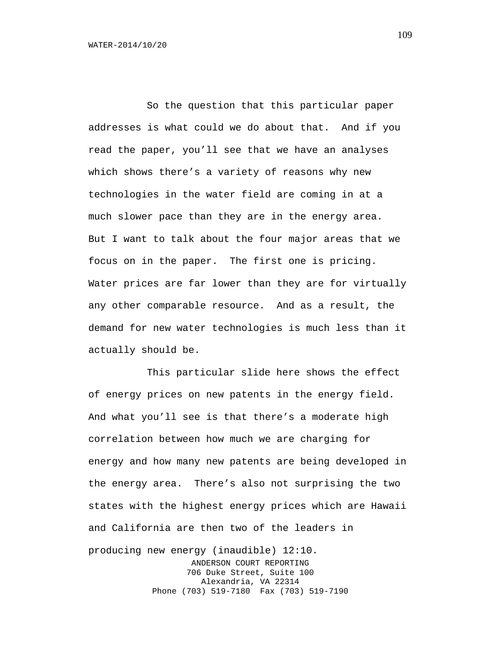So the question that this particular paper addresses is what could we do about that. And if you read the paper, you'll see that we have an analyses which shows there's a variety of reasons why new technologies in the water field are coming in at a much slower pace than they are in the energy area. But I want to talk about the four major areas that we focus on in the paper. The first one is pricing. Water prices are far lower than they are for virtually any other comparable resource. And as a result, the demand for new water technologies is much less than it actually should be.

This particular slide here shows the effect of energy prices on new patents in the energy field. And what you'll see is that there's a moderate high correlation between how much we are charging for energy and how many new patents are being developed in the energy area. There's also not surprising the two states with the highest energy prices which are Hawaii and California are then two of the leaders in producing new energy (inaudible) 12:10. ANDERSON COURT REPORTING 706 Duke Street, Suite 100 Alexandria, VA 22314 Phone (703) 519-7180 Fax (703) 519-7190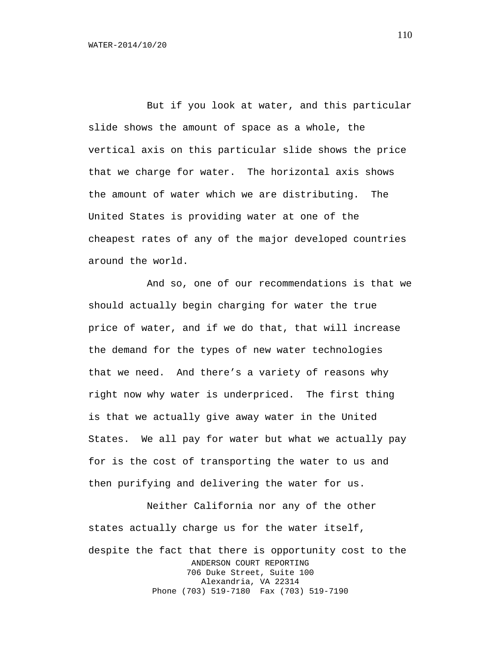But if you look at water, and this particular slide shows the amount of space as a whole, the vertical axis on this particular slide shows the price that we charge for water. The horizontal axis shows the amount of water which we are distributing. The United States is providing water at one of the cheapest rates of any of the major developed countries around the world.

And so, one of our recommendations is that we should actually begin charging for water the true price of water, and if we do that, that will increase the demand for the types of new water technologies that we need. And there's a variety of reasons why right now why water is underpriced. The first thing is that we actually give away water in the United States. We all pay for water but what we actually pay for is the cost of transporting the water to us and then purifying and delivering the water for us.

Neither California nor any of the other states actually charge us for the water itself, despite the fact that there is opportunity cost to the ANDERSON COURT REPORTING 706 Duke Street, Suite 100 Alexandria, VA 22314 Phone (703) 519-7180 Fax (703) 519-7190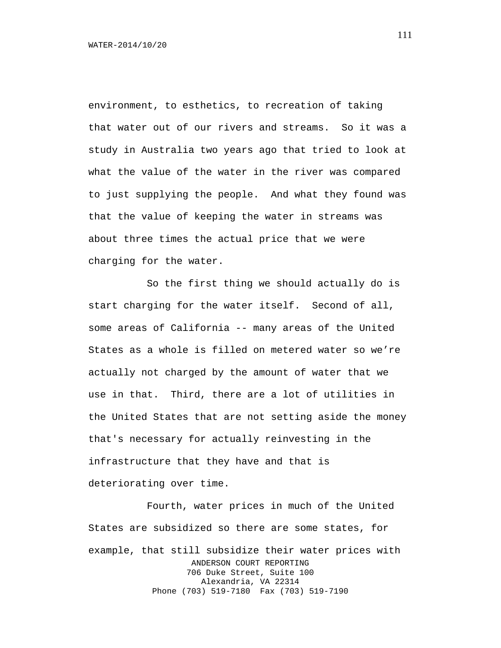environment, to esthetics, to recreation of taking that water out of our rivers and streams. So it was a study in Australia two years ago that tried to look at what the value of the water in the river was compared to just supplying the people. And what they found was that the value of keeping the water in streams was about three times the actual price that we were charging for the water.

So the first thing we should actually do is start charging for the water itself. Second of all, some areas of California -- many areas of the United States as a whole is filled on metered water so we're actually not charged by the amount of water that we use in that. Third, there are a lot of utilities in the United States that are not setting aside the money that's necessary for actually reinvesting in the infrastructure that they have and that is deteriorating over time.

Fourth, water prices in much of the United States are subsidized so there are some states, for example, that still subsidize their water prices with ANDERSON COURT REPORTING 706 Duke Street, Suite 100 Alexandria, VA 22314 Phone (703) 519-7180 Fax (703) 519-7190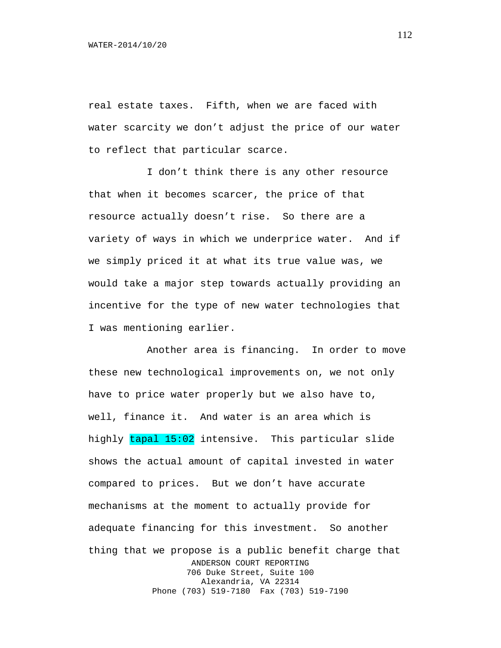real estate taxes. Fifth, when we are faced with water scarcity we don't adjust the price of our water to reflect that particular scarce.

I don't think there is any other resource that when it becomes scarcer, the price of that resource actually doesn't rise. So there are a variety of ways in which we underprice water. And if we simply priced it at what its true value was, we would take a major step towards actually providing an incentive for the type of new water technologies that I was mentioning earlier.

Another area is financing. In order to move these new technological improvements on, we not only have to price water properly but we also have to, well, finance it. And water is an area which is highly tapal 15:02 intensive. This particular slide shows the actual amount of capital invested in water compared to prices. But we don't have accurate mechanisms at the moment to actually provide for adequate financing for this investment. So another thing that we propose is a public benefit charge that ANDERSON COURT REPORTING 706 Duke Street, Suite 100 Alexandria, VA 22314 Phone (703) 519-7180 Fax (703) 519-7190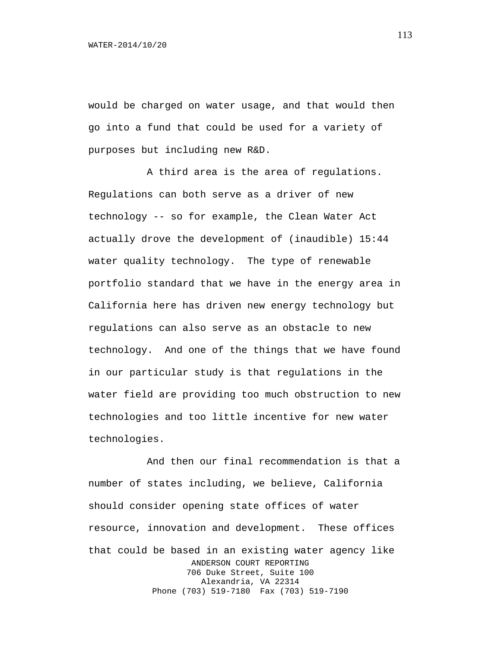would be charged on water usage, and that would then go into a fund that could be used for a variety of purposes but including new R&D.

A third area is the area of regulations. Regulations can both serve as a driver of new technology -- so for example, the Clean Water Act actually drove the development of (inaudible) 15:44 water quality technology. The type of renewable portfolio standard that we have in the energy area in California here has driven new energy technology but regulations can also serve as an obstacle to new technology. And one of the things that we have found in our particular study is that regulations in the water field are providing too much obstruction to new technologies and too little incentive for new water technologies.

And then our final recommendation is that a number of states including, we believe, California should consider opening state offices of water resource, innovation and development. These offices that could be based in an existing water agency like ANDERSON COURT REPORTING 706 Duke Street, Suite 100 Alexandria, VA 22314 Phone (703) 519-7180 Fax (703) 519-7190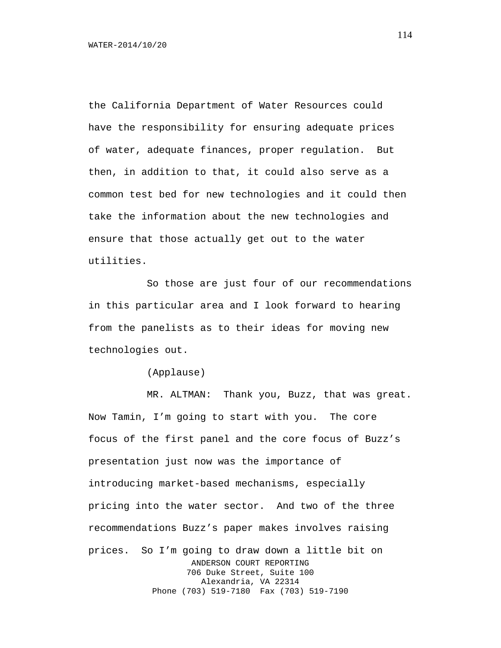the California Department of Water Resources could have the responsibility for ensuring adequate prices of water, adequate finances, proper regulation. But then, in addition to that, it could also serve as a common test bed for new technologies and it could then take the information about the new technologies and ensure that those actually get out to the water utilities.

So those are just four of our recommendations in this particular area and I look forward to hearing from the panelists as to their ideas for moving new technologies out.

(Applause)

MR. ALTMAN: Thank you, Buzz, that was great. Now Tamin, I'm going to start with you. The core focus of the first panel and the core focus of Buzz's presentation just now was the importance of introducing market-based mechanisms, especially pricing into the water sector. And two of the three recommendations Buzz's paper makes involves raising prices. So I'm going to draw down a little bit on ANDERSON COURT REPORTING 706 Duke Street, Suite 100 Alexandria, VA 22314 Phone (703) 519-7180 Fax (703) 519-7190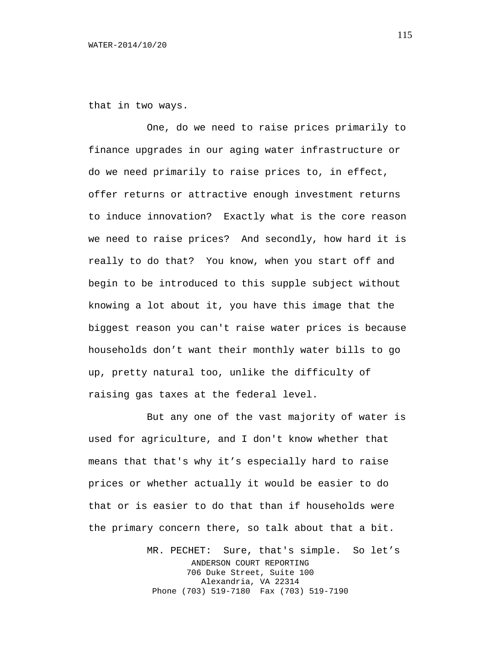that in two ways.

One, do we need to raise prices primarily to finance upgrades in our aging water infrastructure or do we need primarily to raise prices to, in effect, offer returns or attractive enough investment returns to induce innovation? Exactly what is the core reason we need to raise prices? And secondly, how hard it is really to do that? You know, when you start off and begin to be introduced to this supple subject without knowing a lot about it, you have this image that the biggest reason you can't raise water prices is because households don't want their monthly water bills to go up, pretty natural too, unlike the difficulty of raising gas taxes at the federal level.

But any one of the vast majority of water is used for agriculture, and I don't know whether that means that that's why it's especially hard to raise prices or whether actually it would be easier to do that or is easier to do that than if households were the primary concern there, so talk about that a bit.

> MR. PECHET: Sure, that's simple. So let's ANDERSON COURT REPORTING 706 Duke Street, Suite 100 Alexandria, VA 22314 Phone (703) 519-7180 Fax (703) 519-7190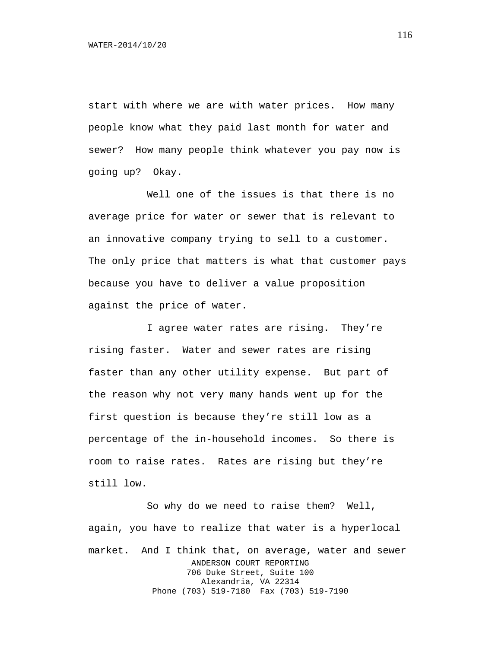start with where we are with water prices. How many people know what they paid last month for water and sewer? How many people think whatever you pay now is going up? Okay.

Well one of the issues is that there is no average price for water or sewer that is relevant to an innovative company trying to sell to a customer. The only price that matters is what that customer pays because you have to deliver a value proposition against the price of water.

I agree water rates are rising. They're rising faster. Water and sewer rates are rising faster than any other utility expense. But part of the reason why not very many hands went up for the first question is because they're still low as a percentage of the in-household incomes. So there is room to raise rates. Rates are rising but they're still low.

So why do we need to raise them? Well, again, you have to realize that water is a hyperlocal market. And I think that, on average, water and sewer ANDERSON COURT REPORTING 706 Duke Street, Suite 100 Alexandria, VA 22314 Phone (703) 519-7180 Fax (703) 519-7190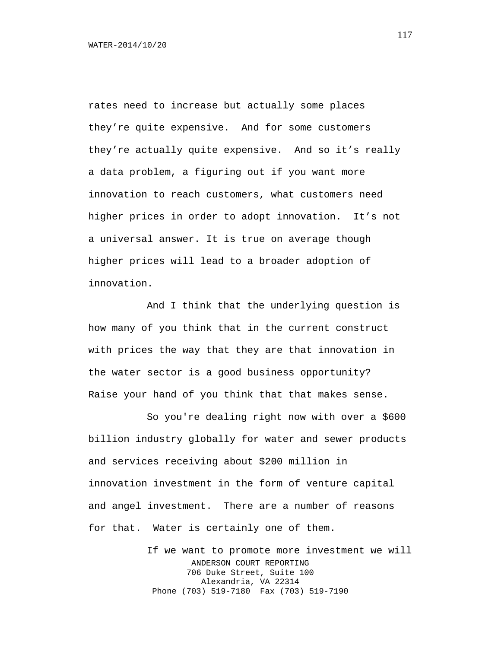rates need to increase but actually some places they're quite expensive. And for some customers they're actually quite expensive. And so it's really a data problem, a figuring out if you want more innovation to reach customers, what customers need higher prices in order to adopt innovation. It's not a universal answer. It is true on average though higher prices will lead to a broader adoption of innovation.

And I think that the underlying question is how many of you think that in the current construct with prices the way that they are that innovation in the water sector is a good business opportunity? Raise your hand of you think that that makes sense.

So you're dealing right now with over a \$600 billion industry globally for water and sewer products and services receiving about \$200 million in innovation investment in the form of venture capital and angel investment. There are a number of reasons for that. Water is certainly one of them.

> If we want to promote more investment we will ANDERSON COURT REPORTING 706 Duke Street, Suite 100 Alexandria, VA 22314 Phone (703) 519-7180 Fax (703) 519-7190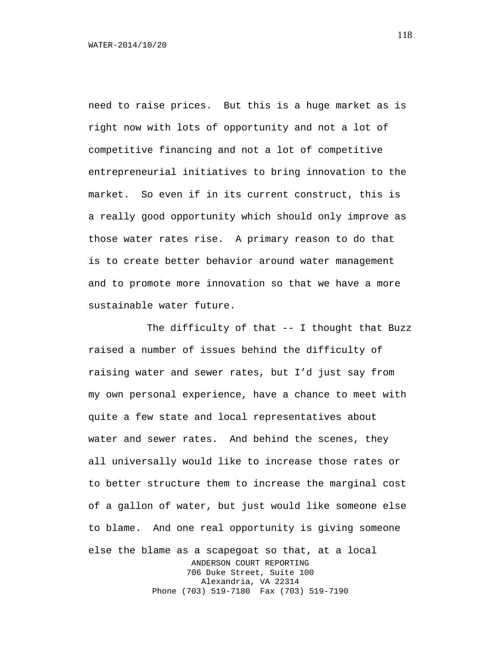need to raise prices. But this is a huge market as is right now with lots of opportunity and not a lot of competitive financing and not a lot of competitive entrepreneurial initiatives to bring innovation to the market. So even if in its current construct, this is a really good opportunity which should only improve as those water rates rise. A primary reason to do that is to create better behavior around water management and to promote more innovation so that we have a more sustainable water future.

The difficulty of that -- I thought that Buzz raised a number of issues behind the difficulty of raising water and sewer rates, but I'd just say from my own personal experience, have a chance to meet with quite a few state and local representatives about water and sewer rates. And behind the scenes, they all universally would like to increase those rates or to better structure them to increase the marginal cost of a gallon of water, but just would like someone else to blame. And one real opportunity is giving someone else the blame as a scapegoat so that, at a local ANDERSON COURT REPORTING 706 Duke Street, Suite 100 Alexandria, VA 22314 Phone (703) 519-7180 Fax (703) 519-7190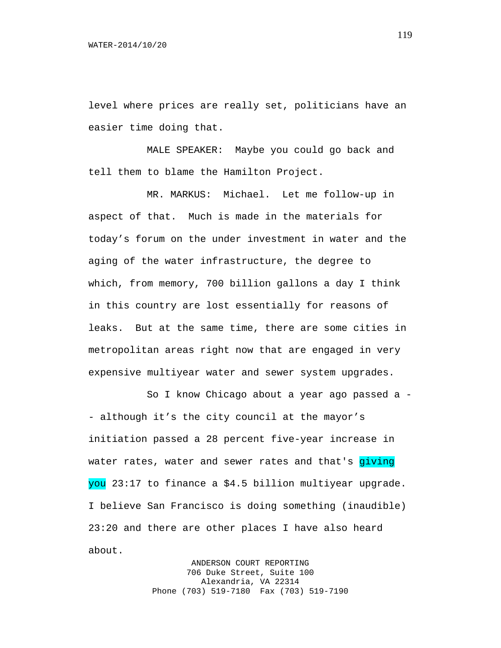level where prices are really set, politicians have an easier time doing that.

MALE SPEAKER: Maybe you could go back and tell them to blame the Hamilton Project.

MR. MARKUS: Michael. Let me follow-up in aspect of that. Much is made in the materials for today's forum on the under investment in water and the aging of the water infrastructure, the degree to which, from memory, 700 billion gallons a day I think in this country are lost essentially for reasons of leaks. But at the same time, there are some cities in metropolitan areas right now that are engaged in very expensive multiyear water and sewer system upgrades.

So I know Chicago about a year ago passed a - - although it's the city council at the mayor's initiation passed a 28 percent five-year increase in water rates, water and sewer rates and that's giving you 23:17 to finance a \$4.5 billion multiyear upgrade. I believe San Francisco is doing something (inaudible) 23:20 and there are other places I have also heard about.

> ANDERSON COURT REPORTING 706 Duke Street, Suite 100 Alexandria, VA 22314 Phone (703) 519-7180 Fax (703) 519-7190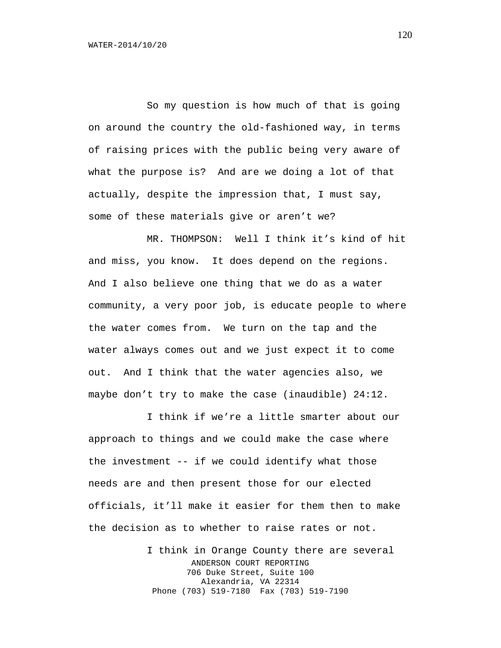So my question is how much of that is going on around the country the old-fashioned way, in terms of raising prices with the public being very aware of what the purpose is? And are we doing a lot of that actually, despite the impression that, I must say, some of these materials give or aren't we?

MR. THOMPSON: Well I think it's kind of hit and miss, you know. It does depend on the regions. And I also believe one thing that we do as a water community, a very poor job, is educate people to where the water comes from. We turn on the tap and the water always comes out and we just expect it to come out. And I think that the water agencies also, we maybe don't try to make the case (inaudible) 24:12.

I think if we're a little smarter about our approach to things and we could make the case where the investment -- if we could identify what those needs are and then present those for our elected officials, it'll make it easier for them then to make the decision as to whether to raise rates or not.

> I think in Orange County there are several ANDERSON COURT REPORTING 706 Duke Street, Suite 100 Alexandria, VA 22314 Phone (703) 519-7180 Fax (703) 519-7190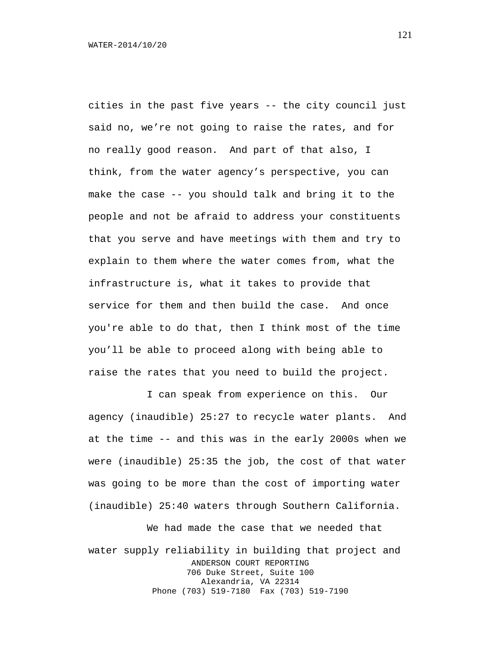cities in the past five years -- the city council just said no, we're not going to raise the rates, and for no really good reason. And part of that also, I think, from the water agency's perspective, you can make the case -- you should talk and bring it to the people and not be afraid to address your constituents that you serve and have meetings with them and try to explain to them where the water comes from, what the infrastructure is, what it takes to provide that service for them and then build the case. And once you're able to do that, then I think most of the time you'll be able to proceed along with being able to raise the rates that you need to build the project.

I can speak from experience on this. Our agency (inaudible) 25:27 to recycle water plants. And at the time -- and this was in the early 2000s when we were (inaudible) 25:35 the job, the cost of that water was going to be more than the cost of importing water (inaudible) 25:40 waters through Southern California.

We had made the case that we needed that water supply reliability in building that project and ANDERSON COURT REPORTING 706 Duke Street, Suite 100 Alexandria, VA 22314 Phone (703) 519-7180 Fax (703) 519-7190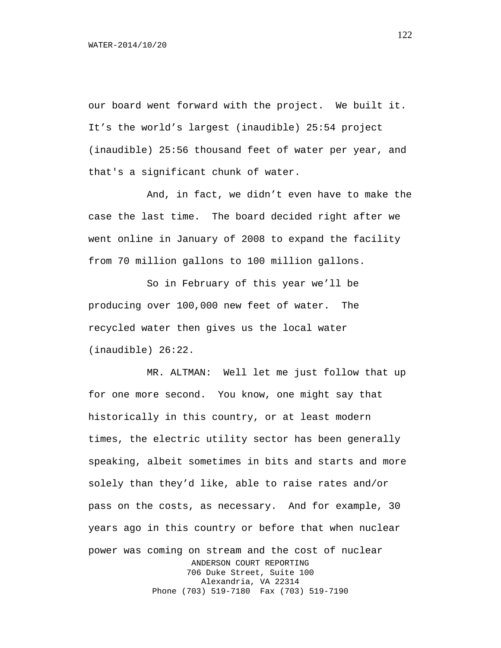our board went forward with the project. We built it. It's the world's largest (inaudible) 25:54 project (inaudible) 25:56 thousand feet of water per year, and that's a significant chunk of water.

And, in fact, we didn't even have to make the case the last time. The board decided right after we went online in January of 2008 to expand the facility from 70 million gallons to 100 million gallons.

So in February of this year we'll be producing over 100,000 new feet of water. The recycled water then gives us the local water (inaudible) 26:22.

MR. ALTMAN: Well let me just follow that up for one more second. You know, one might say that historically in this country, or at least modern times, the electric utility sector has been generally speaking, albeit sometimes in bits and starts and more solely than they'd like, able to raise rates and/or pass on the costs, as necessary. And for example, 30 years ago in this country or before that when nuclear power was coming on stream and the cost of nuclear ANDERSON COURT REPORTING 706 Duke Street, Suite 100 Alexandria, VA 22314 Phone (703) 519-7180 Fax (703) 519-7190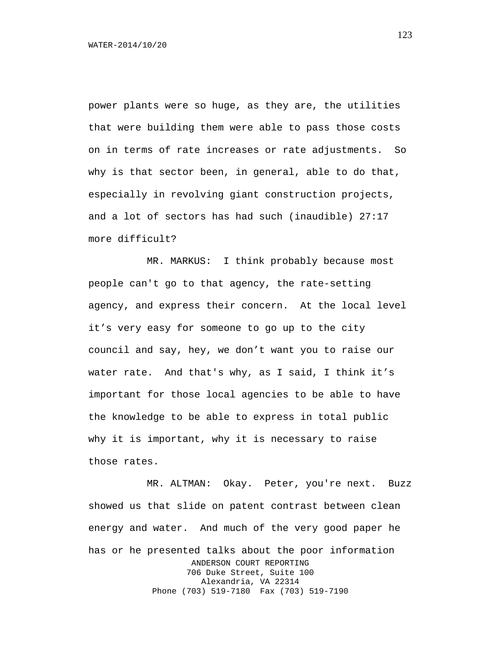power plants were so huge, as they are, the utilities that were building them were able to pass those costs on in terms of rate increases or rate adjustments. So why is that sector been, in general, able to do that, especially in revolving giant construction projects, and a lot of sectors has had such (inaudible) 27:17 more difficult?

MR. MARKUS: I think probably because most people can't go to that agency, the rate-setting agency, and express their concern. At the local level it's very easy for someone to go up to the city council and say, hey, we don't want you to raise our water rate. And that's why, as I said, I think it's important for those local agencies to be able to have the knowledge to be able to express in total public why it is important, why it is necessary to raise those rates.

MR. ALTMAN: Okay. Peter, you're next. Buzz showed us that slide on patent contrast between clean energy and water. And much of the very good paper he has or he presented talks about the poor information ANDERSON COURT REPORTING 706 Duke Street, Suite 100 Alexandria, VA 22314 Phone (703) 519-7180 Fax (703) 519-7190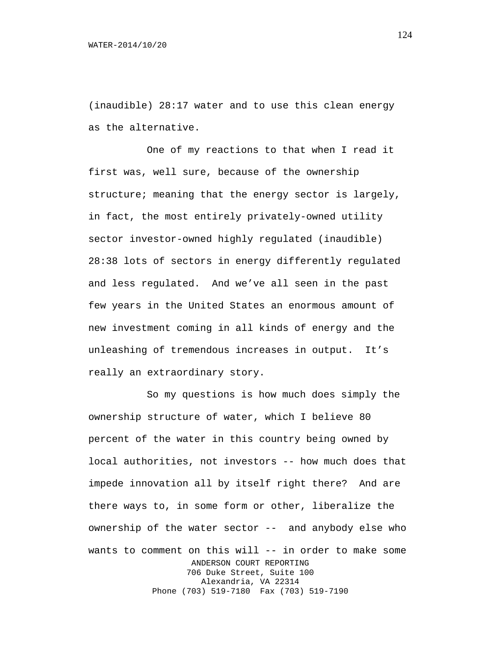(inaudible) 28:17 water and to use this clean energy as the alternative.

One of my reactions to that when I read it first was, well sure, because of the ownership structure; meaning that the energy sector is largely, in fact, the most entirely privately-owned utility sector investor-owned highly regulated (inaudible) 28:38 lots of sectors in energy differently regulated and less regulated. And we've all seen in the past few years in the United States an enormous amount of new investment coming in all kinds of energy and the unleashing of tremendous increases in output. It's really an extraordinary story.

So my questions is how much does simply the ownership structure of water, which I believe 80 percent of the water in this country being owned by local authorities, not investors -- how much does that impede innovation all by itself right there? And are there ways to, in some form or other, liberalize the ownership of the water sector -- and anybody else who wants to comment on this will -- in order to make some ANDERSON COURT REPORTING 706 Duke Street, Suite 100 Alexandria, VA 22314 Phone (703) 519-7180 Fax (703) 519-7190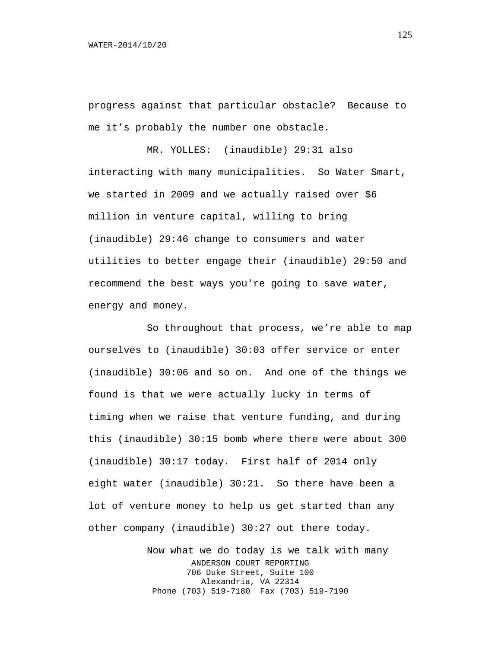progress against that particular obstacle? Because to me it's probably the number one obstacle.

MR. YOLLES: (inaudible) 29:31 also interacting with many municipalities. So Water Smart, we started in 2009 and we actually raised over \$6 million in venture capital, willing to bring (inaudible) 29:46 change to consumers and water utilities to better engage their (inaudible) 29:50 and recommend the best ways you're going to save water, energy and money.

So throughout that process, we're able to map ourselves to (inaudible) 30:03 offer service or enter (inaudible) 30:06 and so on. And one of the things we found is that we were actually lucky in terms of timing when we raise that venture funding, and during this (inaudible) 30:15 bomb where there were about 300 (inaudible) 30:17 today. First half of 2014 only eight water (inaudible) 30:21. So there have been a lot of venture money to help us get started than any other company (inaudible) 30:27 out there today.

> Now what we do today is we talk with many ANDERSON COURT REPORTING 706 Duke Street, Suite 100 Alexandria, VA 22314 Phone (703) 519-7180 Fax (703) 519-7190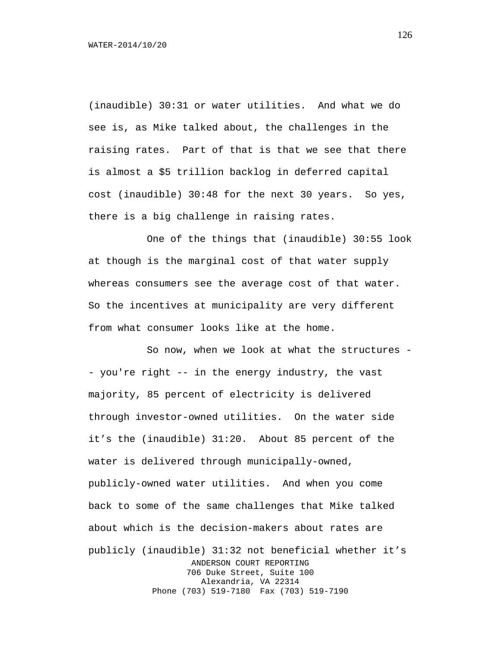(inaudible) 30:31 or water utilities. And what we do see is, as Mike talked about, the challenges in the raising rates. Part of that is that we see that there is almost a \$5 trillion backlog in deferred capital cost (inaudible) 30:48 for the next 30 years. So yes, there is a big challenge in raising rates.

One of the things that (inaudible) 30:55 look at though is the marginal cost of that water supply whereas consumers see the average cost of that water. So the incentives at municipality are very different from what consumer looks like at the home.

So now, when we look at what the structures - - you're right -- in the energy industry, the vast majority, 85 percent of electricity is delivered through investor-owned utilities. On the water side it's the (inaudible) 31:20. About 85 percent of the water is delivered through municipally-owned, publicly-owned water utilities. And when you come back to some of the same challenges that Mike talked about which is the decision-makers about rates are publicly (inaudible) 31:32 not beneficial whether it's ANDERSON COURT REPORTING 706 Duke Street, Suite 100 Alexandria, VA 22314 Phone (703) 519-7180 Fax (703) 519-7190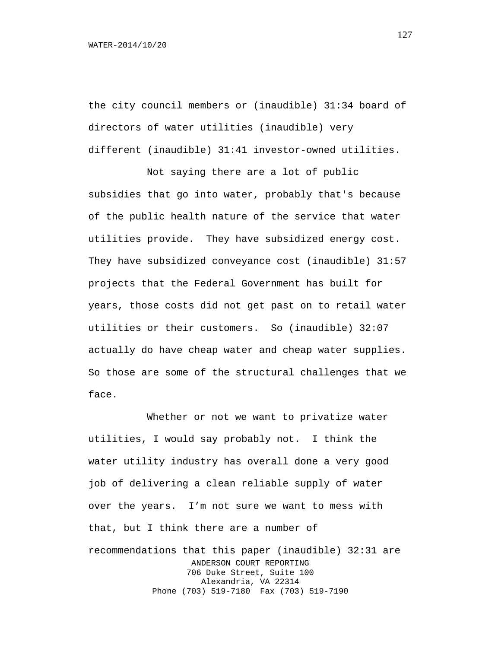the city council members or (inaudible) 31:34 board of directors of water utilities (inaudible) very different (inaudible) 31:41 investor-owned utilities.

Not saying there are a lot of public subsidies that go into water, probably that's because of the public health nature of the service that water utilities provide. They have subsidized energy cost. They have subsidized conveyance cost (inaudible) 31:57 projects that the Federal Government has built for years, those costs did not get past on to retail water utilities or their customers. So (inaudible) 32:07 actually do have cheap water and cheap water supplies. So those are some of the structural challenges that we face.

Whether or not we want to privatize water utilities, I would say probably not. I think the water utility industry has overall done a very good job of delivering a clean reliable supply of water over the years. I'm not sure we want to mess with that, but I think there are a number of recommendations that this paper (inaudible) 32:31 are ANDERSON COURT REPORTING 706 Duke Street, Suite 100 Alexandria, VA 22314 Phone (703) 519-7180 Fax (703) 519-7190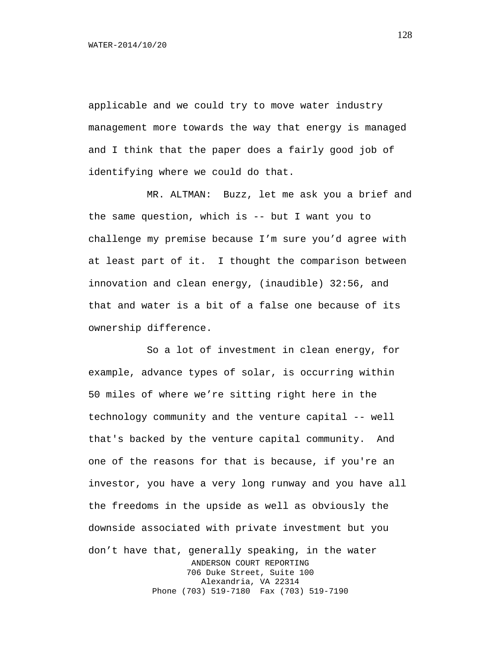applicable and we could try to move water industry management more towards the way that energy is managed and I think that the paper does a fairly good job of identifying where we could do that.

MR. ALTMAN: Buzz, let me ask you a brief and the same question, which is -- but I want you to challenge my premise because I'm sure you'd agree with at least part of it. I thought the comparison between innovation and clean energy, (inaudible) 32:56, and that and water is a bit of a false one because of its ownership difference.

So a lot of investment in clean energy, for example, advance types of solar, is occurring within 50 miles of where we're sitting right here in the technology community and the venture capital -- well that's backed by the venture capital community. And one of the reasons for that is because, if you're an investor, you have a very long runway and you have all the freedoms in the upside as well as obviously the downside associated with private investment but you don't have that, generally speaking, in the water ANDERSON COURT REPORTING 706 Duke Street, Suite 100 Alexandria, VA 22314 Phone (703) 519-7180 Fax (703) 519-7190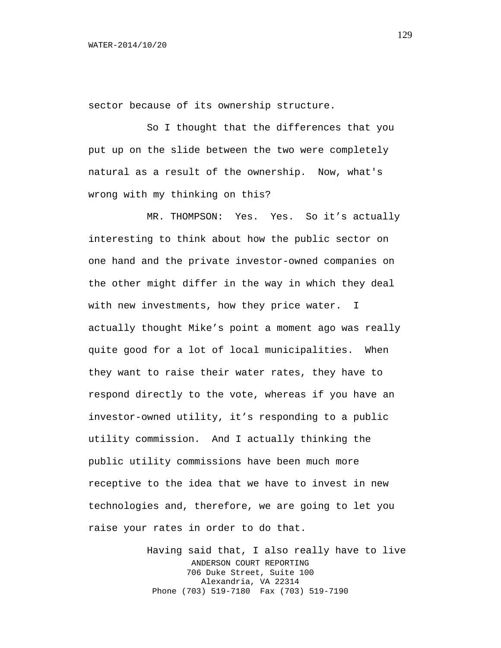sector because of its ownership structure.

So I thought that the differences that you put up on the slide between the two were completely natural as a result of the ownership. Now, what's wrong with my thinking on this?

MR. THOMPSON: Yes. Yes. So it's actually interesting to think about how the public sector on one hand and the private investor-owned companies on the other might differ in the way in which they deal with new investments, how they price water. I actually thought Mike's point a moment ago was really quite good for a lot of local municipalities. When they want to raise their water rates, they have to respond directly to the vote, whereas if you have an investor-owned utility, it's responding to a public utility commission. And I actually thinking the public utility commissions have been much more receptive to the idea that we have to invest in new technologies and, therefore, we are going to let you raise your rates in order to do that.

> Having said that, I also really have to live ANDERSON COURT REPORTING 706 Duke Street, Suite 100 Alexandria, VA 22314 Phone (703) 519-7180 Fax (703) 519-7190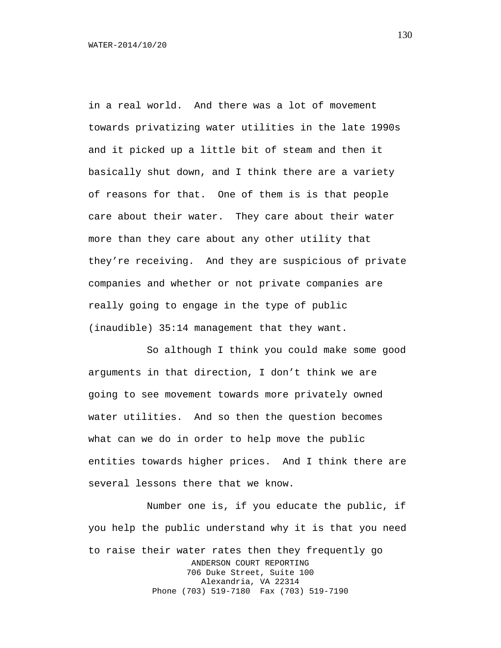in a real world. And there was a lot of movement towards privatizing water utilities in the late 1990s and it picked up a little bit of steam and then it basically shut down, and I think there are a variety of reasons for that. One of them is is that people care about their water. They care about their water more than they care about any other utility that they're receiving. And they are suspicious of private companies and whether or not private companies are really going to engage in the type of public (inaudible) 35:14 management that they want.

So although I think you could make some good arguments in that direction, I don't think we are going to see movement towards more privately owned water utilities. And so then the question becomes what can we do in order to help move the public entities towards higher prices. And I think there are several lessons there that we know.

Number one is, if you educate the public, if you help the public understand why it is that you need to raise their water rates then they frequently go ANDERSON COURT REPORTING 706 Duke Street, Suite 100 Alexandria, VA 22314 Phone (703) 519-7180 Fax (703) 519-7190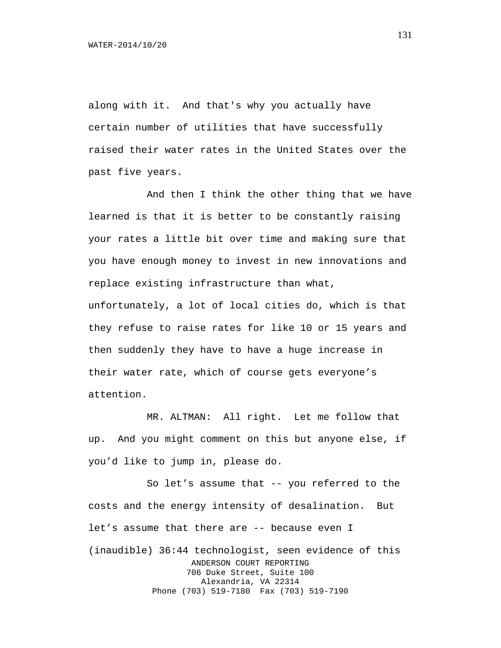along with it. And that's why you actually have certain number of utilities that have successfully raised their water rates in the United States over the past five years.

And then I think the other thing that we have learned is that it is better to be constantly raising your rates a little bit over time and making sure that you have enough money to invest in new innovations and replace existing infrastructure than what, unfortunately, a lot of local cities do, which is that they refuse to raise rates for like 10 or 15 years and then suddenly they have to have a huge increase in their water rate, which of course gets everyone's

attention.

MR. ALTMAN: All right. Let me follow that up. And you might comment on this but anyone else, if you'd like to jump in, please do.

So let's assume that -- you referred to the costs and the energy intensity of desalination. But let's assume that there are -- because even I (inaudible) 36:44 technologist, seen evidence of this ANDERSON COURT REPORTING 706 Duke Street, Suite 100 Alexandria, VA 22314 Phone (703) 519-7180 Fax (703) 519-7190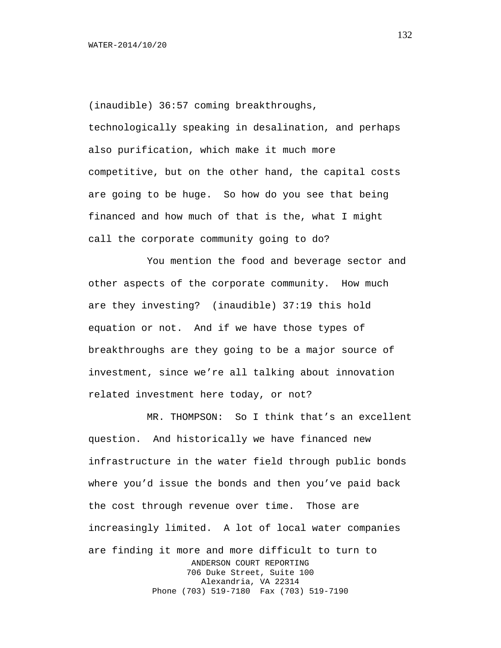(inaudible) 36:57 coming breakthroughs, technologically speaking in desalination, and perhaps also purification, which make it much more competitive, but on the other hand, the capital costs are going to be huge. So how do you see that being financed and how much of that is the, what I might call the corporate community going to do?

You mention the food and beverage sector and other aspects of the corporate community. How much are they investing? (inaudible) 37:19 this hold equation or not. And if we have those types of breakthroughs are they going to be a major source of investment, since we're all talking about innovation related investment here today, or not?

MR. THOMPSON: So I think that's an excellent question. And historically we have financed new infrastructure in the water field through public bonds where you'd issue the bonds and then you've paid back the cost through revenue over time. Those are increasingly limited. A lot of local water companies are finding it more and more difficult to turn to ANDERSON COURT REPORTING 706 Duke Street, Suite 100 Alexandria, VA 22314 Phone (703) 519-7180 Fax (703) 519-7190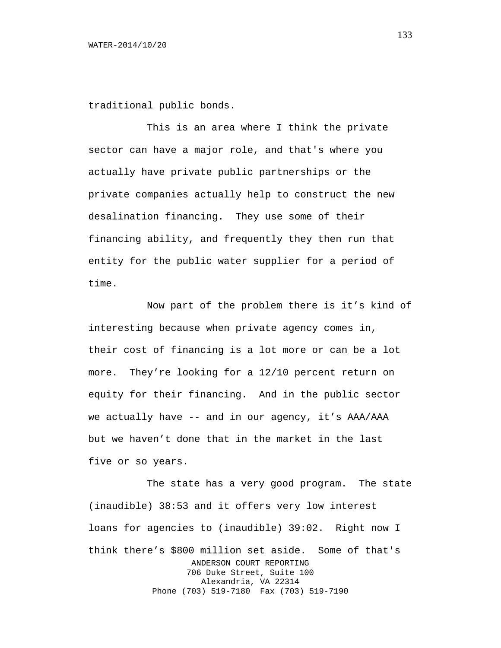traditional public bonds.

This is an area where I think the private sector can have a major role, and that's where you actually have private public partnerships or the private companies actually help to construct the new desalination financing. They use some of their financing ability, and frequently they then run that entity for the public water supplier for a period of time.

Now part of the problem there is it's kind of interesting because when private agency comes in, their cost of financing is a lot more or can be a lot more. They're looking for a 12/10 percent return on equity for their financing. And in the public sector we actually have  $-$  and in our agency, it's  $AAA/AAA$ but we haven't done that in the market in the last five or so years.

The state has a very good program. The state (inaudible) 38:53 and it offers very low interest loans for agencies to (inaudible) 39:02. Right now I think there's \$800 million set aside. Some of that's ANDERSON COURT REPORTING 706 Duke Street, Suite 100 Alexandria, VA 22314 Phone (703) 519-7180 Fax (703) 519-7190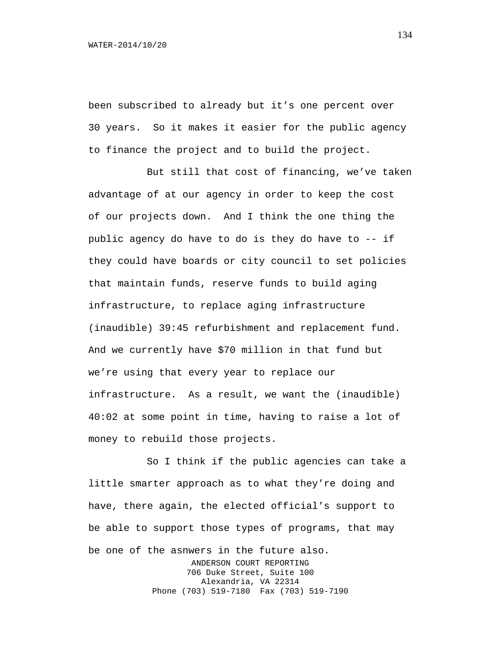been subscribed to already but it's one percent over 30 years. So it makes it easier for the public agency to finance the project and to build the project.

But still that cost of financing, we've taken advantage of at our agency in order to keep the cost of our projects down. And I think the one thing the public agency do have to do is they do have to -- if they could have boards or city council to set policies that maintain funds, reserve funds to build aging infrastructure, to replace aging infrastructure (inaudible) 39:45 refurbishment and replacement fund. And we currently have \$70 million in that fund but we're using that every year to replace our infrastructure. As a result, we want the (inaudible) 40:02 at some point in time, having to raise a lot of money to rebuild those projects.

So I think if the public agencies can take a little smarter approach as to what they're doing and have, there again, the elected official's support to be able to support those types of programs, that may be one of the asnwers in the future also. ANDERSON COURT REPORTING 706 Duke Street, Suite 100 Alexandria, VA 22314 Phone (703) 519-7180 Fax (703) 519-7190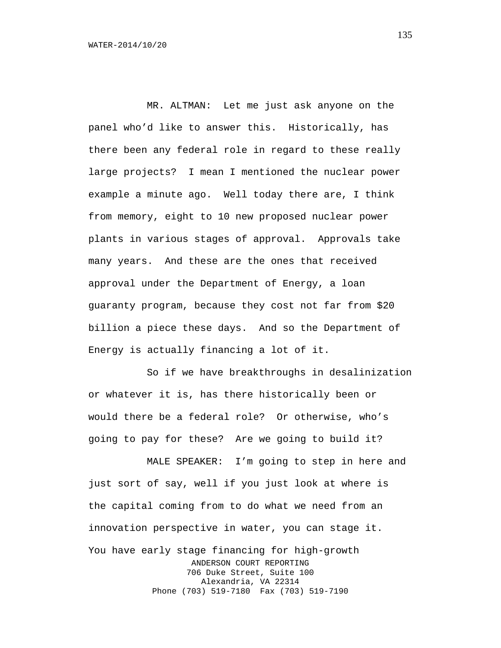MR. ALTMAN: Let me just ask anyone on the panel who'd like to answer this. Historically, has there been any federal role in regard to these really large projects? I mean I mentioned the nuclear power example a minute ago. Well today there are, I think from memory, eight to 10 new proposed nuclear power plants in various stages of approval. Approvals take many years. And these are the ones that received approval under the Department of Energy, a loan guaranty program, because they cost not far from \$20 billion a piece these days. And so the Department of Energy is actually financing a lot of it.

So if we have breakthroughs in desalinization or whatever it is, has there historically been or would there be a federal role? Or otherwise, who's going to pay for these? Are we going to build it?

MALE SPEAKER: I'm going to step in here and just sort of say, well if you just look at where is the capital coming from to do what we need from an innovation perspective in water, you can stage it. You have early stage financing for high-growth ANDERSON COURT REPORTING 706 Duke Street, Suite 100 Alexandria, VA 22314 Phone (703) 519-7180 Fax (703) 519-7190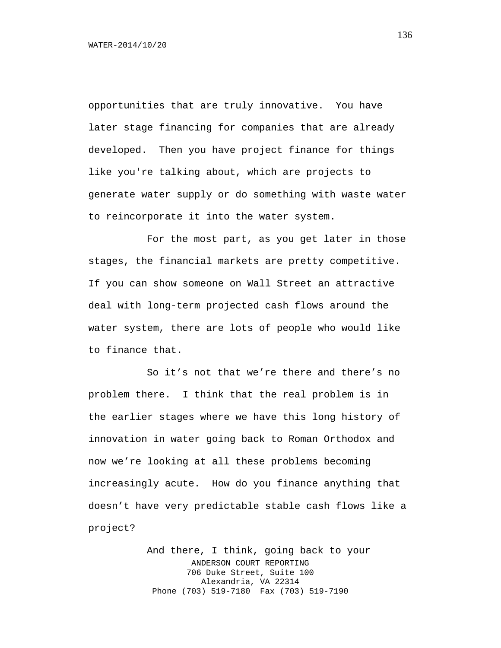opportunities that are truly innovative. You have later stage financing for companies that are already developed. Then you have project finance for things like you're talking about, which are projects to generate water supply or do something with waste water to reincorporate it into the water system.

For the most part, as you get later in those stages, the financial markets are pretty competitive. If you can show someone on Wall Street an attractive deal with long-term projected cash flows around the water system, there are lots of people who would like to finance that.

So it's not that we're there and there's no problem there. I think that the real problem is in the earlier stages where we have this long history of innovation in water going back to Roman Orthodox and now we're looking at all these problems becoming increasingly acute. How do you finance anything that doesn't have very predictable stable cash flows like a project?

> And there, I think, going back to your ANDERSON COURT REPORTING 706 Duke Street, Suite 100 Alexandria, VA 22314 Phone (703) 519-7180 Fax (703) 519-7190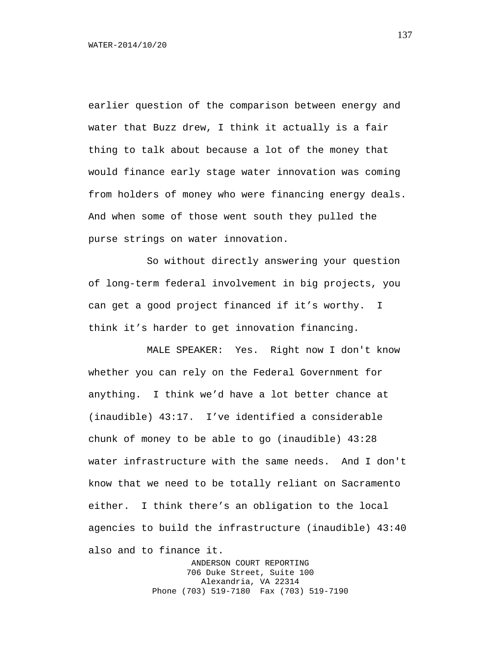earlier question of the comparison between energy and water that Buzz drew, I think it actually is a fair thing to talk about because a lot of the money that would finance early stage water innovation was coming from holders of money who were financing energy deals. And when some of those went south they pulled the purse strings on water innovation.

So without directly answering your question of long-term federal involvement in big projects, you can get a good project financed if it's worthy. I think it's harder to get innovation financing.

MALE SPEAKER: Yes. Right now I don't know whether you can rely on the Federal Government for anything. I think we'd have a lot better chance at (inaudible) 43:17. I've identified a considerable chunk of money to be able to go (inaudible) 43:28 water infrastructure with the same needs. And I don't know that we need to be totally reliant on Sacramento either. I think there's an obligation to the local agencies to build the infrastructure (inaudible) 43:40 also and to finance it.

> ANDERSON COURT REPORTING 706 Duke Street, Suite 100 Alexandria, VA 22314 Phone (703) 519-7180 Fax (703) 519-7190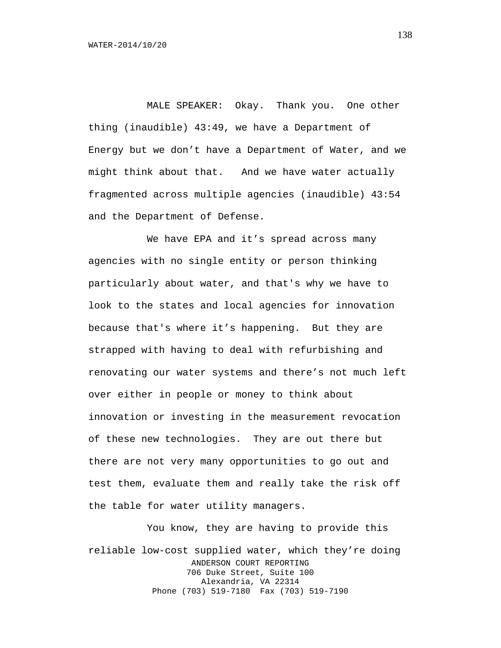MALE SPEAKER: Okay. Thank you. One other thing (inaudible) 43:49, we have a Department of Energy but we don't have a Department of Water, and we might think about that. And we have water actually fragmented across multiple agencies (inaudible) 43:54 and the Department of Defense.

We have EPA and it's spread across many agencies with no single entity or person thinking particularly about water, and that's why we have to look to the states and local agencies for innovation because that's where it's happening. But they are strapped with having to deal with refurbishing and renovating our water systems and there's not much left over either in people or money to think about innovation or investing in the measurement revocation of these new technologies. They are out there but there are not very many opportunities to go out and test them, evaluate them and really take the risk off the table for water utility managers.

You know, they are having to provide this reliable low-cost supplied water, which they're doing ANDERSON COURT REPORTING 706 Duke Street, Suite 100 Alexandria, VA 22314 Phone (703) 519-7180 Fax (703) 519-7190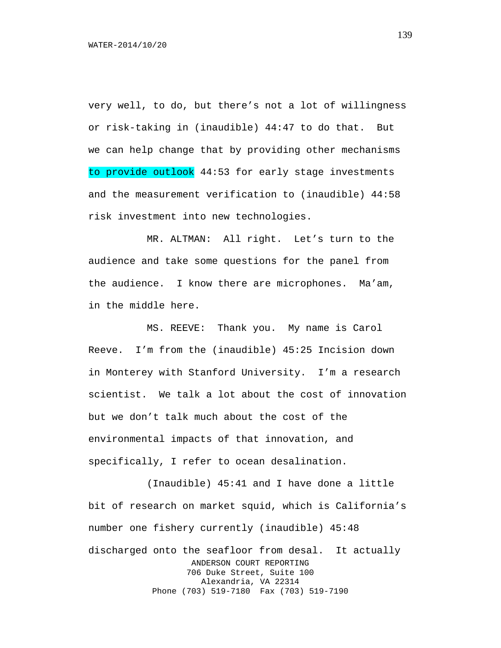very well, to do, but there's not a lot of willingness or risk-taking in (inaudible) 44:47 to do that. But we can help change that by providing other mechanisms to provide outlook 44:53 for early stage investments and the measurement verification to (inaudible) 44:58 risk investment into new technologies.

MR. ALTMAN: All right. Let's turn to the audience and take some questions for the panel from the audience. I know there are microphones. Ma'am, in the middle here.

MS. REEVE: Thank you. My name is Carol Reeve. I'm from the (inaudible) 45:25 Incision down in Monterey with Stanford University. I'm a research scientist. We talk a lot about the cost of innovation but we don't talk much about the cost of the environmental impacts of that innovation, and specifically, I refer to ocean desalination.

(Inaudible) 45:41 and I have done a little bit of research on market squid, which is California's number one fishery currently (inaudible) 45:48 discharged onto the seafloor from desal. It actually ANDERSON COURT REPORTING 706 Duke Street, Suite 100 Alexandria, VA 22314 Phone (703) 519-7180 Fax (703) 519-7190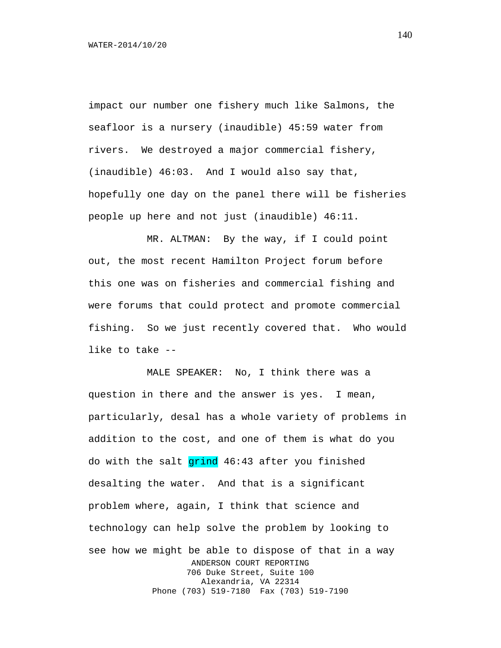impact our number one fishery much like Salmons, the seafloor is a nursery (inaudible) 45:59 water from rivers. We destroyed a major commercial fishery, (inaudible) 46:03. And I would also say that, hopefully one day on the panel there will be fisheries people up here and not just (inaudible) 46:11.

MR. ALTMAN: By the way, if I could point out, the most recent Hamilton Project forum before this one was on fisheries and commercial fishing and were forums that could protect and promote commercial fishing. So we just recently covered that. Who would like to take --

MALE SPEAKER: No, I think there was a question in there and the answer is yes. I mean, particularly, desal has a whole variety of problems in addition to the cost, and one of them is what do you do with the salt grind 46:43 after you finished desalting the water. And that is a significant problem where, again, I think that science and technology can help solve the problem by looking to see how we might be able to dispose of that in a way ANDERSON COURT REPORTING 706 Duke Street, Suite 100 Alexandria, VA 22314 Phone (703) 519-7180 Fax (703) 519-7190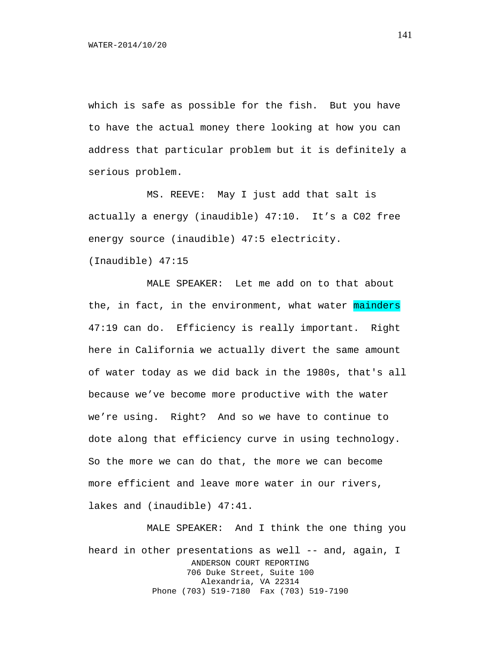which is safe as possible for the fish. But you have to have the actual money there looking at how you can address that particular problem but it is definitely a serious problem.

MS. REEVE: May I just add that salt is actually a energy (inaudible) 47:10. It's a C02 free energy source (inaudible) 47:5 electricity.

(Inaudible) 47:15

MALE SPEAKER: Let me add on to that about the, in fact, in the environment, what water mainders 47:19 can do. Efficiency is really important. Right here in California we actually divert the same amount of water today as we did back in the 1980s, that's all because we've become more productive with the water we're using. Right? And so we have to continue to dote along that efficiency curve in using technology. So the more we can do that, the more we can become more efficient and leave more water in our rivers, lakes and (inaudible) 47:41.

MALE SPEAKER: And I think the one thing you heard in other presentations as well -- and, again, I ANDERSON COURT REPORTING 706 Duke Street, Suite 100 Alexandria, VA 22314 Phone (703) 519-7180 Fax (703) 519-7190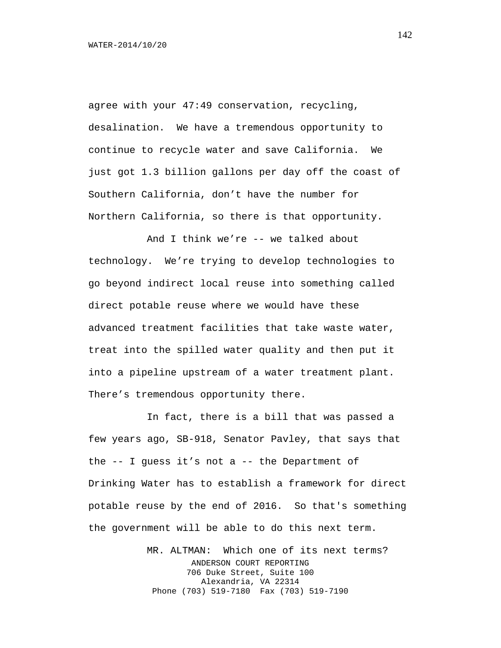agree with your 47:49 conservation, recycling, desalination. We have a tremendous opportunity to continue to recycle water and save California. We just got 1.3 billion gallons per day off the coast of Southern California, don't have the number for Northern California, so there is that opportunity.

And I think we're -- we talked about technology. We're trying to develop technologies to go beyond indirect local reuse into something called direct potable reuse where we would have these advanced treatment facilities that take waste water, treat into the spilled water quality and then put it into a pipeline upstream of a water treatment plant. There's tremendous opportunity there.

In fact, there is a bill that was passed a few years ago, SB-918, Senator Pavley, that says that the -- I guess it's not a -- the Department of Drinking Water has to establish a framework for direct potable reuse by the end of 2016. So that's something the government will be able to do this next term.

> MR. ALTMAN: Which one of its next terms? ANDERSON COURT REPORTING 706 Duke Street, Suite 100 Alexandria, VA 22314 Phone (703) 519-7180 Fax (703) 519-7190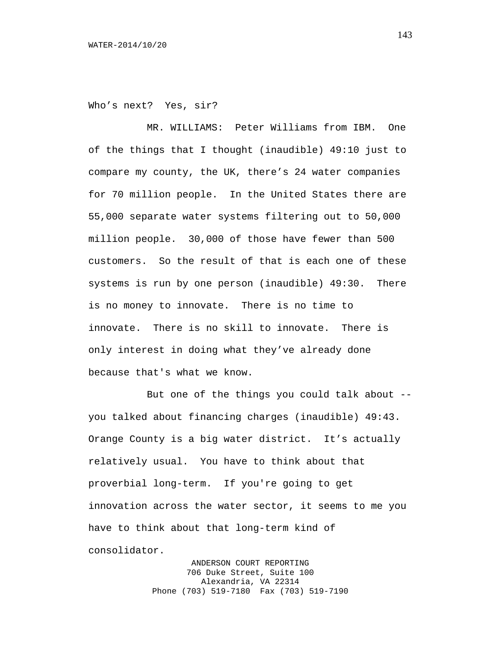Who's next? Yes, sir?

MR. WILLIAMS: Peter Williams from IBM. One of the things that I thought (inaudible) 49:10 just to compare my county, the UK, there's 24 water companies for 70 million people. In the United States there are 55,000 separate water systems filtering out to 50,000 million people. 30,000 of those have fewer than 500 customers. So the result of that is each one of these systems is run by one person (inaudible) 49:30. There is no money to innovate. There is no time to innovate. There is no skill to innovate. There is only interest in doing what they've already done because that's what we know.

But one of the things you could talk about - you talked about financing charges (inaudible) 49:43. Orange County is a big water district. It's actually relatively usual. You have to think about that proverbial long-term. If you're going to get innovation across the water sector, it seems to me you have to think about that long-term kind of consolidator.

> ANDERSON COURT REPORTING 706 Duke Street, Suite 100 Alexandria, VA 22314 Phone (703) 519-7180 Fax (703) 519-7190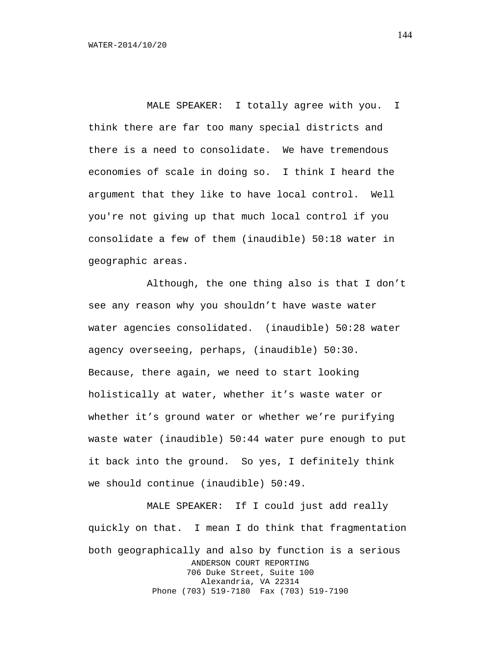MALE SPEAKER: I totally agree with you. I think there are far too many special districts and there is a need to consolidate. We have tremendous economies of scale in doing so. I think I heard the argument that they like to have local control. Well you're not giving up that much local control if you consolidate a few of them (inaudible) 50:18 water in geographic areas.

Although, the one thing also is that I don't see any reason why you shouldn't have waste water water agencies consolidated. (inaudible) 50:28 water agency overseeing, perhaps, (inaudible) 50:30. Because, there again, we need to start looking holistically at water, whether it's waste water or whether it's ground water or whether we're purifying waste water (inaudible) 50:44 water pure enough to put it back into the ground. So yes, I definitely think we should continue (inaudible) 50:49.

MALE SPEAKER: If I could just add really quickly on that. I mean I do think that fragmentation both geographically and also by function is a serious ANDERSON COURT REPORTING 706 Duke Street, Suite 100 Alexandria, VA 22314 Phone (703) 519-7180 Fax (703) 519-7190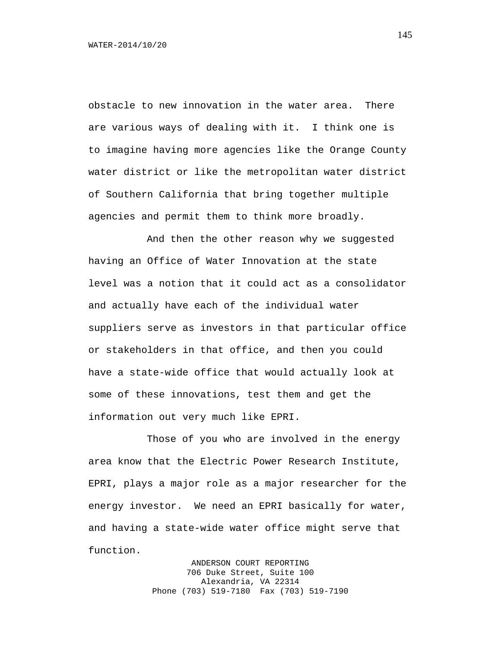obstacle to new innovation in the water area. There are various ways of dealing with it. I think one is to imagine having more agencies like the Orange County water district or like the metropolitan water district of Southern California that bring together multiple agencies and permit them to think more broadly.

And then the other reason why we suggested having an Office of Water Innovation at the state level was a notion that it could act as a consolidator and actually have each of the individual water suppliers serve as investors in that particular office or stakeholders in that office, and then you could have a state-wide office that would actually look at some of these innovations, test them and get the information out very much like EPRI.

Those of you who are involved in the energy area know that the Electric Power Research Institute, EPRI, plays a major role as a major researcher for the energy investor. We need an EPRI basically for water, and having a state-wide water office might serve that function.

> ANDERSON COURT REPORTING 706 Duke Street, Suite 100 Alexandria, VA 22314 Phone (703) 519-7180 Fax (703) 519-7190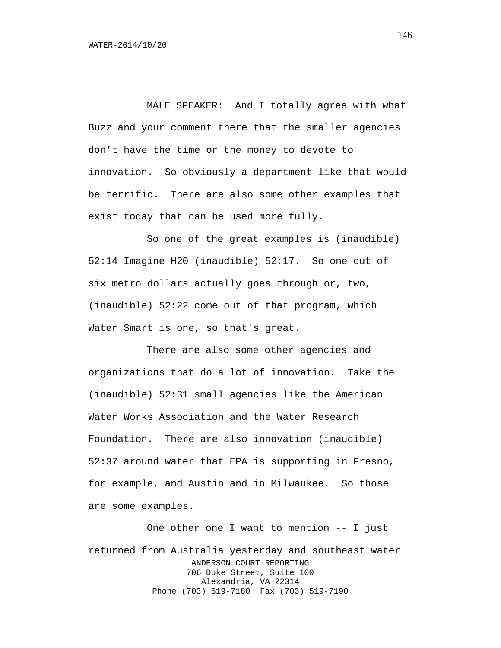MALE SPEAKER: And I totally agree with what Buzz and your comment there that the smaller agencies don't have the time or the money to devote to innovation. So obviously a department like that would be terrific. There are also some other examples that exist today that can be used more fully.

So one of the great examples is (inaudible) 52:14 Imagine H20 (inaudible) 52:17. So one out of six metro dollars actually goes through or, two, (inaudible) 52:22 come out of that program, which Water Smart is one, so that's great.

There are also some other agencies and organizations that do a lot of innovation. Take the (inaudible) 52:31 small agencies like the American Water Works Association and the Water Research Foundation. There are also innovation (inaudible) 52:37 around water that EPA is supporting in Fresno, for example, and Austin and in Milwaukee. So those are some examples.

One other one I want to mention -- I just returned from Australia yesterday and southeast water ANDERSON COURT REPORTING 706 Duke Street, Suite 100 Alexandria, VA 22314 Phone (703) 519-7180 Fax (703) 519-7190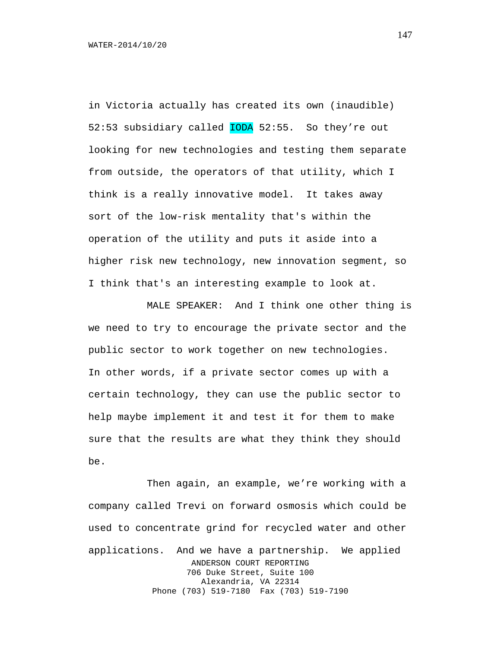in Victoria actually has created its own (inaudible) 52:53 subsidiary called IODA 52:55. So they're out looking for new technologies and testing them separate from outside, the operators of that utility, which I think is a really innovative model. It takes away sort of the low-risk mentality that's within the operation of the utility and puts it aside into a higher risk new technology, new innovation segment, so I think that's an interesting example to look at.

MALE SPEAKER: And I think one other thing is we need to try to encourage the private sector and the public sector to work together on new technologies. In other words, if a private sector comes up with a certain technology, they can use the public sector to help maybe implement it and test it for them to make sure that the results are what they think they should be.

Then again, an example, we're working with a company called Trevi on forward osmosis which could be used to concentrate grind for recycled water and other applications. And we have a partnership. We applied ANDERSON COURT REPORTING 706 Duke Street, Suite 100 Alexandria, VA 22314 Phone (703) 519-7180 Fax (703) 519-7190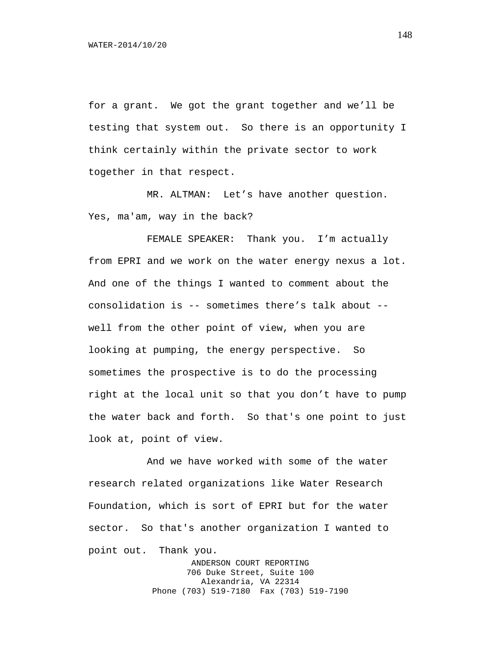for a grant. We got the grant together and we'll be testing that system out. So there is an opportunity I think certainly within the private sector to work together in that respect.

MR. ALTMAN: Let's have another question. Yes, ma'am, way in the back?

FEMALE SPEAKER: Thank you. I'm actually from EPRI and we work on the water energy nexus a lot. And one of the things I wanted to comment about the consolidation is -- sometimes there's talk about - well from the other point of view, when you are looking at pumping, the energy perspective. So sometimes the prospective is to do the processing right at the local unit so that you don't have to pump the water back and forth. So that's one point to just look at, point of view.

And we have worked with some of the water research related organizations like Water Research Foundation, which is sort of EPRI but for the water sector. So that's another organization I wanted to point out. Thank you.

ANDERSON COURT REPORTING 706 Duke Street, Suite 100 Alexandria, VA 22314 Phone (703) 519-7180 Fax (703) 519-7190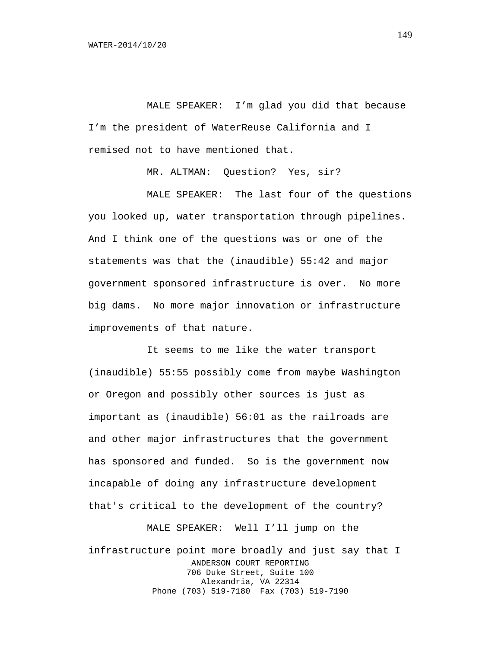MALE SPEAKER: I'm glad you did that because I'm the president of WaterReuse California and I remised not to have mentioned that.

MR. ALTMAN: Question? Yes, sir?

MALE SPEAKER: The last four of the questions you looked up, water transportation through pipelines. And I think one of the questions was or one of the statements was that the (inaudible) 55:42 and major government sponsored infrastructure is over. No more big dams. No more major innovation or infrastructure improvements of that nature.

It seems to me like the water transport (inaudible) 55:55 possibly come from maybe Washington or Oregon and possibly other sources is just as important as (inaudible) 56:01 as the railroads are and other major infrastructures that the government has sponsored and funded. So is the government now incapable of doing any infrastructure development that's critical to the development of the country?

MALE SPEAKER: Well I'll jump on the infrastructure point more broadly and just say that I ANDERSON COURT REPORTING 706 Duke Street, Suite 100 Alexandria, VA 22314 Phone (703) 519-7180 Fax (703) 519-7190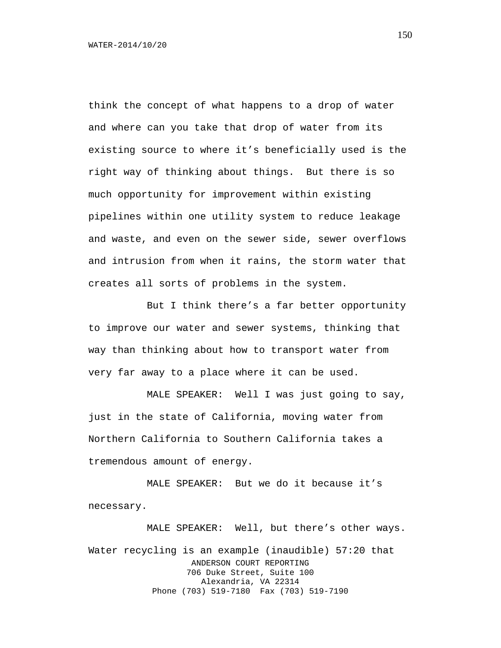think the concept of what happens to a drop of water and where can you take that drop of water from its existing source to where it's beneficially used is the right way of thinking about things. But there is so much opportunity for improvement within existing pipelines within one utility system to reduce leakage and waste, and even on the sewer side, sewer overflows and intrusion from when it rains, the storm water that creates all sorts of problems in the system.

But I think there's a far better opportunity to improve our water and sewer systems, thinking that way than thinking about how to transport water from very far away to a place where it can be used.

MALE SPEAKER: Well I was just going to say, just in the state of California, moving water from Northern California to Southern California takes a tremendous amount of energy.

MALE SPEAKER: But we do it because it's necessary.

MALE SPEAKER: Well, but there's other ways. Water recycling is an example (inaudible) 57:20 that ANDERSON COURT REPORTING 706 Duke Street, Suite 100 Alexandria, VA 22314 Phone (703) 519-7180 Fax (703) 519-7190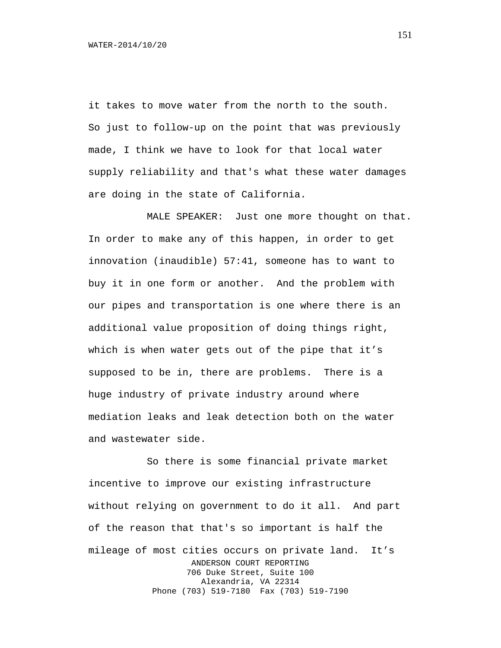it takes to move water from the north to the south. So just to follow-up on the point that was previously made, I think we have to look for that local water supply reliability and that's what these water damages are doing in the state of California.

MALE SPEAKER: Just one more thought on that. In order to make any of this happen, in order to get innovation (inaudible) 57:41, someone has to want to buy it in one form or another. And the problem with our pipes and transportation is one where there is an additional value proposition of doing things right, which is when water gets out of the pipe that it's supposed to be in, there are problems. There is a huge industry of private industry around where mediation leaks and leak detection both on the water and wastewater side.

So there is some financial private market incentive to improve our existing infrastructure without relying on government to do it all. And part of the reason that that's so important is half the mileage of most cities occurs on private land. It's ANDERSON COURT REPORTING 706 Duke Street, Suite 100 Alexandria, VA 22314 Phone (703) 519-7180 Fax (703) 519-7190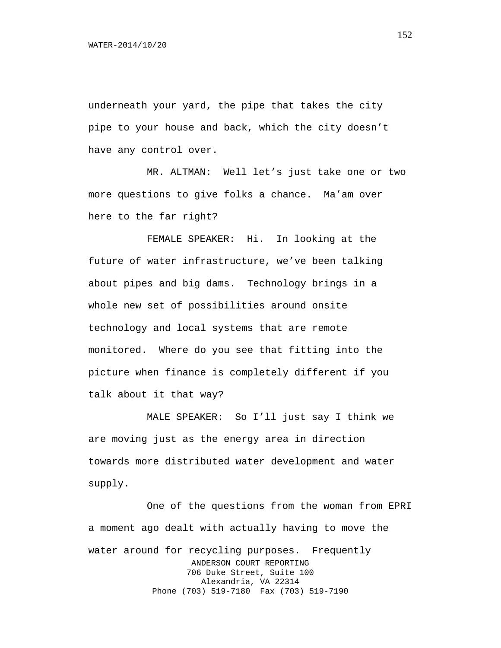underneath your yard, the pipe that takes the city pipe to your house and back, which the city doesn't have any control over.

MR. ALTMAN: Well let's just take one or two more questions to give folks a chance. Ma'am over here to the far right?

FEMALE SPEAKER: Hi. In looking at the future of water infrastructure, we've been talking about pipes and big dams. Technology brings in a whole new set of possibilities around onsite technology and local systems that are remote monitored. Where do you see that fitting into the picture when finance is completely different if you talk about it that way?

MALE SPEAKER: So I'll just say I think we are moving just as the energy area in direction towards more distributed water development and water supply.

One of the questions from the woman from EPRI a moment ago dealt with actually having to move the water around for recycling purposes. Frequently ANDERSON COURT REPORTING 706 Duke Street, Suite 100 Alexandria, VA 22314 Phone (703) 519-7180 Fax (703) 519-7190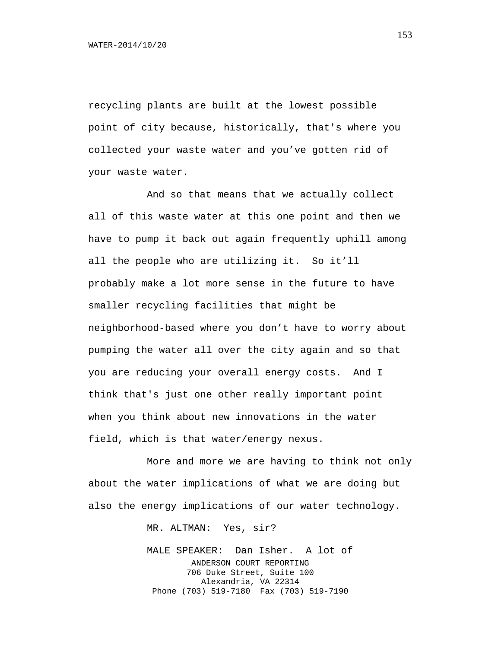recycling plants are built at the lowest possible point of city because, historically, that's where you collected your waste water and you've gotten rid of your waste water.

And so that means that we actually collect all of this waste water at this one point and then we have to pump it back out again frequently uphill among all the people who are utilizing it. So it'll probably make a lot more sense in the future to have smaller recycling facilities that might be neighborhood-based where you don't have to worry about pumping the water all over the city again and so that you are reducing your overall energy costs. And I think that's just one other really important point when you think about new innovations in the water field, which is that water/energy nexus.

More and more we are having to think not only about the water implications of what we are doing but also the energy implications of our water technology.

MR. ALTMAN: Yes, sir?

MALE SPEAKER: Dan Isher. A lot of ANDERSON COURT REPORTING 706 Duke Street, Suite 100 Alexandria, VA 22314 Phone (703) 519-7180 Fax (703) 519-7190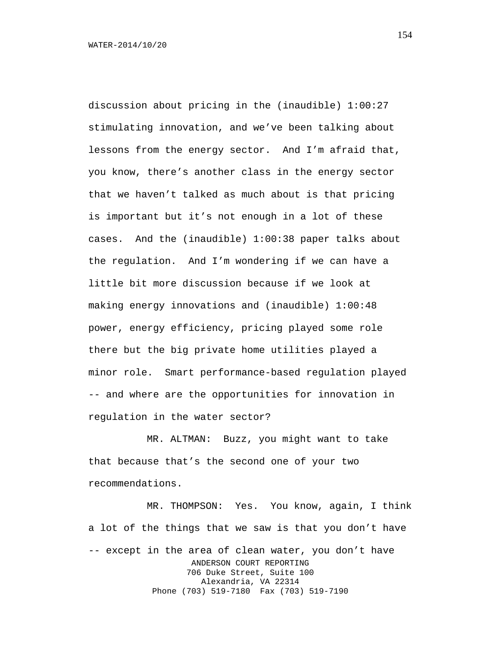discussion about pricing in the (inaudible) 1:00:27 stimulating innovation, and we've been talking about lessons from the energy sector. And I'm afraid that, you know, there's another class in the energy sector that we haven't talked as much about is that pricing is important but it's not enough in a lot of these cases. And the (inaudible) 1:00:38 paper talks about the regulation. And I'm wondering if we can have a little bit more discussion because if we look at making energy innovations and (inaudible) 1:00:48 power, energy efficiency, pricing played some role there but the big private home utilities played a minor role. Smart performance-based regulation played -- and where are the opportunities for innovation in regulation in the water sector?

MR. ALTMAN: Buzz, you might want to take that because that's the second one of your two recommendations.

MR. THOMPSON: Yes. You know, again, I think a lot of the things that we saw is that you don't have -- except in the area of clean water, you don't have ANDERSON COURT REPORTING 706 Duke Street, Suite 100 Alexandria, VA 22314 Phone (703) 519-7180 Fax (703) 519-7190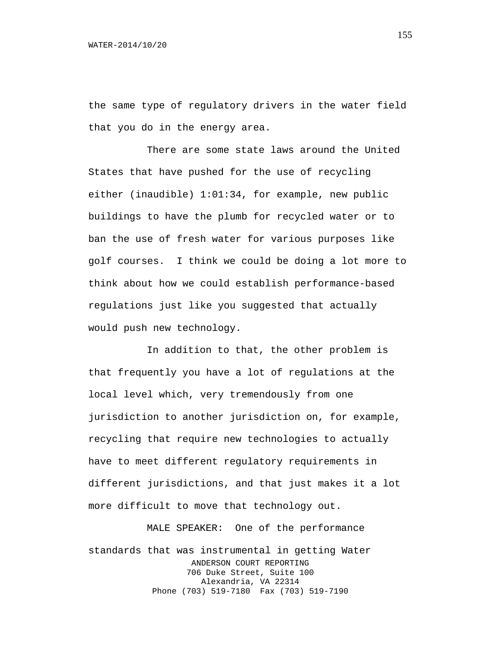the same type of regulatory drivers in the water field that you do in the energy area.

There are some state laws around the United States that have pushed for the use of recycling either (inaudible) 1:01:34, for example, new public buildings to have the plumb for recycled water or to ban the use of fresh water for various purposes like golf courses. I think we could be doing a lot more to think about how we could establish performance-based regulations just like you suggested that actually would push new technology.

In addition to that, the other problem is that frequently you have a lot of regulations at the local level which, very tremendously from one jurisdiction to another jurisdiction on, for example, recycling that require new technologies to actually have to meet different regulatory requirements in different jurisdictions, and that just makes it a lot more difficult to move that technology out.

MALE SPEAKER: One of the performance standards that was instrumental in getting Water ANDERSON COURT REPORTING 706 Duke Street, Suite 100 Alexandria, VA 22314 Phone (703) 519-7180 Fax (703) 519-7190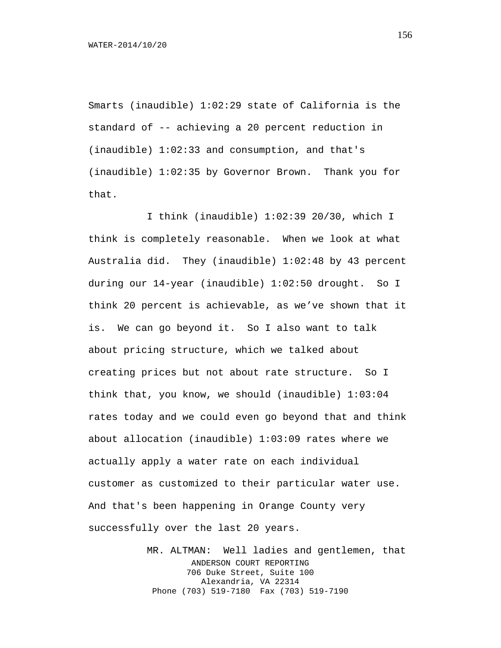Smarts (inaudible) 1:02:29 state of California is the standard of -- achieving a 20 percent reduction in (inaudible) 1:02:33 and consumption, and that's (inaudible) 1:02:35 by Governor Brown. Thank you for that.

I think (inaudible) 1:02:39 20/30, which I think is completely reasonable. When we look at what Australia did. They (inaudible) 1:02:48 by 43 percent during our 14-year (inaudible) 1:02:50 drought. So I think 20 percent is achievable, as we've shown that it is. We can go beyond it. So I also want to talk about pricing structure, which we talked about creating prices but not about rate structure. So I think that, you know, we should (inaudible) 1:03:04 rates today and we could even go beyond that and think about allocation (inaudible) 1:03:09 rates where we actually apply a water rate on each individual customer as customized to their particular water use. And that's been happening in Orange County very successfully over the last 20 years.

> MR. ALTMAN: Well ladies and gentlemen, that ANDERSON COURT REPORTING 706 Duke Street, Suite 100 Alexandria, VA 22314 Phone (703) 519-7180 Fax (703) 519-7190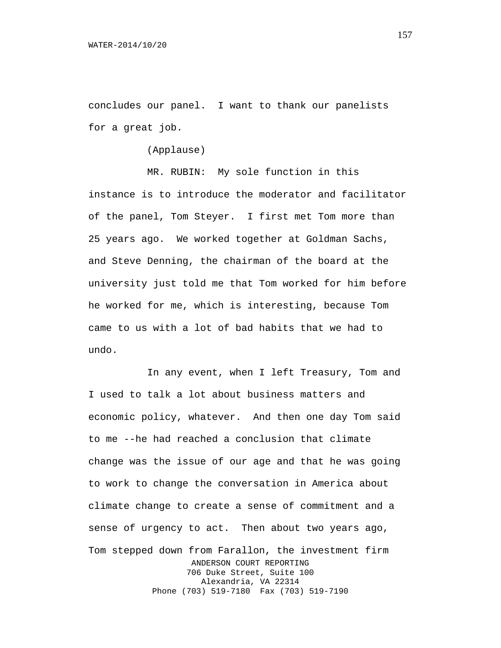concludes our panel. I want to thank our panelists for a great job.

(Applause)

MR. RUBIN: My sole function in this instance is to introduce the moderator and facilitator of the panel, Tom Steyer. I first met Tom more than 25 years ago. We worked together at Goldman Sachs, and Steve Denning, the chairman of the board at the university just told me that Tom worked for him before he worked for me, which is interesting, because Tom came to us with a lot of bad habits that we had to undo.

In any event, when I left Treasury, Tom and I used to talk a lot about business matters and economic policy, whatever. And then one day Tom said to me --he had reached a conclusion that climate change was the issue of our age and that he was going to work to change the conversation in America about climate change to create a sense of commitment and a sense of urgency to act. Then about two years ago, Tom stepped down from Farallon, the investment firm ANDERSON COURT REPORTING 706 Duke Street, Suite 100 Alexandria, VA 22314 Phone (703) 519-7180 Fax (703) 519-7190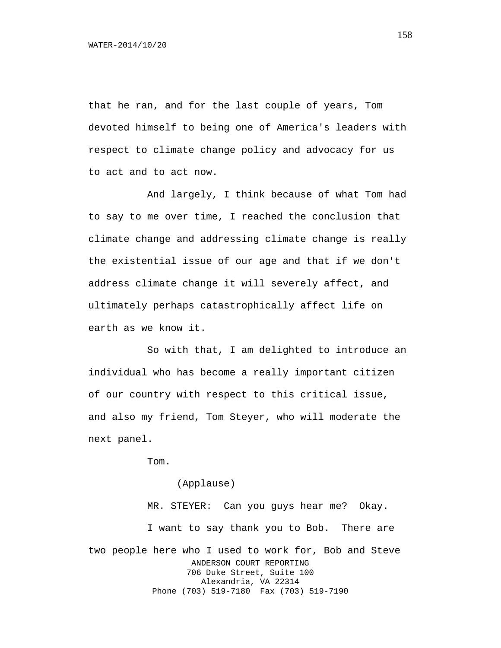that he ran, and for the last couple of years, Tom devoted himself to being one of America's leaders with respect to climate change policy and advocacy for us to act and to act now.

And largely, I think because of what Tom had to say to me over time, I reached the conclusion that climate change and addressing climate change is really the existential issue of our age and that if we don't address climate change it will severely affect, and ultimately perhaps catastrophically affect life on earth as we know it.

So with that, I am delighted to introduce an individual who has become a really important citizen of our country with respect to this critical issue, and also my friend, Tom Steyer, who will moderate the next panel.

Tom.

(Applause) MR. STEYER: Can you guys hear me? Okay. I want to say thank you to Bob. There are two people here who I used to work for, Bob and Steve ANDERSON COURT REPORTING 706 Duke Street, Suite 100 Alexandria, VA 22314 Phone (703) 519-7180 Fax (703) 519-7190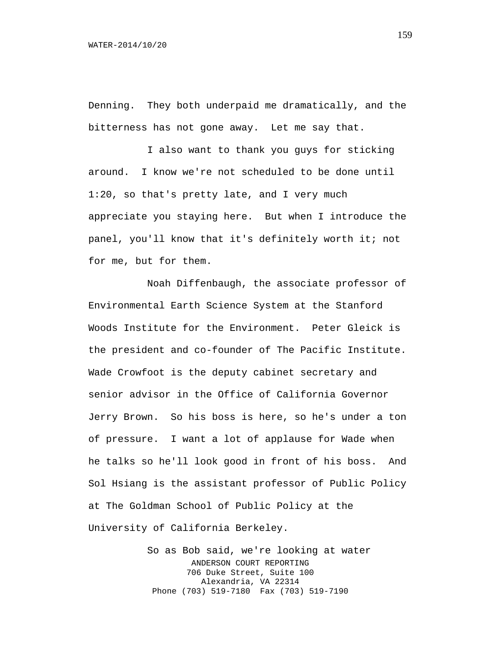Denning. They both underpaid me dramatically, and the bitterness has not gone away. Let me say that.

I also want to thank you guys for sticking around. I know we're not scheduled to be done until 1:20, so that's pretty late, and I very much appreciate you staying here. But when I introduce the panel, you'll know that it's definitely worth it; not for me, but for them.

Noah Diffenbaugh, the associate professor of Environmental Earth Science System at the Stanford Woods Institute for the Environment. Peter Gleick is the president and co-founder of The Pacific Institute. Wade Crowfoot is the deputy cabinet secretary and senior advisor in the Office of California Governor Jerry Brown. So his boss is here, so he's under a ton of pressure. I want a lot of applause for Wade when he talks so he'll look good in front of his boss. And Sol Hsiang is the assistant professor of Public Policy at The Goldman School of Public Policy at the University of California Berkeley.

> So as Bob said, we're looking at water ANDERSON COURT REPORTING 706 Duke Street, Suite 100 Alexandria, VA 22314 Phone (703) 519-7180 Fax (703) 519-7190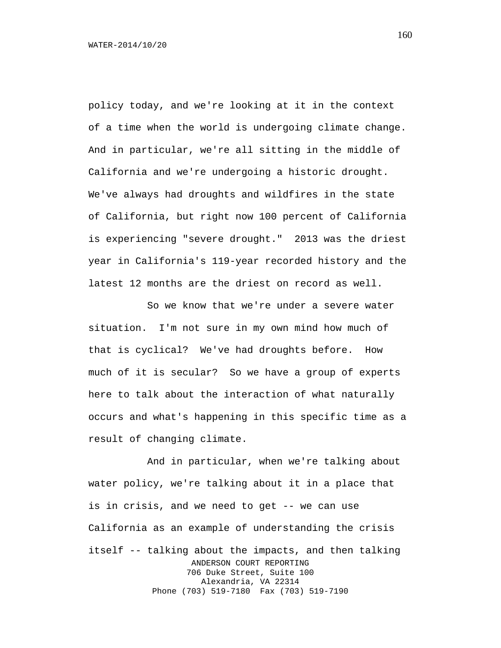policy today, and we're looking at it in the context of a time when the world is undergoing climate change. And in particular, we're all sitting in the middle of California and we're undergoing a historic drought. We've always had droughts and wildfires in the state of California, but right now 100 percent of California is experiencing "severe drought." 2013 was the driest year in California's 119-year recorded history and the latest 12 months are the driest on record as well.

So we know that we're under a severe water situation. I'm not sure in my own mind how much of that is cyclical? We've had droughts before. How much of it is secular? So we have a group of experts here to talk about the interaction of what naturally occurs and what's happening in this specific time as a result of changing climate.

And in particular, when we're talking about water policy, we're talking about it in a place that is in crisis, and we need to get -- we can use California as an example of understanding the crisis itself -- talking about the impacts, and then talking ANDERSON COURT REPORTING 706 Duke Street, Suite 100 Alexandria, VA 22314 Phone (703) 519-7180 Fax (703) 519-7190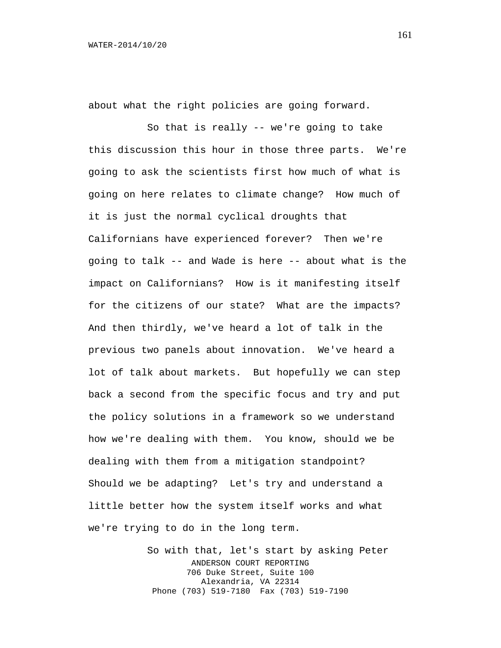about what the right policies are going forward.

So that is really -- we're going to take this discussion this hour in those three parts. We're going to ask the scientists first how much of what is going on here relates to climate change? How much of it is just the normal cyclical droughts that Californians have experienced forever? Then we're going to talk -- and Wade is here -- about what is the impact on Californians? How is it manifesting itself for the citizens of our state? What are the impacts? And then thirdly, we've heard a lot of talk in the previous two panels about innovation. We've heard a lot of talk about markets. But hopefully we can step back a second from the specific focus and try and put the policy solutions in a framework so we understand how we're dealing with them. You know, should we be dealing with them from a mitigation standpoint? Should we be adapting? Let's try and understand a little better how the system itself works and what we're trying to do in the long term.

> So with that, let's start by asking Peter ANDERSON COURT REPORTING 706 Duke Street, Suite 100 Alexandria, VA 22314 Phone (703) 519-7180 Fax (703) 519-7190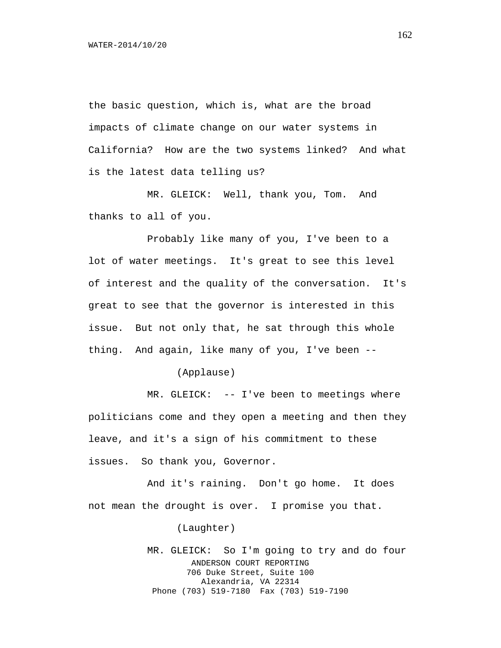the basic question, which is, what are the broad impacts of climate change on our water systems in California? How are the two systems linked? And what is the latest data telling us?

MR. GLEICK: Well, thank you, Tom. And thanks to all of you.

Probably like many of you, I've been to a lot of water meetings. It's great to see this level of interest and the quality of the conversation. It's great to see that the governor is interested in this issue. But not only that, he sat through this whole thing. And again, like many of you, I've been --

(Applause)

MR. GLEICK: -- I've been to meetings where politicians come and they open a meeting and then they leave, and it's a sign of his commitment to these issues. So thank you, Governor.

And it's raining. Don't go home. It does not mean the drought is over. I promise you that.

(Laughter)

MR. GLEICK: So I'm going to try and do four ANDERSON COURT REPORTING 706 Duke Street, Suite 100 Alexandria, VA 22314 Phone (703) 519-7180 Fax (703) 519-7190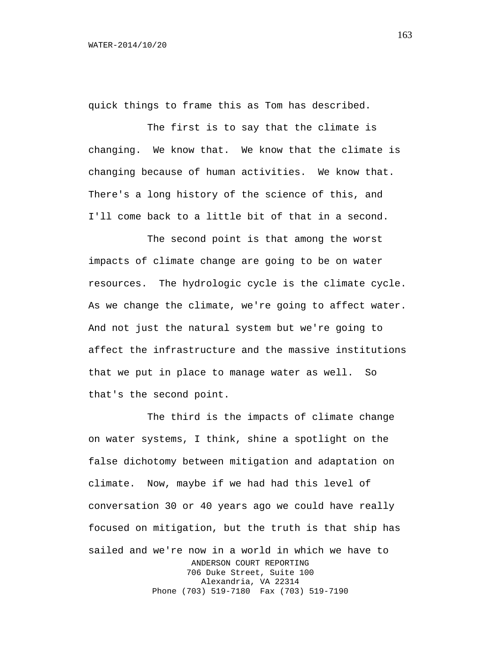quick things to frame this as Tom has described.

The first is to say that the climate is changing. We know that. We know that the climate is changing because of human activities. We know that. There's a long history of the science of this, and I'll come back to a little bit of that in a second.

The second point is that among the worst impacts of climate change are going to be on water resources. The hydrologic cycle is the climate cycle. As we change the climate, we're going to affect water. And not just the natural system but we're going to affect the infrastructure and the massive institutions that we put in place to manage water as well. So that's the second point.

The third is the impacts of climate change on water systems, I think, shine a spotlight on the false dichotomy between mitigation and adaptation on climate. Now, maybe if we had had this level of conversation 30 or 40 years ago we could have really focused on mitigation, but the truth is that ship has sailed and we're now in a world in which we have to ANDERSON COURT REPORTING 706 Duke Street, Suite 100 Alexandria, VA 22314 Phone (703) 519-7180 Fax (703) 519-7190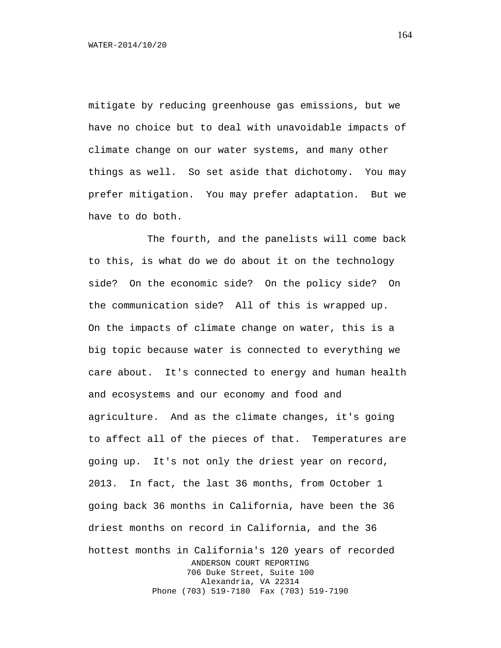mitigate by reducing greenhouse gas emissions, but we have no choice but to deal with unavoidable impacts of climate change on our water systems, and many other things as well. So set aside that dichotomy. You may prefer mitigation. You may prefer adaptation. But we have to do both.

The fourth, and the panelists will come back to this, is what do we do about it on the technology side? On the economic side? On the policy side? On the communication side? All of this is wrapped up. On the impacts of climate change on water, this is a big topic because water is connected to everything we care about. It's connected to energy and human health and ecosystems and our economy and food and agriculture. And as the climate changes, it's going to affect all of the pieces of that. Temperatures are going up. It's not only the driest year on record, 2013. In fact, the last 36 months, from October 1 going back 36 months in California, have been the 36 driest months on record in California, and the 36 hottest months in California's 120 years of recorded ANDERSON COURT REPORTING 706 Duke Street, Suite 100 Alexandria, VA 22314 Phone (703) 519-7180 Fax (703) 519-7190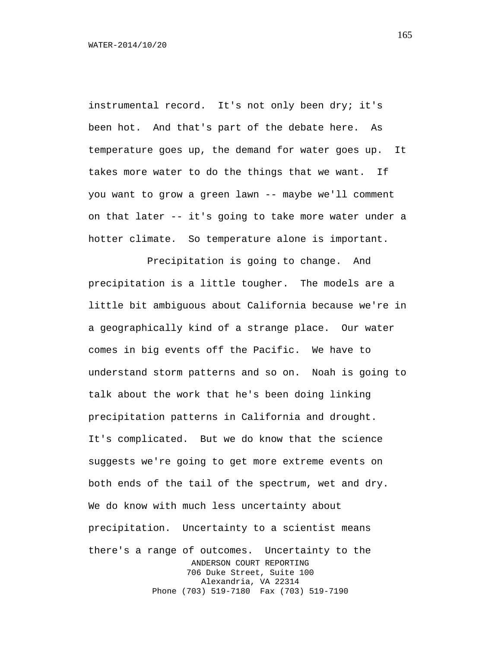instrumental record. It's not only been dry; it's been hot. And that's part of the debate here. As temperature goes up, the demand for water goes up. It takes more water to do the things that we want. If you want to grow a green lawn -- maybe we'll comment on that later -- it's going to take more water under a hotter climate. So temperature alone is important.

Precipitation is going to change. And precipitation is a little tougher. The models are a little bit ambiguous about California because we're in a geographically kind of a strange place. Our water comes in big events off the Pacific. We have to understand storm patterns and so on. Noah is going to talk about the work that he's been doing linking precipitation patterns in California and drought. It's complicated. But we do know that the science suggests we're going to get more extreme events on both ends of the tail of the spectrum, wet and dry. We do know with much less uncertainty about precipitation. Uncertainty to a scientist means there's a range of outcomes. Uncertainty to the ANDERSON COURT REPORTING 706 Duke Street, Suite 100 Alexandria, VA 22314 Phone (703) 519-7180 Fax (703) 519-7190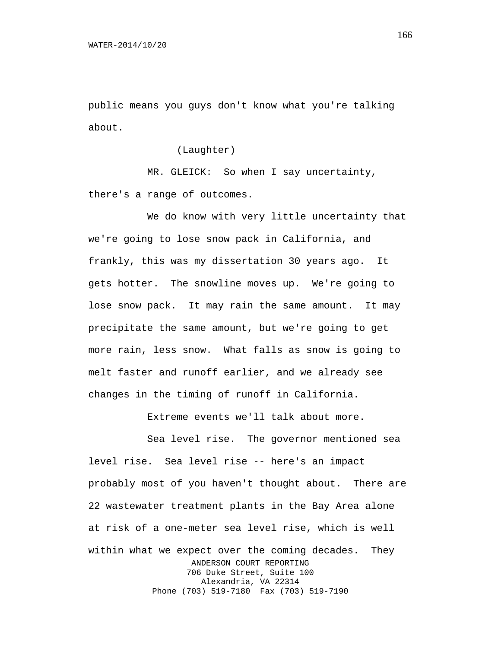public means you guys don't know what you're talking about.

(Laughter)

MR. GLEICK: So when I say uncertainty, there's a range of outcomes.

We do know with very little uncertainty that we're going to lose snow pack in California, and frankly, this was my dissertation 30 years ago. It gets hotter. The snowline moves up. We're going to lose snow pack. It may rain the same amount. It may precipitate the same amount, but we're going to get more rain, less snow. What falls as snow is going to melt faster and runoff earlier, and we already see changes in the timing of runoff in California.

Extreme events we'll talk about more.

Sea level rise. The governor mentioned sea level rise. Sea level rise -- here's an impact probably most of you haven't thought about. There are 22 wastewater treatment plants in the Bay Area alone at risk of a one-meter sea level rise, which is well within what we expect over the coming decades. They ANDERSON COURT REPORTING 706 Duke Street, Suite 100 Alexandria, VA 22314 Phone (703) 519-7180 Fax (703) 519-7190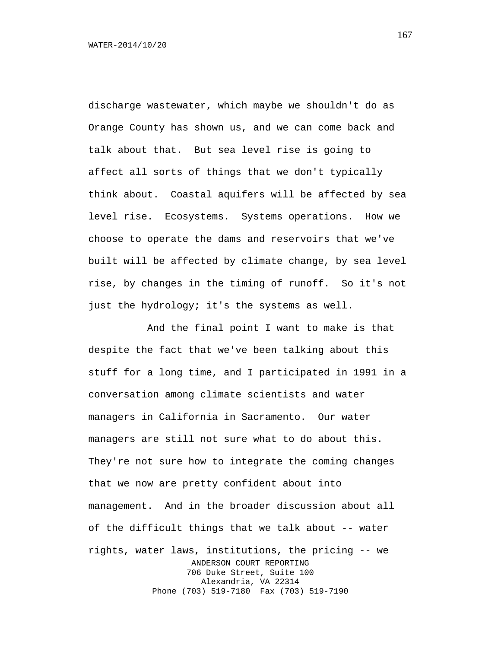discharge wastewater, which maybe we shouldn't do as Orange County has shown us, and we can come back and talk about that. But sea level rise is going to affect all sorts of things that we don't typically think about. Coastal aquifers will be affected by sea level rise. Ecosystems. Systems operations. How we choose to operate the dams and reservoirs that we've built will be affected by climate change, by sea level rise, by changes in the timing of runoff. So it's not just the hydrology; it's the systems as well.

And the final point I want to make is that despite the fact that we've been talking about this stuff for a long time, and I participated in 1991 in a conversation among climate scientists and water managers in California in Sacramento. Our water managers are still not sure what to do about this. They're not sure how to integrate the coming changes that we now are pretty confident about into management. And in the broader discussion about all of the difficult things that we talk about -- water rights, water laws, institutions, the pricing -- we ANDERSON COURT REPORTING 706 Duke Street, Suite 100 Alexandria, VA 22314 Phone (703) 519-7180 Fax (703) 519-7190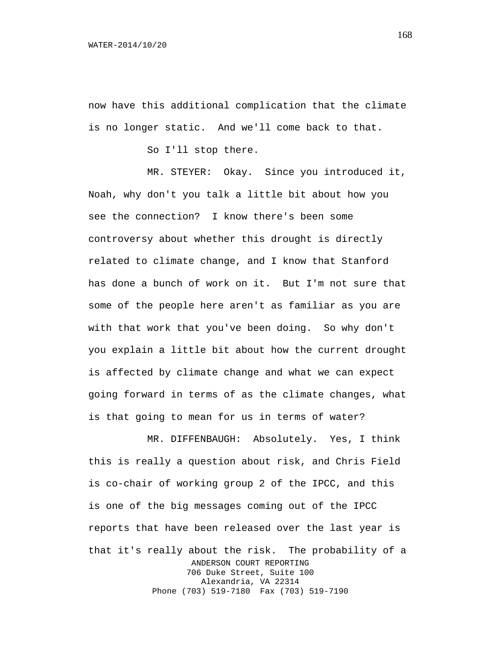now have this additional complication that the climate is no longer static. And we'll come back to that.

So I'll stop there.

MR. STEYER: Okay. Since you introduced it, Noah, why don't you talk a little bit about how you see the connection? I know there's been some controversy about whether this drought is directly related to climate change, and I know that Stanford has done a bunch of work on it. But I'm not sure that some of the people here aren't as familiar as you are with that work that you've been doing. So why don't you explain a little bit about how the current drought is affected by climate change and what we can expect going forward in terms of as the climate changes, what is that going to mean for us in terms of water?

MR. DIFFENBAUGH: Absolutely. Yes, I think this is really a question about risk, and Chris Field is co-chair of working group 2 of the IPCC, and this is one of the big messages coming out of the IPCC reports that have been released over the last year is that it's really about the risk. The probability of a ANDERSON COURT REPORTING 706 Duke Street, Suite 100 Alexandria, VA 22314 Phone (703) 519-7180 Fax (703) 519-7190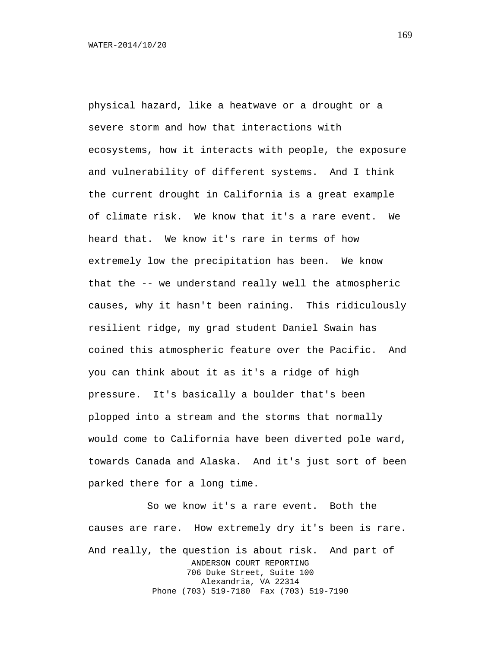physical hazard, like a heatwave or a drought or a severe storm and how that interactions with ecosystems, how it interacts with people, the exposure and vulnerability of different systems. And I think the current drought in California is a great example of climate risk. We know that it's a rare event. We heard that. We know it's rare in terms of how extremely low the precipitation has been. We know that the -- we understand really well the atmospheric causes, why it hasn't been raining. This ridiculously resilient ridge, my grad student Daniel Swain has coined this atmospheric feature over the Pacific. And you can think about it as it's a ridge of high pressure. It's basically a boulder that's been plopped into a stream and the storms that normally would come to California have been diverted pole ward, towards Canada and Alaska. And it's just sort of been parked there for a long time.

So we know it's a rare event. Both the causes are rare. How extremely dry it's been is rare. And really, the question is about risk. And part of ANDERSON COURT REPORTING 706 Duke Street, Suite 100 Alexandria, VA 22314 Phone (703) 519-7180 Fax (703) 519-7190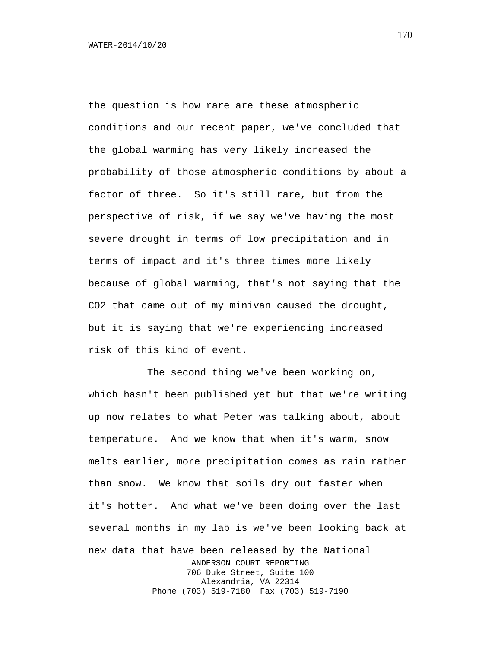the question is how rare are these atmospheric conditions and our recent paper, we've concluded that the global warming has very likely increased the probability of those atmospheric conditions by about a factor of three. So it's still rare, but from the perspective of risk, if we say we've having the most severe drought in terms of low precipitation and in terms of impact and it's three times more likely because of global warming, that's not saying that the CO2 that came out of my minivan caused the drought, but it is saying that we're experiencing increased risk of this kind of event.

The second thing we've been working on, which hasn't been published yet but that we're writing up now relates to what Peter was talking about, about temperature. And we know that when it's warm, snow melts earlier, more precipitation comes as rain rather than snow. We know that soils dry out faster when it's hotter. And what we've been doing over the last several months in my lab is we've been looking back at new data that have been released by the National ANDERSON COURT REPORTING 706 Duke Street, Suite 100 Alexandria, VA 22314 Phone (703) 519-7180 Fax (703) 519-7190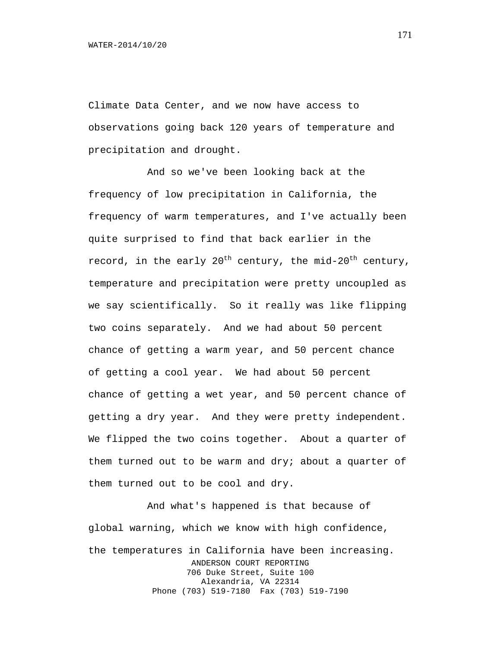Climate Data Center, and we now have access to observations going back 120 years of temperature and precipitation and drought.

And so we've been looking back at the frequency of low precipitation in California, the frequency of warm temperatures, and I've actually been quite surprised to find that back earlier in the record, in the early  $20^{th}$  century, the mid- $20^{th}$  century, temperature and precipitation were pretty uncoupled as we say scientifically. So it really was like flipping two coins separately. And we had about 50 percent chance of getting a warm year, and 50 percent chance of getting a cool year. We had about 50 percent chance of getting a wet year, and 50 percent chance of getting a dry year. And they were pretty independent. We flipped the two coins together. About a quarter of them turned out to be warm and dry; about a quarter of them turned out to be cool and dry.

And what's happened is that because of global warning, which we know with high confidence, the temperatures in California have been increasing. ANDERSON COURT REPORTING 706 Duke Street, Suite 100 Alexandria, VA 22314 Phone (703) 519-7180 Fax (703) 519-7190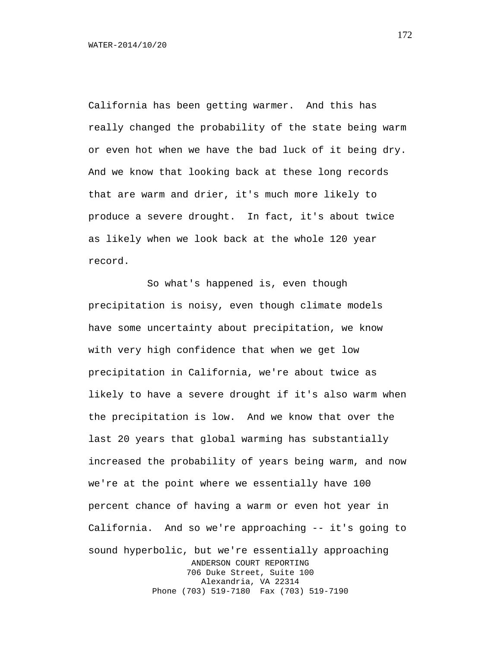California has been getting warmer. And this has really changed the probability of the state being warm or even hot when we have the bad luck of it being dry. And we know that looking back at these long records that are warm and drier, it's much more likely to produce a severe drought. In fact, it's about twice as likely when we look back at the whole 120 year record.

So what's happened is, even though precipitation is noisy, even though climate models have some uncertainty about precipitation, we know with very high confidence that when we get low precipitation in California, we're about twice as likely to have a severe drought if it's also warm when the precipitation is low. And we know that over the last 20 years that global warming has substantially increased the probability of years being warm, and now we're at the point where we essentially have 100 percent chance of having a warm or even hot year in California. And so we're approaching -- it's going to sound hyperbolic, but we're essentially approaching ANDERSON COURT REPORTING 706 Duke Street, Suite 100 Alexandria, VA 22314 Phone (703) 519-7180 Fax (703) 519-7190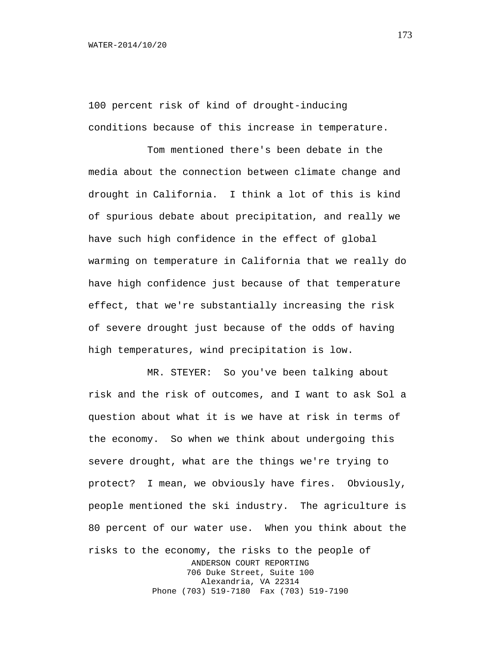100 percent risk of kind of drought-inducing conditions because of this increase in temperature.

Tom mentioned there's been debate in the media about the connection between climate change and drought in California. I think a lot of this is kind of spurious debate about precipitation, and really we have such high confidence in the effect of global warming on temperature in California that we really do have high confidence just because of that temperature effect, that we're substantially increasing the risk of severe drought just because of the odds of having high temperatures, wind precipitation is low.

MR. STEYER: So you've been talking about risk and the risk of outcomes, and I want to ask Sol a question about what it is we have at risk in terms of the economy. So when we think about undergoing this severe drought, what are the things we're trying to protect? I mean, we obviously have fires. Obviously, people mentioned the ski industry. The agriculture is 80 percent of our water use. When you think about the risks to the economy, the risks to the people of ANDERSON COURT REPORTING 706 Duke Street, Suite 100 Alexandria, VA 22314 Phone (703) 519-7180 Fax (703) 519-7190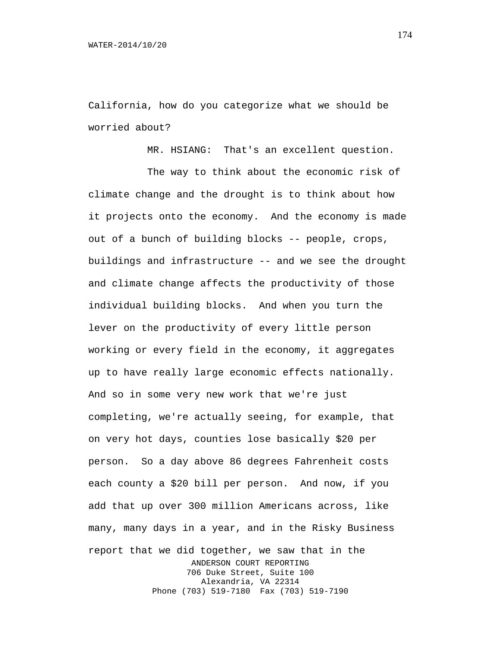California, how do you categorize what we should be worried about?

MR. HSIANG: That's an excellent question.

The way to think about the economic risk of climate change and the drought is to think about how it projects onto the economy. And the economy is made out of a bunch of building blocks -- people, crops, buildings and infrastructure -- and we see the drought and climate change affects the productivity of those individual building blocks. And when you turn the lever on the productivity of every little person working or every field in the economy, it aggregates up to have really large economic effects nationally. And so in some very new work that we're just completing, we're actually seeing, for example, that on very hot days, counties lose basically \$20 per person. So a day above 86 degrees Fahrenheit costs each county a \$20 bill per person. And now, if you add that up over 300 million Americans across, like many, many days in a year, and in the Risky Business report that we did together, we saw that in the ANDERSON COURT REPORTING 706 Duke Street, Suite 100 Alexandria, VA 22314 Phone (703) 519-7180 Fax (703) 519-7190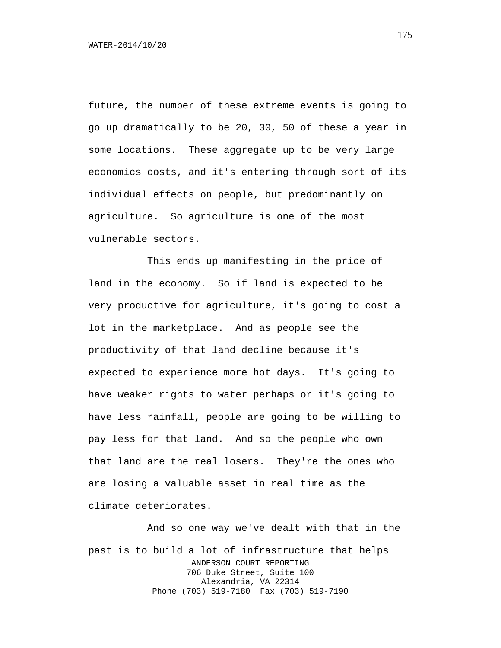future, the number of these extreme events is going to go up dramatically to be 20, 30, 50 of these a year in some locations. These aggregate up to be very large economics costs, and it's entering through sort of its individual effects on people, but predominantly on agriculture. So agriculture is one of the most vulnerable sectors.

This ends up manifesting in the price of land in the economy. So if land is expected to be very productive for agriculture, it's going to cost a lot in the marketplace. And as people see the productivity of that land decline because it's expected to experience more hot days. It's going to have weaker rights to water perhaps or it's going to have less rainfall, people are going to be willing to pay less for that land. And so the people who own that land are the real losers. They're the ones who are losing a valuable asset in real time as the climate deteriorates.

And so one way we've dealt with that in the past is to build a lot of infrastructure that helps ANDERSON COURT REPORTING 706 Duke Street, Suite 100 Alexandria, VA 22314 Phone (703) 519-7180 Fax (703) 519-7190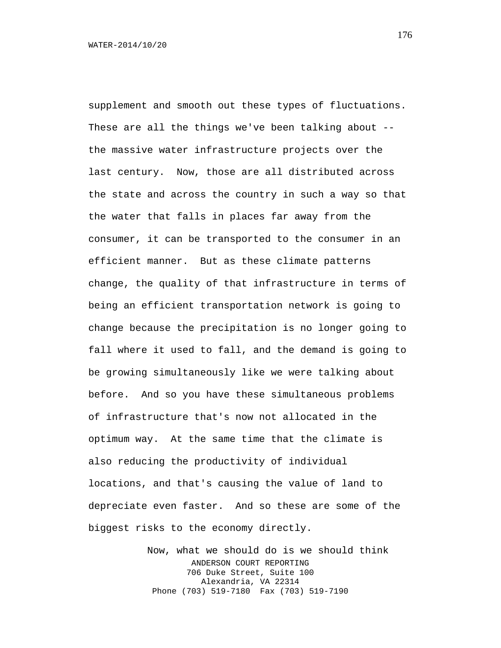supplement and smooth out these types of fluctuations. These are all the things we've been talking about - the massive water infrastructure projects over the last century. Now, those are all distributed across the state and across the country in such a way so that the water that falls in places far away from the consumer, it can be transported to the consumer in an efficient manner. But as these climate patterns change, the quality of that infrastructure in terms of being an efficient transportation network is going to change because the precipitation is no longer going to fall where it used to fall, and the demand is going to be growing simultaneously like we were talking about before. And so you have these simultaneous problems of infrastructure that's now not allocated in the optimum way. At the same time that the climate is also reducing the productivity of individual locations, and that's causing the value of land to depreciate even faster. And so these are some of the biggest risks to the economy directly.

> Now, what we should do is we should think ANDERSON COURT REPORTING 706 Duke Street, Suite 100 Alexandria, VA 22314 Phone (703) 519-7180 Fax (703) 519-7190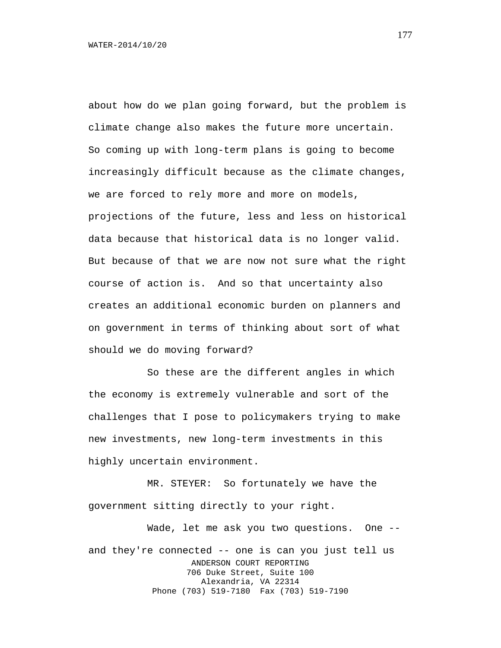about how do we plan going forward, but the problem is climate change also makes the future more uncertain. So coming up with long-term plans is going to become increasingly difficult because as the climate changes, we are forced to rely more and more on models, projections of the future, less and less on historical data because that historical data is no longer valid. But because of that we are now not sure what the right course of action is. And so that uncertainty also creates an additional economic burden on planners and on government in terms of thinking about sort of what should we do moving forward?

So these are the different angles in which the economy is extremely vulnerable and sort of the challenges that I pose to policymakers trying to make new investments, new long-term investments in this highly uncertain environment.

MR. STEYER: So fortunately we have the government sitting directly to your right.

Wade, let me ask you two questions. One -and they're connected -- one is can you just tell us ANDERSON COURT REPORTING 706 Duke Street, Suite 100 Alexandria, VA 22314 Phone (703) 519-7180 Fax (703) 519-7190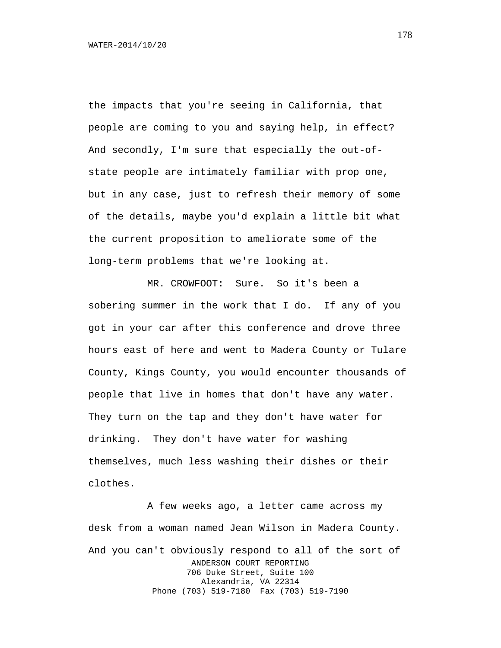the impacts that you're seeing in California, that people are coming to you and saying help, in effect? And secondly, I'm sure that especially the out-ofstate people are intimately familiar with prop one, but in any case, just to refresh their memory of some of the details, maybe you'd explain a little bit what the current proposition to ameliorate some of the long-term problems that we're looking at.

MR. CROWFOOT: Sure. So it's been a sobering summer in the work that I do. If any of you got in your car after this conference and drove three hours east of here and went to Madera County or Tulare County, Kings County, you would encounter thousands of people that live in homes that don't have any water. They turn on the tap and they don't have water for drinking. They don't have water for washing themselves, much less washing their dishes or their clothes.

A few weeks ago, a letter came across my desk from a woman named Jean Wilson in Madera County. And you can't obviously respond to all of the sort of ANDERSON COURT REPORTING 706 Duke Street, Suite 100 Alexandria, VA 22314 Phone (703) 519-7180 Fax (703) 519-7190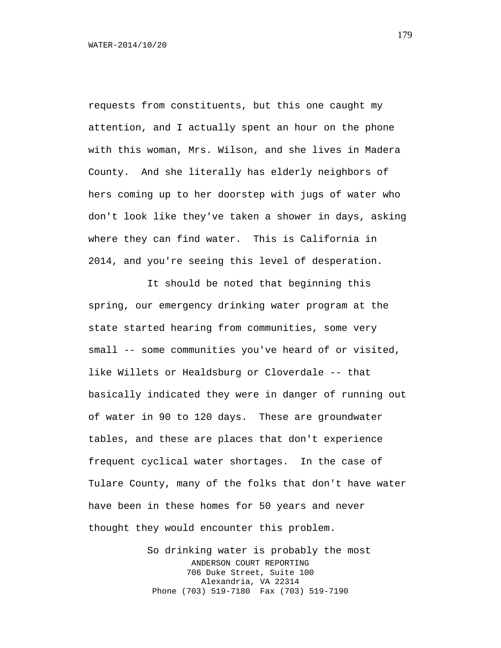requests from constituents, but this one caught my attention, and I actually spent an hour on the phone with this woman, Mrs. Wilson, and she lives in Madera County. And she literally has elderly neighbors of hers coming up to her doorstep with jugs of water who don't look like they've taken a shower in days, asking where they can find water. This is California in 2014, and you're seeing this level of desperation.

It should be noted that beginning this spring, our emergency drinking water program at the state started hearing from communities, some very small -- some communities you've heard of or visited, like Willets or Healdsburg or Cloverdale -- that basically indicated they were in danger of running out of water in 90 to 120 days. These are groundwater tables, and these are places that don't experience frequent cyclical water shortages. In the case of Tulare County, many of the folks that don't have water have been in these homes for 50 years and never thought they would encounter this problem.

> So drinking water is probably the most ANDERSON COURT REPORTING 706 Duke Street, Suite 100 Alexandria, VA 22314 Phone (703) 519-7180 Fax (703) 519-7190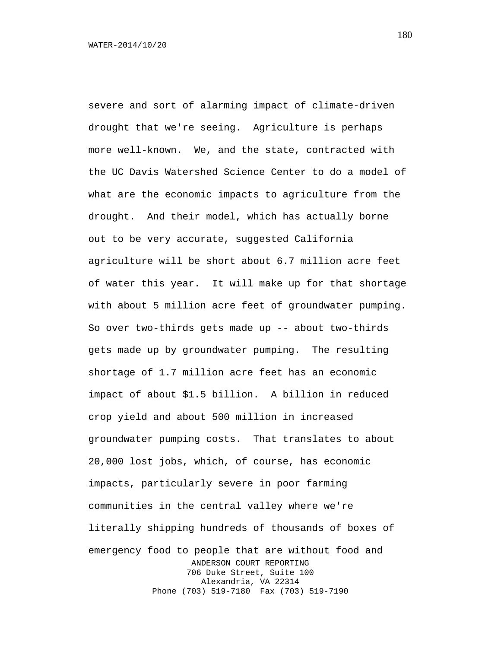severe and sort of alarming impact of climate-driven drought that we're seeing. Agriculture is perhaps more well-known. We, and the state, contracted with the UC Davis Watershed Science Center to do a model of what are the economic impacts to agriculture from the drought. And their model, which has actually borne out to be very accurate, suggested California agriculture will be short about 6.7 million acre feet of water this year. It will make up for that shortage with about 5 million acre feet of groundwater pumping. So over two-thirds gets made up -- about two-thirds gets made up by groundwater pumping. The resulting shortage of 1.7 million acre feet has an economic impact of about \$1.5 billion. A billion in reduced crop yield and about 500 million in increased groundwater pumping costs. That translates to about 20,000 lost jobs, which, of course, has economic impacts, particularly severe in poor farming communities in the central valley where we're literally shipping hundreds of thousands of boxes of emergency food to people that are without food and ANDERSON COURT REPORTING 706 Duke Street, Suite 100 Alexandria, VA 22314 Phone (703) 519-7180 Fax (703) 519-7190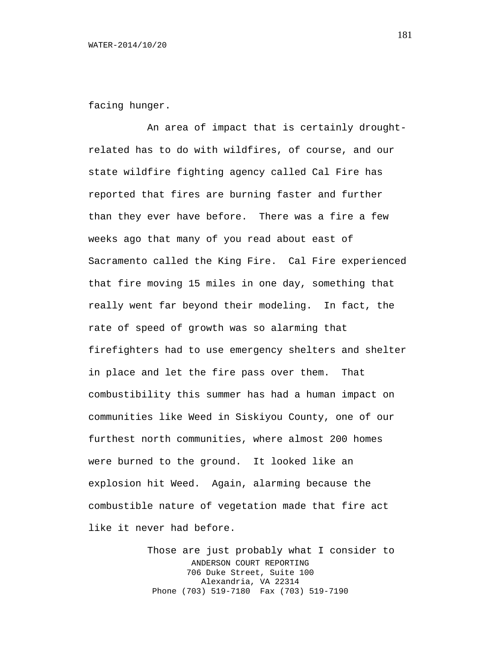facing hunger.

An area of impact that is certainly droughtrelated has to do with wildfires, of course, and our state wildfire fighting agency called Cal Fire has reported that fires are burning faster and further than they ever have before. There was a fire a few weeks ago that many of you read about east of Sacramento called the King Fire. Cal Fire experienced that fire moving 15 miles in one day, something that really went far beyond their modeling. In fact, the rate of speed of growth was so alarming that firefighters had to use emergency shelters and shelter in place and let the fire pass over them. That combustibility this summer has had a human impact on communities like Weed in Siskiyou County, one of our furthest north communities, where almost 200 homes were burned to the ground. It looked like an explosion hit Weed. Again, alarming because the combustible nature of vegetation made that fire act like it never had before.

> Those are just probably what I consider to ANDERSON COURT REPORTING 706 Duke Street, Suite 100 Alexandria, VA 22314 Phone (703) 519-7180 Fax (703) 519-7190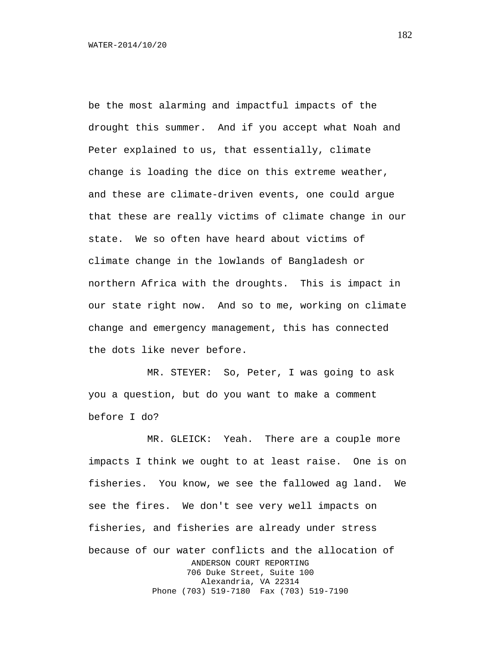be the most alarming and impactful impacts of the drought this summer. And if you accept what Noah and Peter explained to us, that essentially, climate change is loading the dice on this extreme weather, and these are climate-driven events, one could argue that these are really victims of climate change in our state. We so often have heard about victims of climate change in the lowlands of Bangladesh or northern Africa with the droughts. This is impact in our state right now. And so to me, working on climate change and emergency management, this has connected the dots like never before.

MR. STEYER: So, Peter, I was going to ask you a question, but do you want to make a comment before I do?

MR. GLEICK: Yeah. There are a couple more impacts I think we ought to at least raise. One is on fisheries. You know, we see the fallowed ag land. We see the fires. We don't see very well impacts on fisheries, and fisheries are already under stress because of our water conflicts and the allocation of ANDERSON COURT REPORTING 706 Duke Street, Suite 100 Alexandria, VA 22314 Phone (703) 519-7180 Fax (703) 519-7190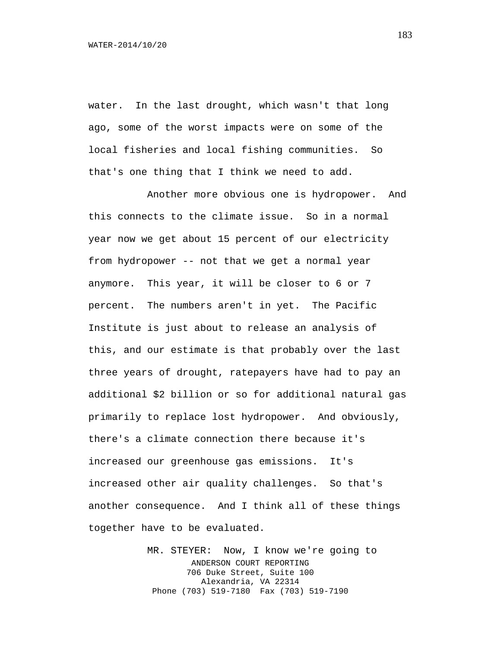water. In the last drought, which wasn't that long ago, some of the worst impacts were on some of the local fisheries and local fishing communities. So that's one thing that I think we need to add.

Another more obvious one is hydropower. And this connects to the climate issue. So in a normal year now we get about 15 percent of our electricity from hydropower -- not that we get a normal year anymore. This year, it will be closer to 6 or 7 percent. The numbers aren't in yet. The Pacific Institute is just about to release an analysis of this, and our estimate is that probably over the last three years of drought, ratepayers have had to pay an additional \$2 billion or so for additional natural gas primarily to replace lost hydropower. And obviously, there's a climate connection there because it's increased our greenhouse gas emissions. It's increased other air quality challenges. So that's another consequence. And I think all of these things together have to be evaluated.

> MR. STEYER: Now, I know we're going to ANDERSON COURT REPORTING 706 Duke Street, Suite 100 Alexandria, VA 22314 Phone (703) 519-7180 Fax (703) 519-7190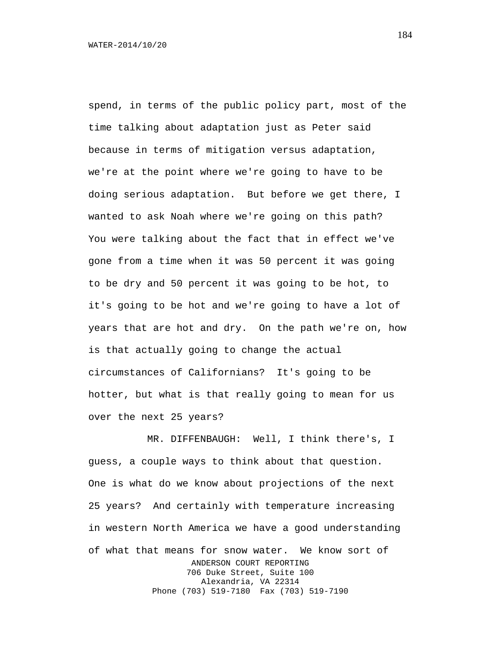spend, in terms of the public policy part, most of the time talking about adaptation just as Peter said because in terms of mitigation versus adaptation, we're at the point where we're going to have to be doing serious adaptation. But before we get there, I wanted to ask Noah where we're going on this path? You were talking about the fact that in effect we've gone from a time when it was 50 percent it was going to be dry and 50 percent it was going to be hot, to it's going to be hot and we're going to have a lot of years that are hot and dry. On the path we're on, how is that actually going to change the actual circumstances of Californians? It's going to be hotter, but what is that really going to mean for us over the next 25 years?

MR. DIFFENBAUGH: Well, I think there's, I guess, a couple ways to think about that question. One is what do we know about projections of the next 25 years? And certainly with temperature increasing in western North America we have a good understanding of what that means for snow water. We know sort of ANDERSON COURT REPORTING 706 Duke Street, Suite 100 Alexandria, VA 22314 Phone (703) 519-7180 Fax (703) 519-7190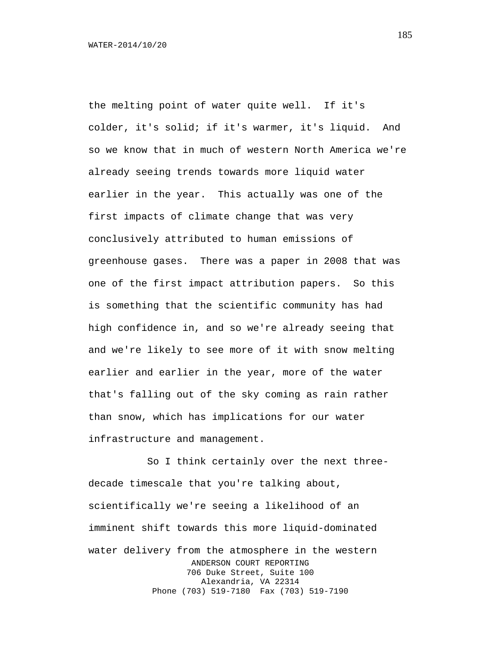the melting point of water quite well. If it's colder, it's solid; if it's warmer, it's liquid. And so we know that in much of western North America we're already seeing trends towards more liquid water earlier in the year. This actually was one of the first impacts of climate change that was very conclusively attributed to human emissions of greenhouse gases. There was a paper in 2008 that was one of the first impact attribution papers. So this is something that the scientific community has had high confidence in, and so we're already seeing that and we're likely to see more of it with snow melting earlier and earlier in the year, more of the water that's falling out of the sky coming as rain rather than snow, which has implications for our water infrastructure and management.

So I think certainly over the next threedecade timescale that you're talking about, scientifically we're seeing a likelihood of an imminent shift towards this more liquid-dominated water delivery from the atmosphere in the western ANDERSON COURT REPORTING 706 Duke Street, Suite 100 Alexandria, VA 22314 Phone (703) 519-7180 Fax (703) 519-7190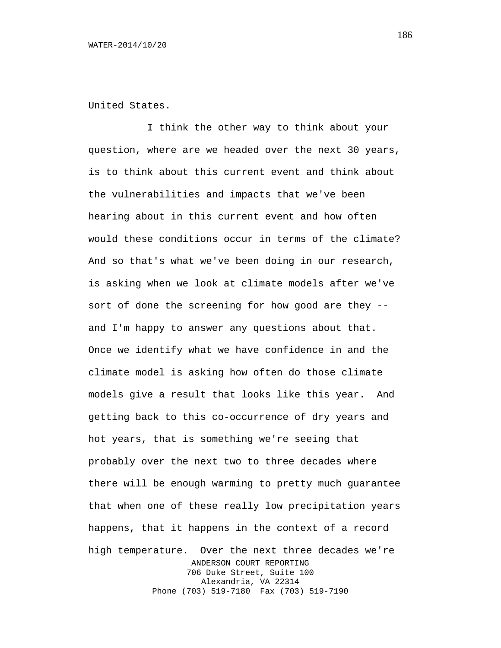United States.

I think the other way to think about your question, where are we headed over the next 30 years, is to think about this current event and think about the vulnerabilities and impacts that we've been hearing about in this current event and how often would these conditions occur in terms of the climate? And so that's what we've been doing in our research, is asking when we look at climate models after we've sort of done the screening for how good are they - and I'm happy to answer any questions about that. Once we identify what we have confidence in and the climate model is asking how often do those climate models give a result that looks like this year. And getting back to this co-occurrence of dry years and hot years, that is something we're seeing that probably over the next two to three decades where there will be enough warming to pretty much guarantee that when one of these really low precipitation years happens, that it happens in the context of a record high temperature. Over the next three decades we're ANDERSON COURT REPORTING 706 Duke Street, Suite 100 Alexandria, VA 22314 Phone (703) 519-7180 Fax (703) 519-7190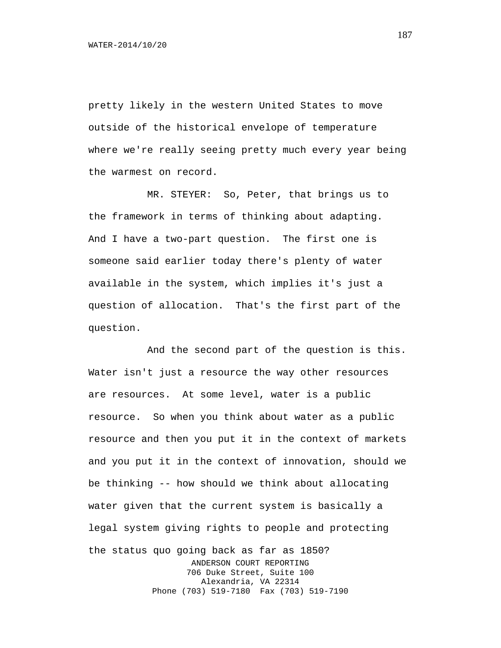pretty likely in the western United States to move outside of the historical envelope of temperature where we're really seeing pretty much every year being the warmest on record.

MR. STEYER: So, Peter, that brings us to the framework in terms of thinking about adapting. And I have a two-part question. The first one is someone said earlier today there's plenty of water available in the system, which implies it's just a question of allocation. That's the first part of the question.

And the second part of the question is this. Water isn't just a resource the way other resources are resources. At some level, water is a public resource. So when you think about water as a public resource and then you put it in the context of markets and you put it in the context of innovation, should we be thinking -- how should we think about allocating water given that the current system is basically a legal system giving rights to people and protecting the status quo going back as far as 1850? ANDERSON COURT REPORTING 706 Duke Street, Suite 100 Alexandria, VA 22314 Phone (703) 519-7180 Fax (703) 519-7190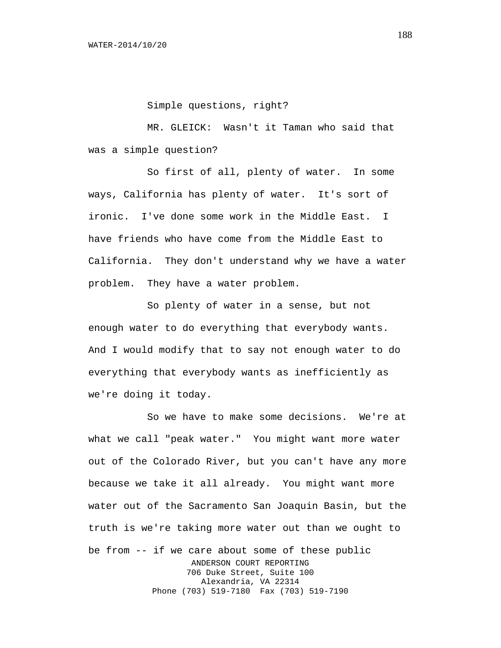Simple questions, right?

MR. GLEICK: Wasn't it Taman who said that was a simple question?

So first of all, plenty of water. In some ways, California has plenty of water. It's sort of ironic. I've done some work in the Middle East. I have friends who have come from the Middle East to California. They don't understand why we have a water problem. They have a water problem.

So plenty of water in a sense, but not enough water to do everything that everybody wants. And I would modify that to say not enough water to do everything that everybody wants as inefficiently as we're doing it today.

So we have to make some decisions. We're at what we call "peak water." You might want more water out of the Colorado River, but you can't have any more because we take it all already. You might want more water out of the Sacramento San Joaquin Basin, but the truth is we're taking more water out than we ought to be from -- if we care about some of these public ANDERSON COURT REPORTING 706 Duke Street, Suite 100 Alexandria, VA 22314 Phone (703) 519-7180 Fax (703) 519-7190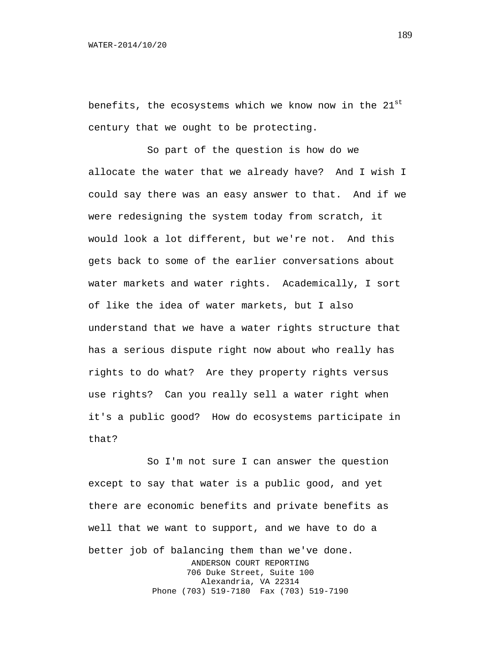benefits, the ecosystems which we know now in the  $21<sup>st</sup>$ century that we ought to be protecting.

So part of the question is how do we allocate the water that we already have? And I wish I could say there was an easy answer to that. And if we were redesigning the system today from scratch, it would look a lot different, but we're not. And this gets back to some of the earlier conversations about water markets and water rights. Academically, I sort of like the idea of water markets, but I also understand that we have a water rights structure that has a serious dispute right now about who really has rights to do what? Are they property rights versus use rights? Can you really sell a water right when it's a public good? How do ecosystems participate in that?

So I'm not sure I can answer the question except to say that water is a public good, and yet there are economic benefits and private benefits as well that we want to support, and we have to do a better job of balancing them than we've done. ANDERSON COURT REPORTING 706 Duke Street, Suite 100 Alexandria, VA 22314 Phone (703) 519-7180 Fax (703) 519-7190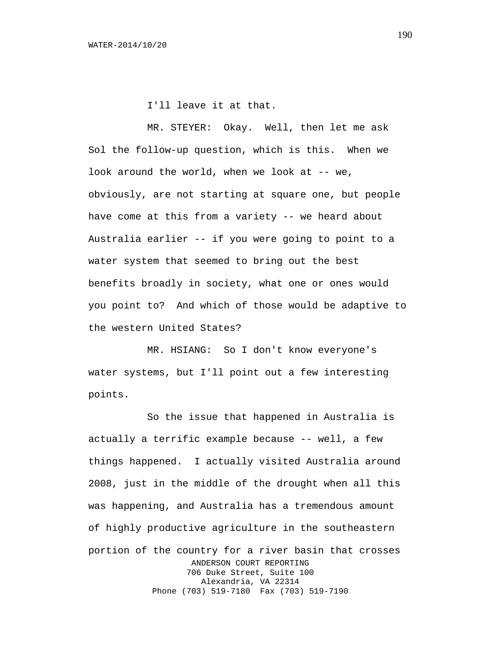I'll leave it at that.

MR. STEYER: Okay. Well, then let me ask Sol the follow-up question, which is this. When we look around the world, when we look at -- we, obviously, are not starting at square one, but people have come at this from a variety -- we heard about Australia earlier -- if you were going to point to a water system that seemed to bring out the best benefits broadly in society, what one or ones would you point to? And which of those would be adaptive to the western United States?

MR. HSIANG: So I don't know everyone's water systems, but I'll point out a few interesting points.

So the issue that happened in Australia is actually a terrific example because -- well, a few things happened. I actually visited Australia around 2008, just in the middle of the drought when all this was happening, and Australia has a tremendous amount of highly productive agriculture in the southeastern portion of the country for a river basin that crosses ANDERSON COURT REPORTING 706 Duke Street, Suite 100 Alexandria, VA 22314 Phone (703) 519-7180 Fax (703) 519-7190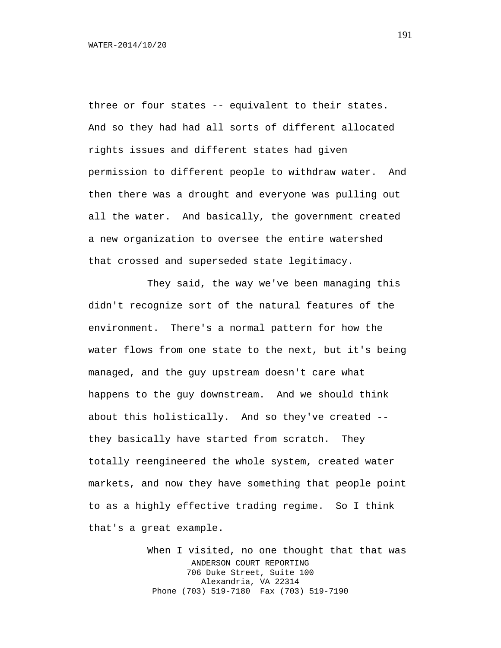three or four states -- equivalent to their states. And so they had had all sorts of different allocated rights issues and different states had given permission to different people to withdraw water. And then there was a drought and everyone was pulling out all the water. And basically, the government created a new organization to oversee the entire watershed that crossed and superseded state legitimacy.

They said, the way we've been managing this didn't recognize sort of the natural features of the environment. There's a normal pattern for how the water flows from one state to the next, but it's being managed, and the guy upstream doesn't care what happens to the guy downstream. And we should think about this holistically. And so they've created - they basically have started from scratch. They totally reengineered the whole system, created water markets, and now they have something that people point to as a highly effective trading regime. So I think that's a great example.

> When I visited, no one thought that that was ANDERSON COURT REPORTING 706 Duke Street, Suite 100 Alexandria, VA 22314 Phone (703) 519-7180 Fax (703) 519-7190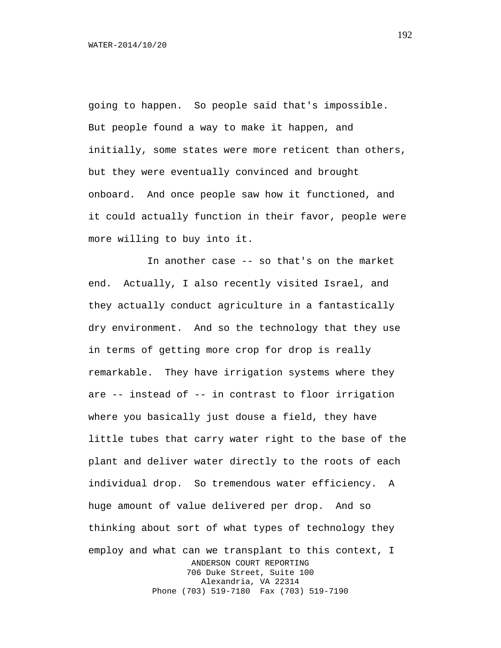going to happen. So people said that's impossible. But people found a way to make it happen, and initially, some states were more reticent than others, but they were eventually convinced and brought onboard. And once people saw how it functioned, and it could actually function in their favor, people were more willing to buy into it.

In another case -- so that's on the market end. Actually, I also recently visited Israel, and they actually conduct agriculture in a fantastically dry environment. And so the technology that they use in terms of getting more crop for drop is really remarkable. They have irrigation systems where they are -- instead of -- in contrast to floor irrigation where you basically just douse a field, they have little tubes that carry water right to the base of the plant and deliver water directly to the roots of each individual drop. So tremendous water efficiency. A huge amount of value delivered per drop. And so thinking about sort of what types of technology they employ and what can we transplant to this context, I ANDERSON COURT REPORTING 706 Duke Street, Suite 100 Alexandria, VA 22314 Phone (703) 519-7180 Fax (703) 519-7190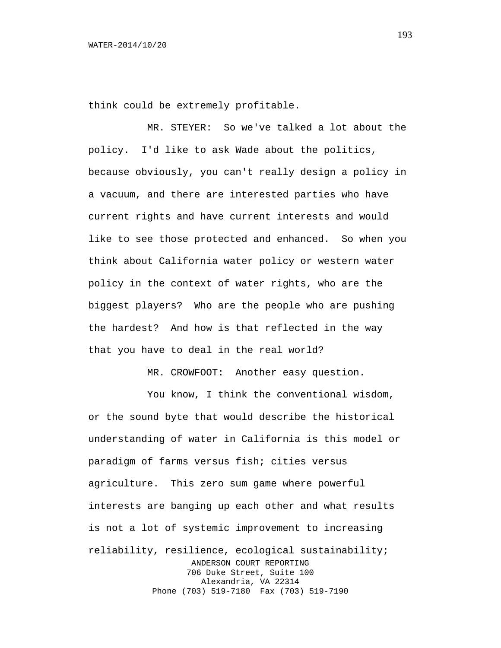think could be extremely profitable.

MR. STEYER: So we've talked a lot about the policy. I'd like to ask Wade about the politics, because obviously, you can't really design a policy in a vacuum, and there are interested parties who have current rights and have current interests and would like to see those protected and enhanced. So when you think about California water policy or western water policy in the context of water rights, who are the biggest players? Who are the people who are pushing the hardest? And how is that reflected in the way that you have to deal in the real world?

MR. CROWFOOT: Another easy question.

You know, I think the conventional wisdom, or the sound byte that would describe the historical understanding of water in California is this model or paradigm of farms versus fish; cities versus agriculture. This zero sum game where powerful interests are banging up each other and what results is not a lot of systemic improvement to increasing reliability, resilience, ecological sustainability; ANDERSON COURT REPORTING 706 Duke Street, Suite 100 Alexandria, VA 22314 Phone (703) 519-7180 Fax (703) 519-7190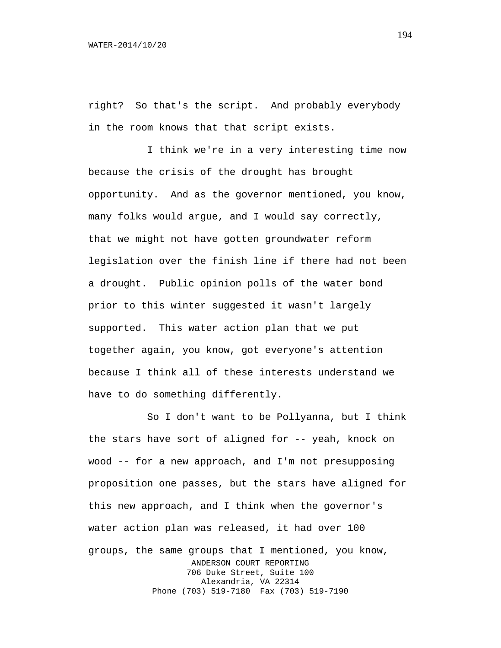right? So that's the script. And probably everybody in the room knows that that script exists.

I think we're in a very interesting time now because the crisis of the drought has brought opportunity. And as the governor mentioned, you know, many folks would argue, and I would say correctly, that we might not have gotten groundwater reform legislation over the finish line if there had not been a drought. Public opinion polls of the water bond prior to this winter suggested it wasn't largely supported. This water action plan that we put together again, you know, got everyone's attention because I think all of these interests understand we have to do something differently.

So I don't want to be Pollyanna, but I think the stars have sort of aligned for -- yeah, knock on wood -- for a new approach, and I'm not presupposing proposition one passes, but the stars have aligned for this new approach, and I think when the governor's water action plan was released, it had over 100 groups, the same groups that I mentioned, you know, ANDERSON COURT REPORTING 706 Duke Street, Suite 100 Alexandria, VA 22314 Phone (703) 519-7180 Fax (703) 519-7190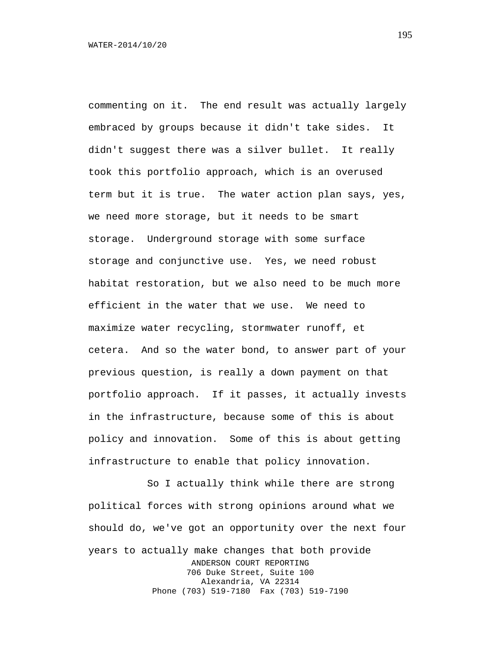commenting on it. The end result was actually largely embraced by groups because it didn't take sides. It didn't suggest there was a silver bullet. It really took this portfolio approach, which is an overused term but it is true. The water action plan says, yes, we need more storage, but it needs to be smart storage. Underground storage with some surface storage and conjunctive use. Yes, we need robust habitat restoration, but we also need to be much more efficient in the water that we use. We need to maximize water recycling, stormwater runoff, et cetera. And so the water bond, to answer part of your previous question, is really a down payment on that portfolio approach. If it passes, it actually invests in the infrastructure, because some of this is about policy and innovation. Some of this is about getting infrastructure to enable that policy innovation.

So I actually think while there are strong political forces with strong opinions around what we should do, we've got an opportunity over the next four years to actually make changes that both provide ANDERSON COURT REPORTING 706 Duke Street, Suite 100 Alexandria, VA 22314 Phone (703) 519-7180 Fax (703) 519-7190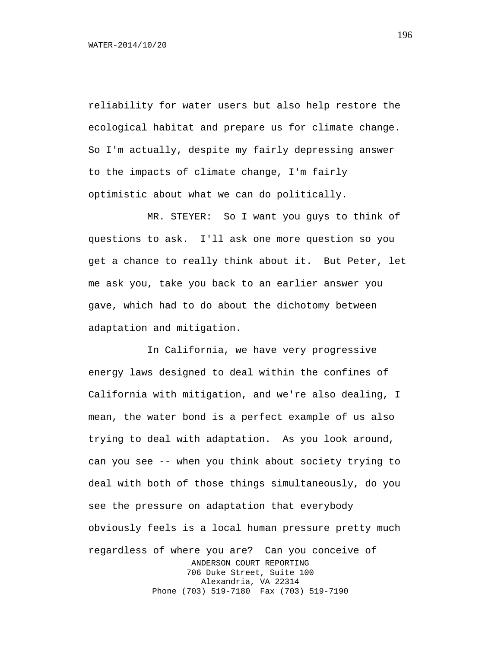reliability for water users but also help restore the ecological habitat and prepare us for climate change. So I'm actually, despite my fairly depressing answer to the impacts of climate change, I'm fairly optimistic about what we can do politically.

MR. STEYER: So I want you guys to think of questions to ask. I'll ask one more question so you get a chance to really think about it. But Peter, let me ask you, take you back to an earlier answer you gave, which had to do about the dichotomy between adaptation and mitigation.

In California, we have very progressive energy laws designed to deal within the confines of California with mitigation, and we're also dealing, I mean, the water bond is a perfect example of us also trying to deal with adaptation. As you look around, can you see -- when you think about society trying to deal with both of those things simultaneously, do you see the pressure on adaptation that everybody obviously feels is a local human pressure pretty much regardless of where you are? Can you conceive of ANDERSON COURT REPORTING 706 Duke Street, Suite 100 Alexandria, VA 22314 Phone (703) 519-7180 Fax (703) 519-7190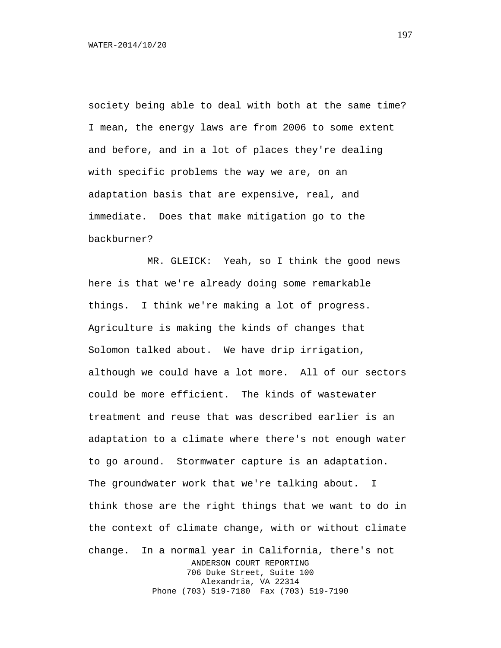society being able to deal with both at the same time? I mean, the energy laws are from 2006 to some extent and before, and in a lot of places they're dealing with specific problems the way we are, on an adaptation basis that are expensive, real, and immediate. Does that make mitigation go to the backburner?

MR. GLEICK: Yeah, so I think the good news here is that we're already doing some remarkable things. I think we're making a lot of progress. Agriculture is making the kinds of changes that Solomon talked about. We have drip irrigation, although we could have a lot more. All of our sectors could be more efficient. The kinds of wastewater treatment and reuse that was described earlier is an adaptation to a climate where there's not enough water to go around. Stormwater capture is an adaptation. The groundwater work that we're talking about. I think those are the right things that we want to do in the context of climate change, with or without climate change. In a normal year in California, there's not ANDERSON COURT REPORTING 706 Duke Street, Suite 100 Alexandria, VA 22314 Phone (703) 519-7180 Fax (703) 519-7190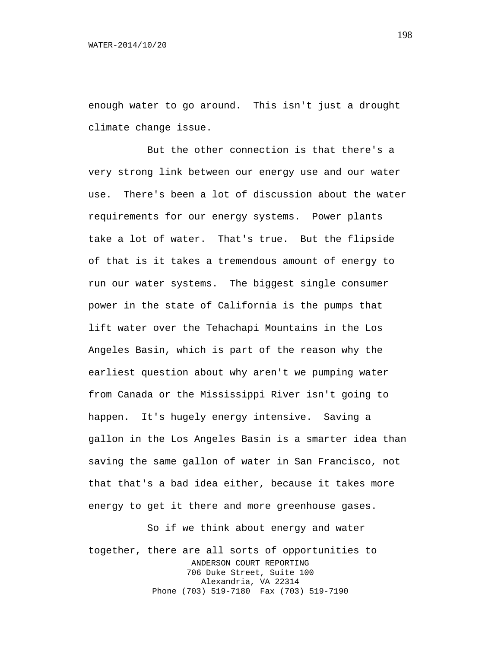enough water to go around. This isn't just a drought climate change issue.

But the other connection is that there's a very strong link between our energy use and our water use. There's been a lot of discussion about the water requirements for our energy systems. Power plants take a lot of water. That's true. But the flipside of that is it takes a tremendous amount of energy to run our water systems. The biggest single consumer power in the state of California is the pumps that lift water over the Tehachapi Mountains in the Los Angeles Basin, which is part of the reason why the earliest question about why aren't we pumping water from Canada or the Mississippi River isn't going to happen. It's hugely energy intensive. Saving a gallon in the Los Angeles Basin is a smarter idea than saving the same gallon of water in San Francisco, not that that's a bad idea either, because it takes more energy to get it there and more greenhouse gases.

So if we think about energy and water together, there are all sorts of opportunities to ANDERSON COURT REPORTING 706 Duke Street, Suite 100 Alexandria, VA 22314 Phone (703) 519-7180 Fax (703) 519-7190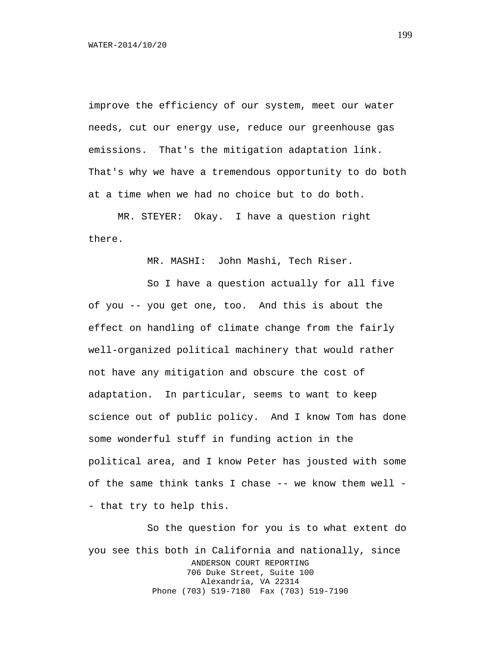improve the efficiency of our system, meet our water needs, cut our energy use, reduce our greenhouse gas emissions. That's the mitigation adaptation link. That's why we have a tremendous opportunity to do both at a time when we had no choice but to do both.

MR. STEYER: Okay. I have a question right there.

MR. MASHI: John Mashi, Tech Riser.

So I have a question actually for all five of you -- you get one, too. And this is about the effect on handling of climate change from the fairly well-organized political machinery that would rather not have any mitigation and obscure the cost of adaptation. In particular, seems to want to keep science out of public policy. And I know Tom has done some wonderful stuff in funding action in the political area, and I know Peter has jousted with some of the same think tanks I chase  $-$ - we know them well  $-$ - that try to help this.

So the question for you is to what extent do you see this both in California and nationally, since ANDERSON COURT REPORTING 706 Duke Street, Suite 100 Alexandria, VA 22314 Phone (703) 519-7180 Fax (703) 519-7190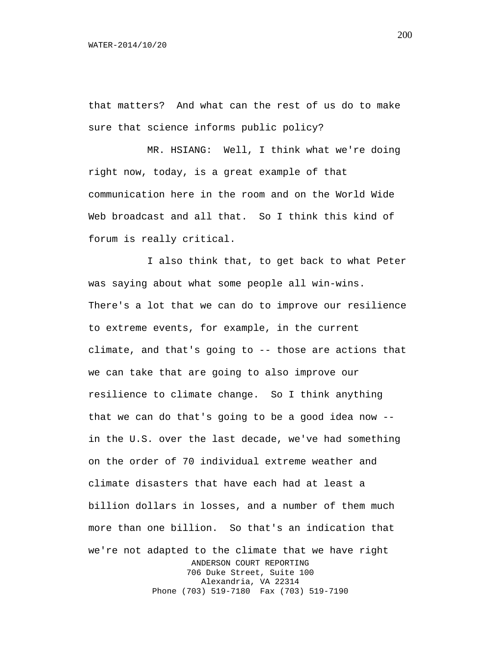that matters? And what can the rest of us do to make sure that science informs public policy?

MR. HSIANG: Well, I think what we're doing right now, today, is a great example of that communication here in the room and on the World Wide Web broadcast and all that. So I think this kind of forum is really critical.

I also think that, to get back to what Peter was saying about what some people all win-wins. There's a lot that we can do to improve our resilience to extreme events, for example, in the current climate, and that's going to -- those are actions that we can take that are going to also improve our resilience to climate change. So I think anything that we can do that's going to be a good idea now - in the U.S. over the last decade, we've had something on the order of 70 individual extreme weather and climate disasters that have each had at least a billion dollars in losses, and a number of them much more than one billion. So that's an indication that we're not adapted to the climate that we have right ANDERSON COURT REPORTING 706 Duke Street, Suite 100 Alexandria, VA 22314 Phone (703) 519-7180 Fax (703) 519-7190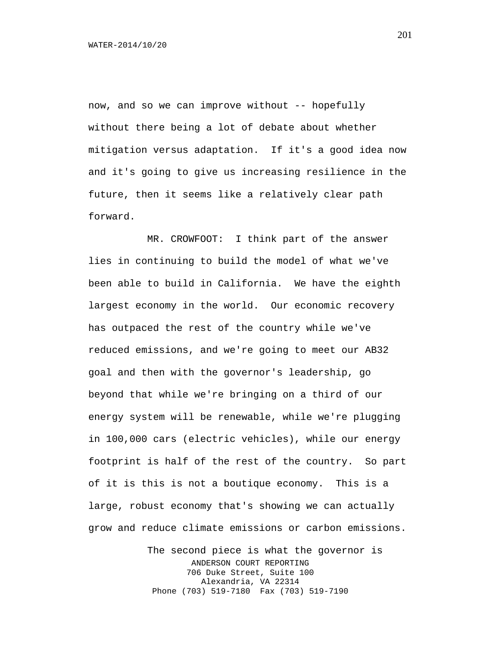now, and so we can improve without -- hopefully without there being a lot of debate about whether mitigation versus adaptation. If it's a good idea now and it's going to give us increasing resilience in the future, then it seems like a relatively clear path forward.

MR. CROWFOOT: I think part of the answer lies in continuing to build the model of what we've been able to build in California. We have the eighth largest economy in the world. Our economic recovery has outpaced the rest of the country while we've reduced emissions, and we're going to meet our AB32 goal and then with the governor's leadership, go beyond that while we're bringing on a third of our energy system will be renewable, while we're plugging in 100,000 cars (electric vehicles), while our energy footprint is half of the rest of the country. So part of it is this is not a boutique economy. This is a large, robust economy that's showing we can actually grow and reduce climate emissions or carbon emissions.

> The second piece is what the governor is ANDERSON COURT REPORTING 706 Duke Street, Suite 100 Alexandria, VA 22314 Phone (703) 519-7180 Fax (703) 519-7190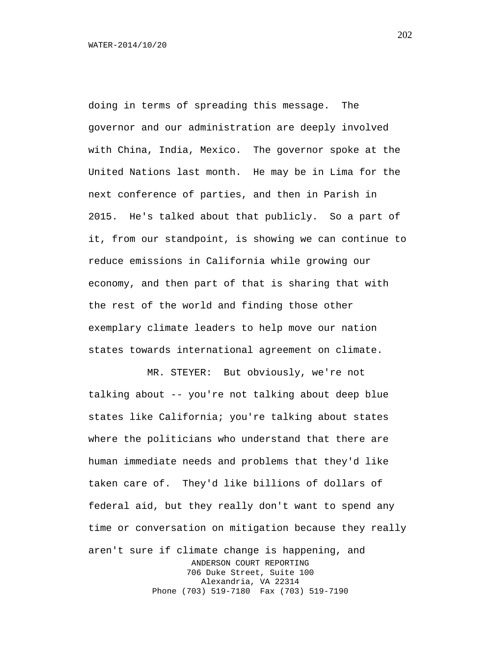doing in terms of spreading this message. The governor and our administration are deeply involved with China, India, Mexico. The governor spoke at the United Nations last month. He may be in Lima for the next conference of parties, and then in Parish in 2015. He's talked about that publicly. So a part of it, from our standpoint, is showing we can continue to reduce emissions in California while growing our economy, and then part of that is sharing that with the rest of the world and finding those other exemplary climate leaders to help move our nation states towards international agreement on climate.

MR. STEYER: But obviously, we're not talking about -- you're not talking about deep blue states like California; you're talking about states where the politicians who understand that there are human immediate needs and problems that they'd like taken care of. They'd like billions of dollars of federal aid, but they really don't want to spend any time or conversation on mitigation because they really aren't sure if climate change is happening, and ANDERSON COURT REPORTING 706 Duke Street, Suite 100 Alexandria, VA 22314 Phone (703) 519-7180 Fax (703) 519-7190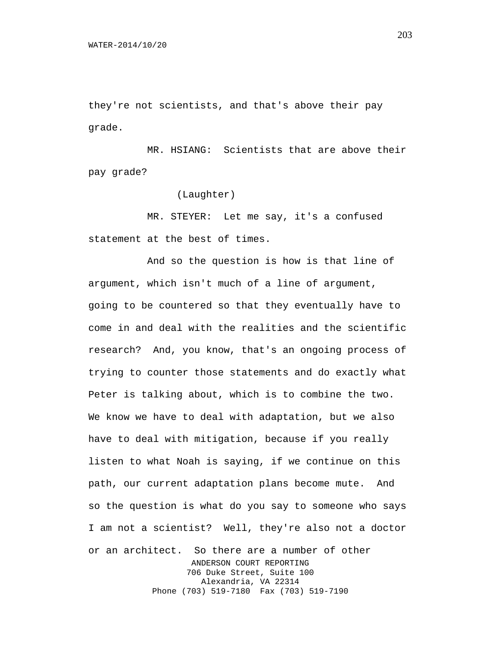they're not scientists, and that's above their pay grade.

MR. HSIANG: Scientists that are above their pay grade?

(Laughter)

MR. STEYER: Let me say, it's a confused statement at the best of times.

And so the question is how is that line of argument, which isn't much of a line of argument, going to be countered so that they eventually have to come in and deal with the realities and the scientific research? And, you know, that's an ongoing process of trying to counter those statements and do exactly what Peter is talking about, which is to combine the two. We know we have to deal with adaptation, but we also have to deal with mitigation, because if you really listen to what Noah is saying, if we continue on this path, our current adaptation plans become mute. And so the question is what do you say to someone who says I am not a scientist? Well, they're also not a doctor or an architect. So there are a number of other ANDERSON COURT REPORTING 706 Duke Street, Suite 100 Alexandria, VA 22314 Phone (703) 519-7180 Fax (703) 519-7190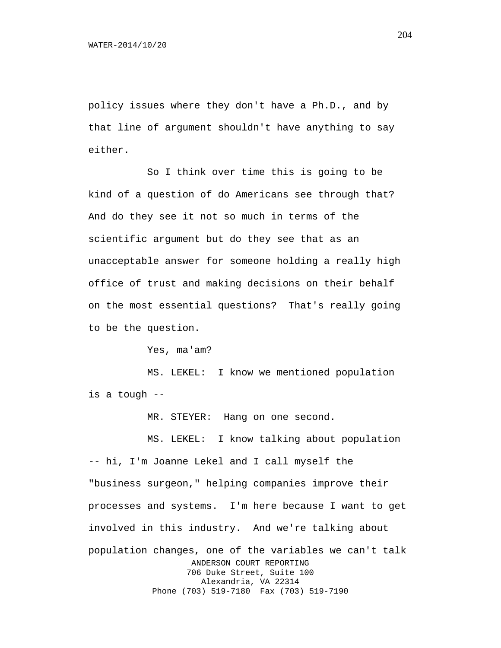policy issues where they don't have a Ph.D., and by that line of argument shouldn't have anything to say either.

So I think over time this is going to be kind of a question of do Americans see through that? And do they see it not so much in terms of the scientific argument but do they see that as an unacceptable answer for someone holding a really high office of trust and making decisions on their behalf on the most essential questions? That's really going to be the question.

Yes, ma'am?

MS. LEKEL: I know we mentioned population is a tough --

MR. STEYER: Hang on one second.

MS. LEKEL: I know talking about population -- hi, I'm Joanne Lekel and I call myself the "business surgeon," helping companies improve their processes and systems. I'm here because I want to get involved in this industry. And we're talking about population changes, one of the variables we can't talk ANDERSON COURT REPORTING 706 Duke Street, Suite 100 Alexandria, VA 22314 Phone (703) 519-7180 Fax (703) 519-7190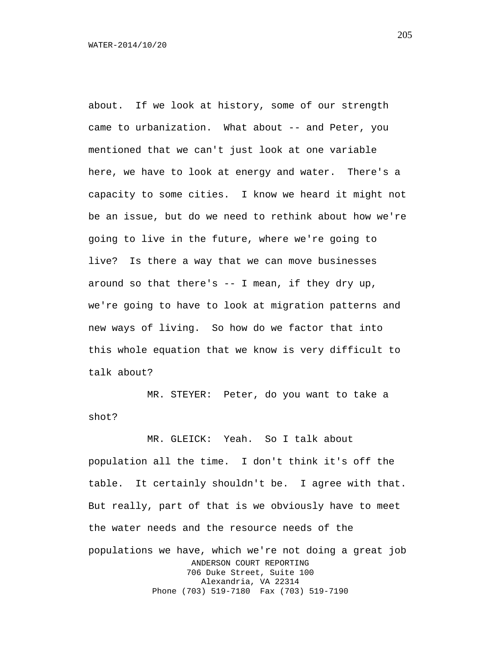about. If we look at history, some of our strength came to urbanization. What about -- and Peter, you mentioned that we can't just look at one variable here, we have to look at energy and water. There's a capacity to some cities. I know we heard it might not be an issue, but do we need to rethink about how we're going to live in the future, where we're going to live? Is there a way that we can move businesses around so that there's -- I mean, if they dry up, we're going to have to look at migration patterns and new ways of living. So how do we factor that into this whole equation that we know is very difficult to talk about?

MR. STEYER: Peter, do you want to take a shot?

MR. GLEICK: Yeah. So I talk about population all the time. I don't think it's off the table. It certainly shouldn't be. I agree with that. But really, part of that is we obviously have to meet the water needs and the resource needs of the populations we have, which we're not doing a great job ANDERSON COURT REPORTING 706 Duke Street, Suite 100 Alexandria, VA 22314 Phone (703) 519-7180 Fax (703) 519-7190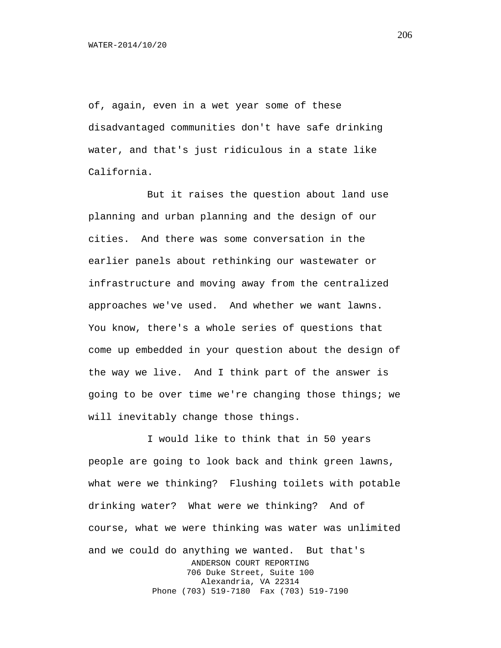of, again, even in a wet year some of these disadvantaged communities don't have safe drinking water, and that's just ridiculous in a state like California.

But it raises the question about land use planning and urban planning and the design of our cities. And there was some conversation in the earlier panels about rethinking our wastewater or infrastructure and moving away from the centralized approaches we've used. And whether we want lawns. You know, there's a whole series of questions that come up embedded in your question about the design of the way we live. And I think part of the answer is going to be over time we're changing those things; we will inevitably change those things.

I would like to think that in 50 years people are going to look back and think green lawns, what were we thinking? Flushing toilets with potable drinking water? What were we thinking? And of course, what we were thinking was water was unlimited and we could do anything we wanted. But that's ANDERSON COURT REPORTING 706 Duke Street, Suite 100 Alexandria, VA 22314 Phone (703) 519-7180 Fax (703) 519-7190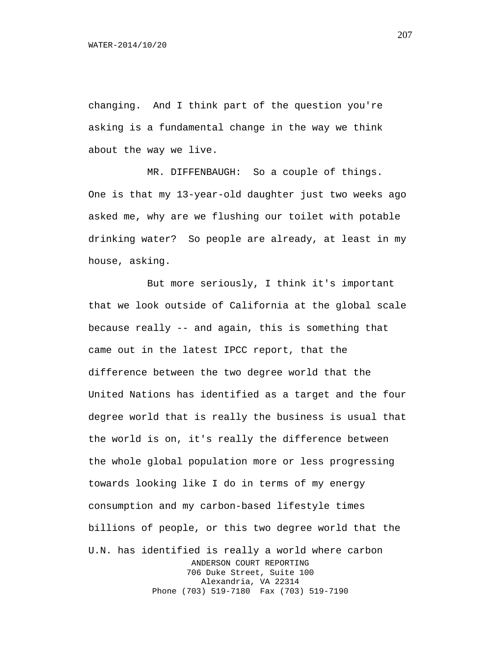changing. And I think part of the question you're asking is a fundamental change in the way we think about the way we live.

MR. DIFFENBAUGH: So a couple of things. One is that my 13-year-old daughter just two weeks ago asked me, why are we flushing our toilet with potable drinking water? So people are already, at least in my house, asking.

But more seriously, I think it's important that we look outside of California at the global scale because really -- and again, this is something that came out in the latest IPCC report, that the difference between the two degree world that the United Nations has identified as a target and the four degree world that is really the business is usual that the world is on, it's really the difference between the whole global population more or less progressing towards looking like I do in terms of my energy consumption and my carbon-based lifestyle times billions of people, or this two degree world that the U.N. has identified is really a world where carbon ANDERSON COURT REPORTING 706 Duke Street, Suite 100 Alexandria, VA 22314 Phone (703) 519-7180 Fax (703) 519-7190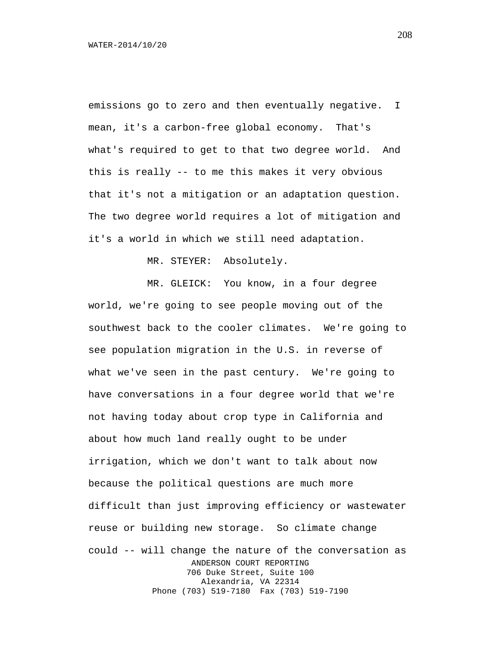emissions go to zero and then eventually negative. I mean, it's a carbon-free global economy. That's what's required to get to that two degree world. And this is really -- to me this makes it very obvious that it's not a mitigation or an adaptation question. The two degree world requires a lot of mitigation and it's a world in which we still need adaptation.

MR. STEYER: Absolutely.

MR. GLEICK: You know, in a four degree world, we're going to see people moving out of the southwest back to the cooler climates. We're going to see population migration in the U.S. in reverse of what we've seen in the past century. We're going to have conversations in a four degree world that we're not having today about crop type in California and about how much land really ought to be under irrigation, which we don't want to talk about now because the political questions are much more difficult than just improving efficiency or wastewater reuse or building new storage. So climate change could -- will change the nature of the conversation as ANDERSON COURT REPORTING 706 Duke Street, Suite 100 Alexandria, VA 22314 Phone (703) 519-7180 Fax (703) 519-7190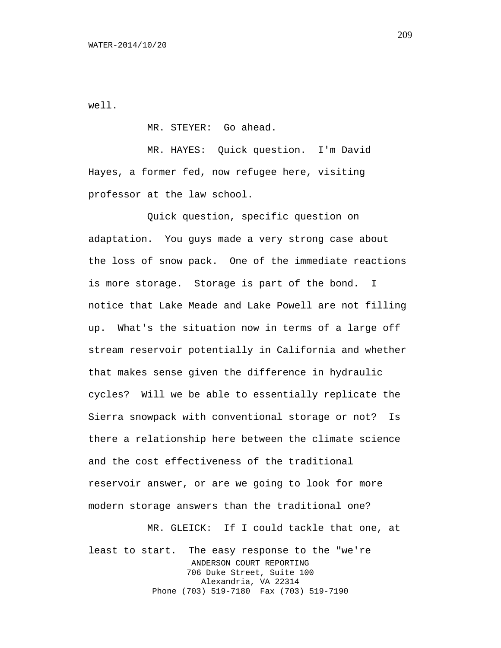well.

MR. STEYER: Go ahead.

MR. HAYES: Quick question. I'm David Hayes, a former fed, now refugee here, visiting professor at the law school.

Quick question, specific question on adaptation. You guys made a very strong case about the loss of snow pack. One of the immediate reactions is more storage. Storage is part of the bond. I notice that Lake Meade and Lake Powell are not filling up. What's the situation now in terms of a large off stream reservoir potentially in California and whether that makes sense given the difference in hydraulic cycles? Will we be able to essentially replicate the Sierra snowpack with conventional storage or not? Is there a relationship here between the climate science and the cost effectiveness of the traditional reservoir answer, or are we going to look for more modern storage answers than the traditional one?

MR. GLEICK: If I could tackle that one, at least to start. The easy response to the "we're ANDERSON COURT REPORTING 706 Duke Street, Suite 100 Alexandria, VA 22314 Phone (703) 519-7180 Fax (703) 519-7190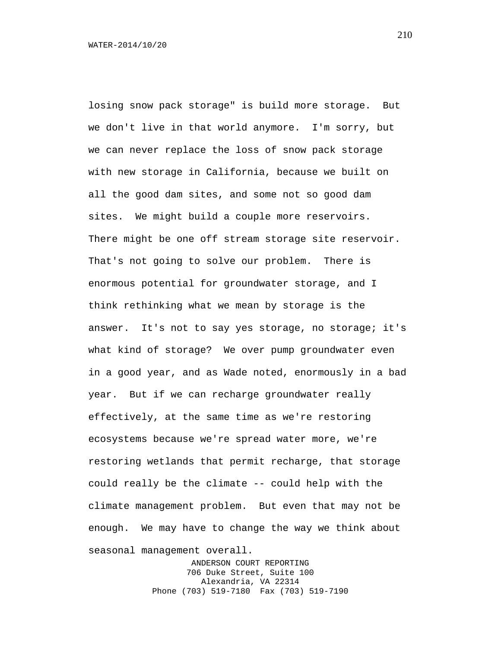losing snow pack storage" is build more storage. But we don't live in that world anymore. I'm sorry, but we can never replace the loss of snow pack storage with new storage in California, because we built on all the good dam sites, and some not so good dam sites. We might build a couple more reservoirs. There might be one off stream storage site reservoir. That's not going to solve our problem. There is enormous potential for groundwater storage, and I think rethinking what we mean by storage is the answer. It's not to say yes storage, no storage; it's what kind of storage? We over pump groundwater even in a good year, and as Wade noted, enormously in a bad year. But if we can recharge groundwater really effectively, at the same time as we're restoring ecosystems because we're spread water more, we're restoring wetlands that permit recharge, that storage could really be the climate -- could help with the climate management problem. But even that may not be enough. We may have to change the way we think about seasonal management overall.

ANDERSON COURT REPORTING 706 Duke Street, Suite 100 Alexandria, VA 22314 Phone (703) 519-7180 Fax (703) 519-7190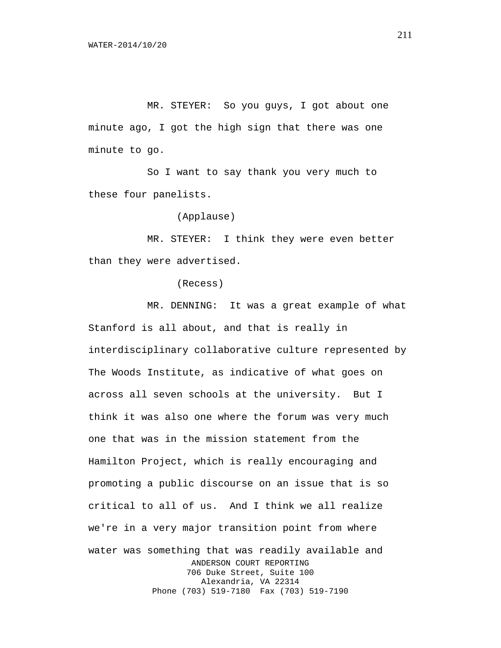MR. STEYER: So you guys, I got about one minute ago, I got the high sign that there was one minute to go.

So I want to say thank you very much to these four panelists.

(Applause)

MR. STEYER: I think they were even better than they were advertised.

(Recess)

MR. DENNING: It was a great example of what Stanford is all about, and that is really in interdisciplinary collaborative culture represented by The Woods Institute, as indicative of what goes on across all seven schools at the university. But I think it was also one where the forum was very much one that was in the mission statement from the Hamilton Project, which is really encouraging and promoting a public discourse on an issue that is so critical to all of us. And I think we all realize we're in a very major transition point from where water was something that was readily available and ANDERSON COURT REPORTING 706 Duke Street, Suite 100 Alexandria, VA 22314 Phone (703) 519-7180 Fax (703) 519-7190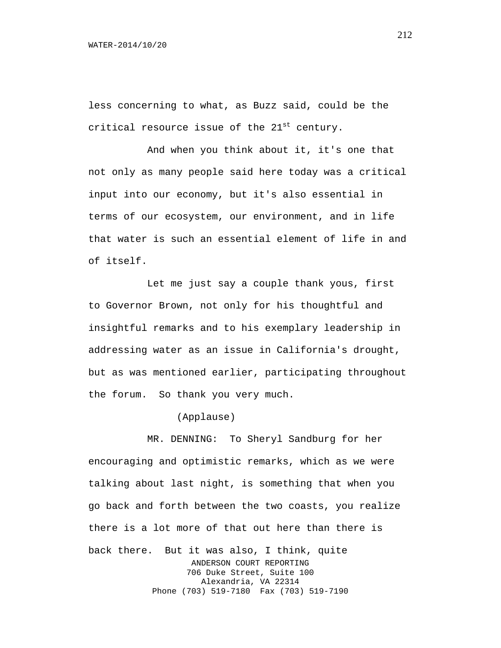less concerning to what, as Buzz said, could be the critical resource issue of the  $21^{st}$  century.

And when you think about it, it's one that not only as many people said here today was a critical input into our economy, but it's also essential in terms of our ecosystem, our environment, and in life that water is such an essential element of life in and of itself.

Let me just say a couple thank yous, first to Governor Brown, not only for his thoughtful and insightful remarks and to his exemplary leadership in addressing water as an issue in California's drought, but as was mentioned earlier, participating throughout the forum. So thank you very much.

(Applause)

MR. DENNING: To Sheryl Sandburg for her encouraging and optimistic remarks, which as we were talking about last night, is something that when you go back and forth between the two coasts, you realize there is a lot more of that out here than there is back there. But it was also, I think, quite ANDERSON COURT REPORTING 706 Duke Street, Suite 100 Alexandria, VA 22314 Phone (703) 519-7180 Fax (703) 519-7190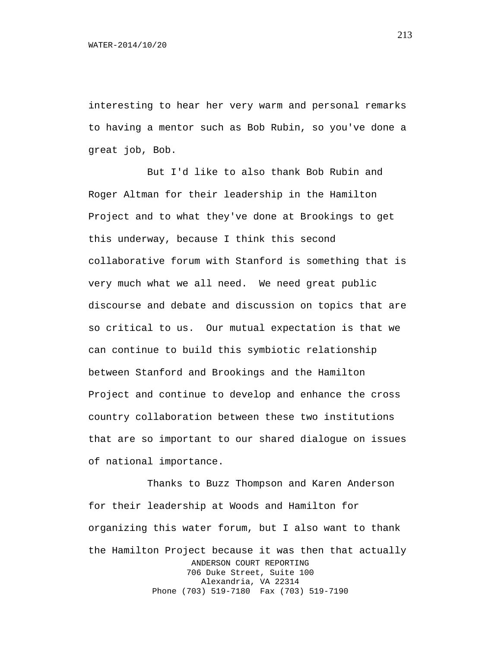interesting to hear her very warm and personal remarks to having a mentor such as Bob Rubin, so you've done a great job, Bob.

But I'd like to also thank Bob Rubin and Roger Altman for their leadership in the Hamilton Project and to what they've done at Brookings to get this underway, because I think this second collaborative forum with Stanford is something that is very much what we all need. We need great public discourse and debate and discussion on topics that are so critical to us. Our mutual expectation is that we can continue to build this symbiotic relationship between Stanford and Brookings and the Hamilton Project and continue to develop and enhance the cross country collaboration between these two institutions that are so important to our shared dialogue on issues of national importance.

Thanks to Buzz Thompson and Karen Anderson for their leadership at Woods and Hamilton for organizing this water forum, but I also want to thank the Hamilton Project because it was then that actually ANDERSON COURT REPORTING 706 Duke Street, Suite 100 Alexandria, VA 22314 Phone (703) 519-7180 Fax (703) 519-7190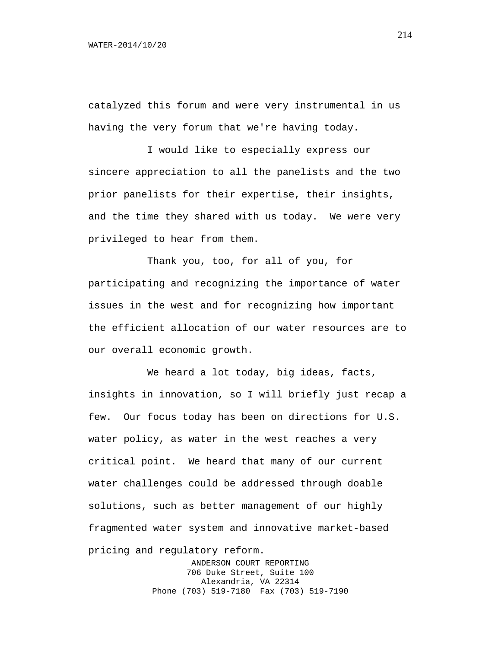catalyzed this forum and were very instrumental in us having the very forum that we're having today.

I would like to especially express our sincere appreciation to all the panelists and the two prior panelists for their expertise, their insights, and the time they shared with us today. We were very privileged to hear from them.

Thank you, too, for all of you, for participating and recognizing the importance of water issues in the west and for recognizing how important the efficient allocation of our water resources are to our overall economic growth.

We heard a lot today, big ideas, facts, insights in innovation, so I will briefly just recap a few. Our focus today has been on directions for U.S. water policy, as water in the west reaches a very critical point. We heard that many of our current water challenges could be addressed through doable solutions, such as better management of our highly fragmented water system and innovative market-based pricing and regulatory reform.

ANDERSON COURT REPORTING 706 Duke Street, Suite 100 Alexandria, VA 22314 Phone (703) 519-7180 Fax (703) 519-7190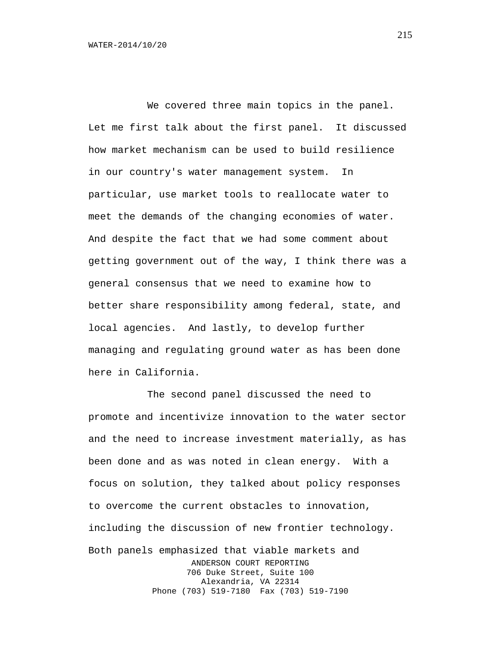We covered three main topics in the panel. Let me first talk about the first panel. It discussed how market mechanism can be used to build resilience in our country's water management system. In particular, use market tools to reallocate water to meet the demands of the changing economies of water. And despite the fact that we had some comment about getting government out of the way, I think there was a general consensus that we need to examine how to better share responsibility among federal, state, and local agencies. And lastly, to develop further managing and regulating ground water as has been done here in California.

The second panel discussed the need to promote and incentivize innovation to the water sector and the need to increase investment materially, as has been done and as was noted in clean energy. With a focus on solution, they talked about policy responses to overcome the current obstacles to innovation, including the discussion of new frontier technology. Both panels emphasized that viable markets and ANDERSON COURT REPORTING 706 Duke Street, Suite 100 Alexandria, VA 22314 Phone (703) 519-7180 Fax (703) 519-7190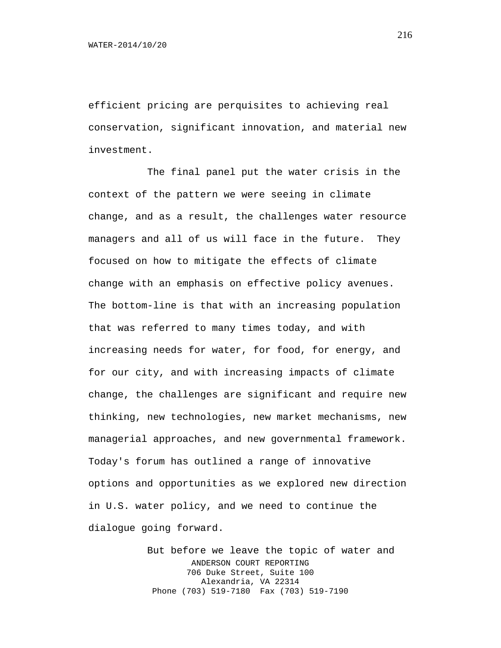efficient pricing are perquisites to achieving real conservation, significant innovation, and material new investment.

The final panel put the water crisis in the context of the pattern we were seeing in climate change, and as a result, the challenges water resource managers and all of us will face in the future. They focused on how to mitigate the effects of climate change with an emphasis on effective policy avenues. The bottom-line is that with an increasing population that was referred to many times today, and with increasing needs for water, for food, for energy, and for our city, and with increasing impacts of climate change, the challenges are significant and require new thinking, new technologies, new market mechanisms, new managerial approaches, and new governmental framework. Today's forum has outlined a range of innovative options and opportunities as we explored new direction in U.S. water policy, and we need to continue the dialogue going forward.

> But before we leave the topic of water and ANDERSON COURT REPORTING 706 Duke Street, Suite 100 Alexandria, VA 22314 Phone (703) 519-7180 Fax (703) 519-7190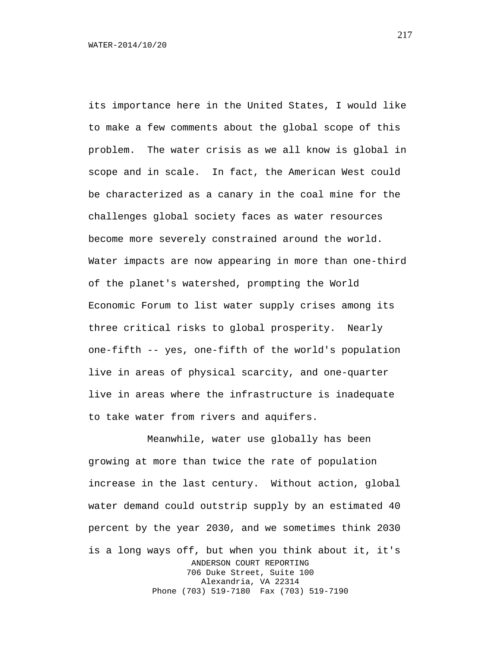its importance here in the United States, I would like to make a few comments about the global scope of this problem. The water crisis as we all know is global in scope and in scale. In fact, the American West could be characterized as a canary in the coal mine for the challenges global society faces as water resources become more severely constrained around the world. Water impacts are now appearing in more than one-third of the planet's watershed, prompting the World Economic Forum to list water supply crises among its three critical risks to global prosperity. Nearly one-fifth -- yes, one-fifth of the world's population live in areas of physical scarcity, and one-quarter live in areas where the infrastructure is inadequate to take water from rivers and aquifers.

Meanwhile, water use globally has been growing at more than twice the rate of population increase in the last century. Without action, global water demand could outstrip supply by an estimated 40 percent by the year 2030, and we sometimes think 2030 is a long ways off, but when you think about it, it's ANDERSON COURT REPORTING 706 Duke Street, Suite 100 Alexandria, VA 22314 Phone (703) 519-7180 Fax (703) 519-7190

217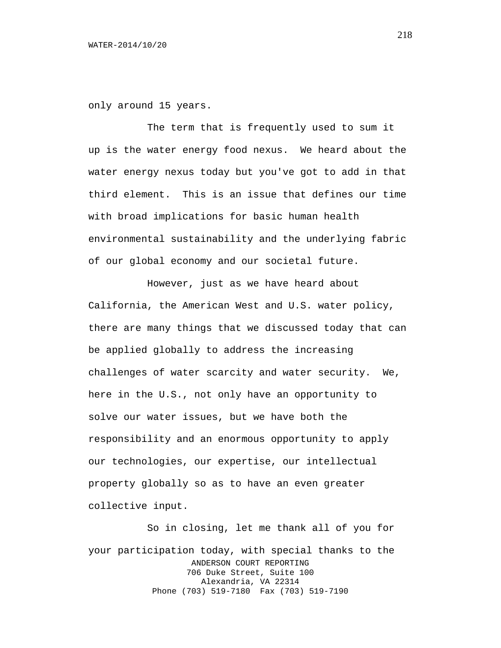only around 15 years.

The term that is frequently used to sum it up is the water energy food nexus. We heard about the water energy nexus today but you've got to add in that third element. This is an issue that defines our time with broad implications for basic human health environmental sustainability and the underlying fabric of our global economy and our societal future.

However, just as we have heard about California, the American West and U.S. water policy, there are many things that we discussed today that can be applied globally to address the increasing challenges of water scarcity and water security. We, here in the U.S., not only have an opportunity to solve our water issues, but we have both the responsibility and an enormous opportunity to apply our technologies, our expertise, our intellectual property globally so as to have an even greater collective input.

So in closing, let me thank all of you for your participation today, with special thanks to the ANDERSON COURT REPORTING 706 Duke Street, Suite 100 Alexandria, VA 22314 Phone (703) 519-7180 Fax (703) 519-7190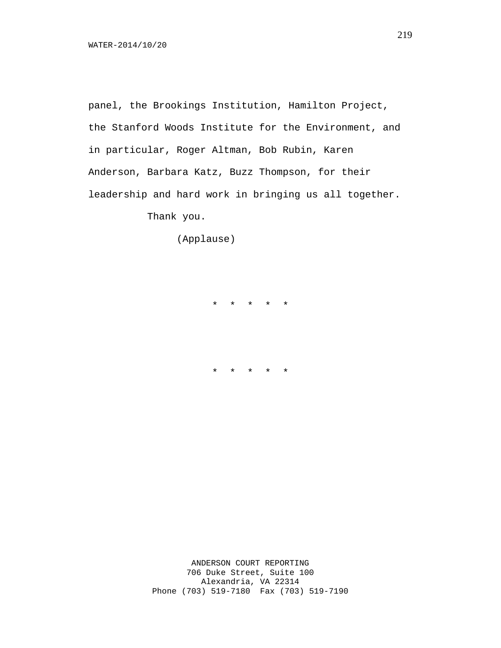panel, the Brookings Institution, Hamilton Project, the Stanford Woods Institute for the Environment, and in particular, Roger Altman, Bob Rubin, Karen Anderson, Barbara Katz, Buzz Thompson, for their leadership and hard work in bringing us all together.

\* \* \* \* \*

\* \* \* \* \*

Thank you.

(Applause)

ANDERSON COURT REPORTING 706 Duke Street, Suite 100 Alexandria, VA 22314 Phone (703) 519-7180 Fax (703) 519-7190